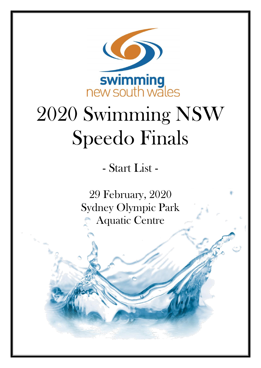

# 2020 Swimming NSW Speedo Finals

- Start List -

29 February, 2020 Sydney Olympic Park Aquatic Centre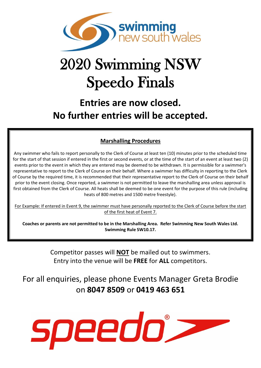

## 2020 Swimming NSW Speedo Finals

### **Entries are now closed. No further entries will be accepted.**

#### **Marshalling Procedures**

Any swimmer who fails to report personally to the Clerk of Course at least ten (10) minutes prior to the scheduled time for the start of that session if entered in the first or second events, or at the time of the start of an event at least two (2) events prior to the event in which they are entered may be deemed to be withdrawn. It is permissible for a swimmer's representative to report to the Clerk of Course on their behalf. Where a swimmer has difficulty in reporting to the Clerk of Course by the required time, it is recommended that their representative report to the Clerk of Course on their behalf prior to the event closing. Once reported, a swimmer is not permitted to leave the marshalling area unless approval is first obtained from the Clerk of Course. All heats shall be deemed to be one event for the purpose of this rule (including heats of 800 metres and 1500 metre freestyle).

For Example: If entered in Event 9, the swimmer must have personally reported to the Clerk of Course before the start of the first heat of Event 7.

**Coaches or parents are not permitted to be in the Marshalling Area. Refer Swimming New South Wales Ltd. Swimming Rule SW10.17.**

> Competitor passes will **NOT** be mailed out to swimmers. Entry into the venue will be **FREE** for **ALL** competitors.

For all enquiries, please phone Events Manager Greta Brodie on **8047 8509** or **0419 463 651**

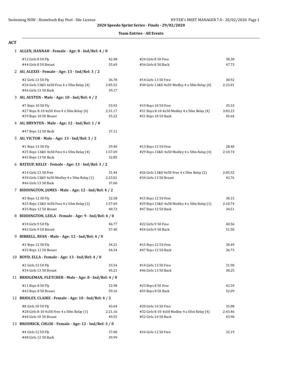#### **Team Entries - All Events**

#### **ACT**

| 1 ALLEN, HANNAH - Female - Age: 8 - Ind/Rel: 4 / 0      |         |                                              |         |
|---------------------------------------------------------|---------|----------------------------------------------|---------|
| #12 Girls 8 50 Fly                                      | 42.48   | #24 Girls 8 50 Free                          | 38.30   |
| #44 Girls 8 50 Breast                                   | 55.69   | #56 Girls 8 50 Back                          | 47.73   |
| 2 AU, ALEXIS - Female - Age: 13 - Ind/Rel: 3 / 2        |         |                                              |         |
| #2 Girls 13 50 Fly                                      | 36.78   | #14 Girls 13 50 Free                         | 30.92   |
| #26 Girls 13&U 4x50 Free 4 x 50m Relay (4)              | 2:05.52 | #30 Girls 13&U 4x50 Medley 4 x 50m Relay (4) | 2:23.01 |
| #46 Girls 13 50 Back                                    | 39.17   |                                              |         |
| 3 AU, AUSTEN - Male - Age: 10 - Ind/Rel: 4 / 2          |         |                                              |         |
| #7 Boys 10 50 Fly                                       | 53.92   | #19 Boys 10 50 Free                          | 35.33   |
| #27 Boys 8-10 4x50 Free 4 x 50m Relay (4)               | 2:31.17 | #31 Boys 8-10 4x50 Medley 4 x 50m Relay (4)  | 3:03.23 |
| #39 Boys 10 50 Breast                                   | 55.22   | #51 Boys 10 50 Back                          | 45.64   |
| 4 AU, BRYNTEN - Male - Age: 12 - Ind/Rel: 1 / 0         |         |                                              |         |
| #47 Boys 12 50 Back                                     | 37.11   |                                              |         |
| 5 AU, VICTOR - Male - Age: 13 - Ind/Rel: 3 / 2          |         |                                              |         |
| #1 Boys 13 50 Fly                                       | 29.40   | #13 Boys 13 50 Free                          | 28.40   |
| #25 Boys 13&U 4x50 Free 4 x 50m Relay (4)               | 1:57.69 | #29 Boys 13&U 4x50 Medley 4 x 50m Relay (4)  | 2:10.74 |
| #45 Boys 13 50 Back                                     | 32.85   |                                              |         |
| 6 BATEUP, KELLY - Female - Age: 13 - Ind/Rel: 3 / 2     |         |                                              |         |
| #14 Girls 13 50 Free                                    | 31.44   | #26 Girls 13&U 4x50 Free 4 x 50m Relay (1)   | 2:05.52 |
| #30 Girls 13&U 4x50 Medley 4 x 50m Relay (1)            | 2:23.01 | #34 Girls 13 50 Breast                       | 43.76   |
| #46 Girls 13 50 Back                                    | 37.60   |                                              |         |
| 7 BIDDINGTON, JAMES - Male - Age: 12 - Ind/Rel: 4 / 2   |         |                                              |         |
| #3 Boys 12 50 Fly                                       | 32.58   | #15 Boys 12 50 Free                          | 30.15   |
| #25 Boys 13&U 4x50 Free 4 x 50m Relay (3)               | 1:57.69 | #29 Boys 13&U 4x50 Medley 4 x 50m Relay (1)  | 2:10.74 |
| #35 Boys 12 50 Breast                                   | 40.73   | #47 Boys 12 50 Back                          | 34.51   |
| 8 BIDDINGTON, LEILA - Female - Age: 9 - Ind/Rel: 4 / 0  |         |                                              |         |
| #10 Girls 9 50 Fly                                      | 46.77   | #22 Girls 9 50 Free                          | 40.56   |
| #42 Girls 9 50 Breast                                   | 57.40   | #54 Girls 9 50 Back                          | 51.50   |
| 9 BIRRELL, RYAN - Male - Age: 12 - Ind/Rel: 4 / 0       |         |                                              |         |
| #3 Boys 12 50 Fly                                       | 34.21   | #15 Boys 12 50 Free                          | 30.49   |
| #35 Boys 12 50 Breast                                   | 44.34   | #47 Boys 12 50 Back                          | 36.73   |
| 10 BOYD, ELLA - Female - Age: 13 - Ind/Rel: 4 / 0       |         |                                              |         |
| #2 Girls 13 50 Fly                                      | 33.54   | #14 Girls 13 50 Free                         | 31.90   |
| #34 Girls 13 50 Breast                                  | 45.21   | #46 Girls 13 50 Back                         | 38.25   |
| 11 BRIDGEMAN, FLETCHER - Male - Age: 8 - Ind/Rel: 4 / 0 |         |                                              |         |
| #11 Boys 8 50 Fly                                       | 52.98   | #23 Boys 8 50 Free                           | 42.59   |
| #43 Boys 8 50 Breast                                    | 59.16   | #55 Boys 8 50 Back                           | 52.09   |
| 12 BRIDLEY, CLAIRE - Female - Age: 10 - Ind/Rel: 4 / 2  |         |                                              |         |
| #8 Girls 10 50 Fly                                      | 43.64   | #20 Girls 10 50 Free                         | 35.08   |
| #28 Girls 8-10 4x50 Free 4 x 50m Relay (1)              | 2:21.16 | #32 Girls 8-10 4x50 Medley 4 x 50m Relay (4) | 2:43.46 |
| #40 Girls 10 50 Breast                                  | 49.55   | #52 Girls 10 50 Back                         | 43.90   |
| 13 BRODRICK, CHLOE - Female - Age: 12 - Ind/Rel: 3 / 0  |         |                                              |         |
| #4 Girls 12 50 Fly                                      | 37.00   | #16 Girls 12 50 Free                         | 32.19   |
| #48 Girls 12 50 Back                                    | 39.99   |                                              |         |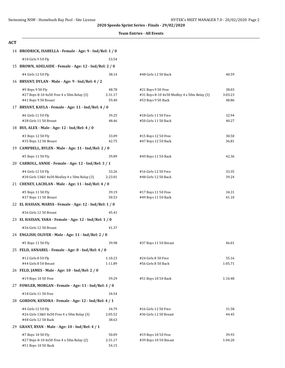|  |  | <b>Team Entries - All Events</b> |
|--|--|----------------------------------|
|--|--|----------------------------------|

| <b>ACT</b> |                                                          |                                                         |                                             |         |  |  |  |
|------------|----------------------------------------------------------|---------------------------------------------------------|---------------------------------------------|---------|--|--|--|
|            | 14 BRODRICK, ISABELLA - Female - Age: 9 - Ind/Rel: 1 / 0 |                                                         |                                             |         |  |  |  |
|            | #10 Girls 9 50 Fly                                       | 53.54                                                   |                                             |         |  |  |  |
|            |                                                          | 15 BROWN, ADELAIDE - Female - Age: 12 - Ind/Rel: 2 / 0  |                                             |         |  |  |  |
|            | #4 Girls 12 50 Fly                                       | 38.14                                                   | #48 Girls 12 50 Back                        | 40.59   |  |  |  |
|            | 16 BRYANT, DYLAN - Male - Age: 9 - Ind/Rel: 4 / 2        |                                                         |                                             |         |  |  |  |
|            | #9 Boys 9 50 Fly                                         | 48.78                                                   | #21 Boys 9 50 Free                          | 38.03   |  |  |  |
|            | #27 Boys 8-10 4x50 Free 4 x 50m Relay (3)                | 2:31.17                                                 | #31 Boys 8-10 4x50 Medley 4 x 50m Relay (3) | 3:03.23 |  |  |  |
|            | #41 Boys 9 50 Breast                                     | 59.40                                                   | #53 Boys 9 50 Back                          | 48.86   |  |  |  |
|            | 17 BRYANT, KAYLA - Female - Age: 11 - Ind/Rel: 4 / 0     |                                                         |                                             |         |  |  |  |
|            | #6 Girls 11 50 Fly                                       | 39.25                                                   | #18 Girls 11 50 Free                        | 32.94   |  |  |  |
|            | #38 Girls 11 50 Breast                                   | 48.46                                                   | #50 Girls 11 50 Back                        | 40.27   |  |  |  |
|            | 18 BUI, ALEX - Male - Age: 12 - Ind/Rel: 4 / 0           |                                                         |                                             |         |  |  |  |
|            | #3 Boys 12 50 Fly                                        | 33.09                                                   | #15 Boys 12 50 Free                         | 30.50   |  |  |  |
|            | #35 Boys 12 50 Breast                                    | 42.75                                                   | #47 Boys 12 50 Back                         | 36.81   |  |  |  |
|            | 19 CAMPBELL, RYLEN - Male - Age: 11 - Ind/Rel: 2 / 0     |                                                         |                                             |         |  |  |  |
|            | #5 Boys 11 50 Fly                                        | 39.89                                                   | #49 Boys 11 50 Back                         | 42.36   |  |  |  |
|            | 20 CARROLL, ANNIE - Female - Age: 12 - Ind/Rel: 3 / 1    |                                                         |                                             |         |  |  |  |
|            | #4 Girls 12 50 Fly                                       | 33.26                                                   | #16 Girls 12 50 Free                        | 33.35   |  |  |  |
|            | #30 Girls 13&U 4x50 Medley 4 x 50m Relay (3)             | 2:23.01                                                 | #48 Girls 12 50 Back                        | 39.24   |  |  |  |
|            | 21 CHENEY, LACHLAN - Male - Age: 11 - Ind/Rel: 4 / 0     |                                                         |                                             |         |  |  |  |
|            | #5 Boys 11 50 Fly                                        | 39.19                                                   | #17 Boys 11 50 Free                         | 34.31   |  |  |  |
|            | #37 Boys 11 50 Breast                                    | 50.53                                                   | #49 Boys 11 50 Back                         | 41.10   |  |  |  |
|            |                                                          | 22 EL HASSAN, MARYA - Female - Age: 12 - Ind/Rel: 1 / 0 |                                             |         |  |  |  |
|            | #36 Girls 12 50 Breast                                   | 45.41                                                   |                                             |         |  |  |  |
|            | 23 EL HASSAN, YARA - Female - Age: 12 - Ind/Rel: 1 / 0   |                                                         |                                             |         |  |  |  |
|            | #36 Girls 12 50 Breast                                   | 41.37                                                   |                                             |         |  |  |  |
|            | 24 ENGLISH, OLIVER - Male - Age: 11 - Ind/Rel: 2 / 0     |                                                         |                                             |         |  |  |  |
|            | #5 Boys 11 50 Fly                                        | 39.98                                                   | #37 Boys 11 50 Breast                       | 46.01   |  |  |  |
|            | 25 FELD, ANNABEL - Female - Age: 8 - Ind/Rel: 4 / 0      |                                                         |                                             |         |  |  |  |
|            | #12 Girls 8 50 Fly                                       | 1:10.23                                                 | #24 Girls 8 50 Free                         | 55.16   |  |  |  |
|            | #44 Girls 8 50 Breast                                    | 1:11.89                                                 | #56 Girls 8 50 Back                         | 1:05.71 |  |  |  |
|            | 26 FELD, JAMES - Male - Age: 10 - Ind/Rel: 2 / 0         |                                                         |                                             |         |  |  |  |
|            | #19 Boys 10 50 Free                                      | 59.29                                                   | #51 Boys 10 50 Back                         | 1:10.48 |  |  |  |
|            | 27 FOWLER, MORGAN - Female - Age: 11 - Ind/Rel: 1 / 0    |                                                         |                                             |         |  |  |  |
|            | #18 Girls 11 50 Free                                     | 34.54                                                   |                                             |         |  |  |  |
|            | 28 GORDON, KENDRA - Female - Age: 12 - Ind/Rel: 4 / 1    |                                                         |                                             |         |  |  |  |
|            | #4 Girls 12 50 Fly                                       | 34.79                                                   | #16 Girls 12 50 Free                        | 31.58   |  |  |  |
|            | #26 Girls 13&U 4x50 Free 4 x 50m Relay (3)               | 2:05.52                                                 | #36 Girls 12 50 Breast                      | 44.45   |  |  |  |
|            | #48 Girls 12 50 Back                                     | 38.63                                                   |                                             |         |  |  |  |
|            | 29 GRANT, RYAN - Male - Age: 10 - Ind/Rel: 4 / 1         |                                                         |                                             |         |  |  |  |
|            | #7 Boys 10 50 Fly                                        | 50.09                                                   | #19 Boys 10 50 Free                         | 39.93   |  |  |  |
|            | #27 Boys 8-10 4x50 Free 4 x 50m Relay (2)                | 2:31.17                                                 | #39 Boys 10 50 Breast                       | 1:04.20 |  |  |  |
|            | #51 Boys 10 50 Back                                      | 54.15                                                   |                                             |         |  |  |  |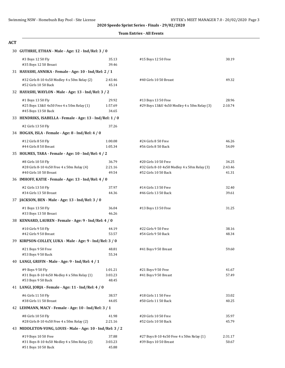#### **Team Entries - All Events**

#### **ACT**

| 30 GUTHRIE, ETHAN - Male - Age: 12 - Ind/Rel: 3 / 0                       |                    |                                                                      |                |
|---------------------------------------------------------------------------|--------------------|----------------------------------------------------------------------|----------------|
| #3 Boys 12 50 Fly<br>#35 Boys 12 50 Breast                                | 35.13<br>39.46     | #15 Boys 12 50 Free                                                  | 30.19          |
| 31 HAYASHI, ANNIKA - Female - Age: 10 - Ind/Rel: 2 / 1                    |                    |                                                                      |                |
| #32 Girls 8-10 4x50 Medley 4 x 50m Relay (2)<br>#52 Girls 10 50 Back      | 2:43.46<br>45.14   | #40 Girls 10 50 Breast                                               | 49.32          |
| 32 HAYASHI, WAYLON - Male - Age: 13 - Ind/Rel: 3 / 2                      |                    |                                                                      |                |
| #1 Boys 13 50 Fly                                                         | 29.92              | #13 Boys 13 50 Free                                                  | 28.96          |
| #25 Boys 13&U 4x50 Free 4 x 50m Relay (1)<br>#45 Boys 13 50 Back          | 1:57.69<br>34.65   | #29 Boys 13&U 4x50 Medley 4 x 50m Relay (3)                          | 2:10.74        |
| 33 HENDRIKS, ISABELLA - Female - Age: 13 - Ind/Rel: 1 / 0                 |                    |                                                                      |                |
| #2 Girls 13 50 Fly                                                        | 37.26              |                                                                      |                |
| 34 HOGAN, ISLA - Female - Age: 8 - Ind/Rel: 4 / 0                         |                    |                                                                      |                |
| #12 Girls 8 50 Fly<br>#44 Girls 8 50 Breast                               | 1:00.08<br>1:05.34 | #24 Girls 8 50 Free<br>#56 Girls 8 50 Back                           | 46.26<br>54.09 |
| 35 HOLMES, TARA - Female - Age: 10 - Ind/Rel: 4 / 2                       |                    |                                                                      |                |
|                                                                           | 36.79              |                                                                      | 34.25          |
| #8 Girls 10 50 Fly<br>#28 Girls 8-10 4x50 Free 4 x 50m Relay (4)          | 2:21.16            | #20 Girls 10 50 Free<br>#32 Girls 8-10 4x50 Medley 4 x 50m Relay (3) | 2:43.46        |
| #40 Girls 10 50 Breast                                                    | 49.54              | #52 Girls 10 50 Back                                                 | 41.31          |
| 36 IMHOFF, KATIE - Female - Age: 13 - Ind/Rel: 4 / 0                      |                    |                                                                      |                |
| #2 Girls 13 50 Fly                                                        | 37.97              | #14 Girls 13 50 Free                                                 | 32.40          |
| #34 Girls 13 50 Breast                                                    | 44.36              | #46 Girls 13 50 Back                                                 | 39.61          |
| 37 JACKSON, BEN - Male - Age: 13 - Ind/Rel: 3 / 0                         |                    |                                                                      |                |
| #1 Boys 13 50 Fly                                                         | 36.04              | #13 Boys 13 50 Free                                                  | 31.25          |
| #33 Boys 13 50 Breast                                                     | 46.26              |                                                                      |                |
| 38 KENNARD, LAUREN - Female - Age: 9 - Ind/Rel: 4 / 0                     |                    |                                                                      |                |
| #10 Girls 9 50 Fly                                                        | 44.19              | #22 Girls 9 50 Free                                                  | 38.16          |
| #42 Girls 9 50 Breast                                                     | 53.57              | #54 Girls 9 50 Back                                                  | 48.34          |
| 39 KIRPSON-COLLEY, LUKA - Male - Age: 9 - Ind/Rel: 3 / 0                  |                    |                                                                      |                |
| #21 Boys 9 50 Free                                                        | 48.81              | #41 Boys 9 50 Breast                                                 | 59.60          |
| #53 Boys 9 50 Back                                                        | 55.34              |                                                                      |                |
| 40 LANGI, GRIFIN - Male - Age: 9 - Ind/Rel: 4 / 1                         |                    |                                                                      |                |
| #9 Boys 9 50 Fly                                                          | 1:01.21            | #21 Boys 9 50 Free                                                   | 41.67          |
| #31 Boys 8-10 4x50 Medley 4 x 50m Relay (1)                               | 3:03.23            | #41 Boys 9 50 Breast                                                 | 57.49          |
| #53 Boys 9 50 Back<br>41 LANGI, JORJA - Female - Age: 11 - Ind/Rel: 4 / 0 | 48.45              |                                                                      |                |
|                                                                           |                    |                                                                      |                |
| #6 Girls 11 50 Fly<br>#38 Girls 11 50 Breast                              | 38.57<br>44.05     | #18 Girls 11 50 Free<br>#50 Girls 11 50 Back                         | 33.02<br>40.25 |
| 42 LEHMANN, MACY - Female - Age: 10 - Ind/Rel: 3 / 1                      |                    |                                                                      |                |
|                                                                           |                    |                                                                      |                |
| #8 Girls 10 50 Fly<br>#28 Girls 8-10 4x50 Free 4 x 50m Relay (2)          | 41.98<br>2:21.16   | #20 Girls 10 50 Free<br>#52 Girls 10 50 Back                         | 35.97<br>45.79 |
| 43 MIDDLETON-YONG, LOUIS - Male - Age: 10 - Ind/Rel: 3 / 2                |                    |                                                                      |                |
| #19 Boys 10 50 Free                                                       | 37.88              | #27 Boys 8-10 4x50 Free 4 x 50m Relay (1)                            | 2:31.17        |
| #31 Boys 8-10 4x50 Medley 4 x 50m Relay (2)                               | 3:03.23            | #39 Boys 10 50 Breast                                                | 50.67          |
| #51 Boys 10 50 Back                                                       | 45.88              |                                                                      |                |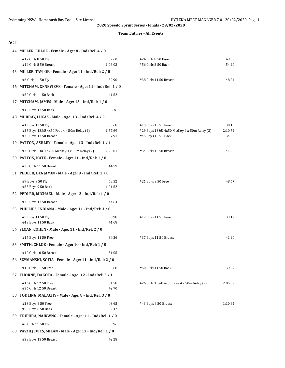#### **Team Entries - All Events**

| ×         |  |
|-----------|--|
| . .<br>۰. |  |

| 44 MILLER, CHLOE - Female - Age: 8 - Ind/Rel: 4 / 0                        |                  |                                             |         |
|----------------------------------------------------------------------------|------------------|---------------------------------------------|---------|
| #12 Girls 8 50 Fly                                                         | 57.60            | #24 Girls 8 50 Free                         | 49.50   |
| #44 Girls 8 50 Breast                                                      | 1:08.03          | #56 Girls 8 50 Back                         | 54.40   |
| 45 MILLER, TAYLOR - Female - Age: 11 - Ind/Rel: 2 / 0                      |                  |                                             |         |
| #6 Girls 11 50 Fly                                                         | 39.90            | #38 Girls 11 50 Breast                      | 48.24   |
| 46 MITCHAM, GENEVIEVE - Female - Age: 11 - Ind/Rel: 1 / 0                  |                  |                                             |         |
| #50 Girls 11 50 Back                                                       | 41.52            |                                             |         |
| 47 MITCHAM, JAMES - Male - Age: 13 - Ind/Rel: 1 / 0                        |                  |                                             |         |
| #45 Boys 13 50 Back                                                        | 38.36            |                                             |         |
| 48 MURRAY, LUCAS - Male - Age: 13 - Ind/Rel: 4 / 2                         |                  |                                             |         |
| #1 Boys 13 50 Fly                                                          | 33.68            | #13 Boys 13 50 Free                         | 30.18   |
| #25 Boys 13&U 4x50 Free 4 x 50m Relay (2)                                  | 1:57.69          | #29 Boys 13&U 4x50 Medley 4 x 50m Relay (2) | 2:10.74 |
| #33 Boys 13 50 Breast                                                      | 37.91            | #45 Boys 13 50 Back                         | 34.50   |
| 49 PATTON, ASHLEY - Female - Age: 13 - Ind/Rel: 1 / 1                      |                  |                                             |         |
| #30 Girls 13&U 4x50 Medley 4 x 50m Relay (2)                               | 2:23.01          | #34 Girls 13 50 Breast                      | 41.23   |
| 50 PATTON, KATE - Female - Age: 11 - Ind/Rel: 1 / 0                        |                  |                                             |         |
| #38 Girls 11 50 Breast                                                     | 44.59            |                                             |         |
| 51 PEDLER, BENJAMIN - Male - Age: 9 - Ind/Rel: 3 / 0                       |                  |                                             |         |
| #9 Boys 9 50 Fly                                                           | 58.52<br>1:01.52 | #21 Boys 9 50 Free                          | 48.67   |
| #53 Boys 9 50 Back<br>52 PEDLER, MICHAEL - Male - Age: 13 - Ind/Rel: 1 / 0 |                  |                                             |         |
|                                                                            |                  |                                             |         |
| #33 Boys 13 50 Breast                                                      | 44.64            |                                             |         |
| 53 PHILLIPS, INDIANA - Male - Age: 11 - Ind/Rel: 3 / 0                     |                  |                                             |         |
| #5 Boys 11 50 Fly<br>#49 Boys 11 50 Back                                   | 38.98<br>41.68   | #17 Boys 11 50 Free                         | 33.12   |
| 54 SLOAN, COHEN - Male - Age: 11 - Ind/Rel: 2 / 0                          |                  |                                             |         |
| #17 Boys 11 50 Free                                                        | 34.26            | #37 Boys 11 50 Breast                       | 41.90   |
| 55 SMITH, CHLOE - Female - Age: 10 - Ind/Rel: 1 / 0                        |                  |                                             |         |
| #40 Girls 10 50 Breast                                                     | 51.05            |                                             |         |
| 56 SZYMANSKI, SOFIA - Female - Age: 11 - Ind/Rel: 2 / 0                    |                  |                                             |         |
| #18 Girls 11 50 Free                                                       | 33.68            | #50 Girls 11 50 Back                        | 39.57   |
| 57 THORNE, DAKOTA - Female - Age: 12 - Ind/Rel: 2 / 1                      |                  |                                             |         |
|                                                                            |                  |                                             |         |
| #16 Girls 12 50 Free<br>#36 Girls 12 50 Breast                             | 31.58<br>42.70   | #26 Girls 13&U 4x50 Free 4 x 50m Relay (2)  | 2:05.52 |
| 58 TODLING, MALACHY - Male - Age: 8 - Ind/Rel: 3 / 0                       |                  |                                             |         |
| #23 Boys 8 50 Free                                                         | 43.65            | #43 Boys 8 50 Breast                        | 1:10.84 |
| #55 Boys 8 50 Back                                                         | 52.42            |                                             |         |
| 59 TRIPURA, NAIRWNG - Female - Age: 11 - Ind/Rel: 1 / 0                    |                  |                                             |         |
| #6 Girls 11 50 Fly                                                         | 38.96            |                                             |         |
| 60 VASZILJEVICS, MILAN - Male - Age: 13 - Ind/Rel: 1 / 0                   |                  |                                             |         |

#33 Boys 13 50 Breast 42.28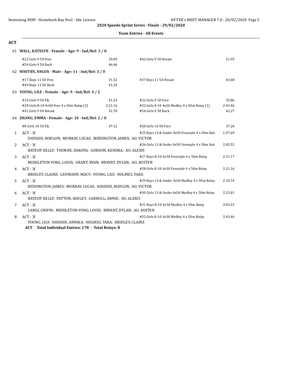#### **Team Entries - All Events**

#### **ACT**

#### 61 **WALL, KATELYN - Female - Age: 9 - Ind/Rel: 3 / 0**

|              | #22 Girls 9 50 Free                                                        | 39.09   | #42 Girls 9 50 Breast                            | 51.95   |
|--------------|----------------------------------------------------------------------------|---------|--------------------------------------------------|---------|
|              | #54 Girls 9 50 Back                                                        | 46.46   |                                                  |         |
|              | 62 WHITBY, ANGUS - Male - Age: 11 - Ind/Rel: 3 / 0                         |         |                                                  |         |
|              | #17 Boys 11 50 Free                                                        | 31.52   | #37 Boys 11 50 Breast                            | 43.68   |
|              | #49 Boys 11 50 Back                                                        | 41.24   |                                                  |         |
|              | 63 YOUNG, LILY - Female - Age: 9 - Ind/Rel: 4 / 2                          |         |                                                  |         |
|              | #10 Girls 9 50 Fly                                                         | 41.24   | #22 Girls 9 50 Free                              | 35.86   |
|              | #28 Girls 8-10 4x50 Free 4 x 50m Relay (3)                                 | 2:21.16 | #32 Girls 8-10 4x50 Medley 4 x 50m Relay (1)     | 2:43.46 |
|              | #42 Girls 9 50 Breast                                                      | 51.70   | #54 Girls 9 50 Back                              | 42.27   |
|              | 64 ZHANG, EMMA - Female - Age: 10 - Ind/Rel: 2 / 0                         |         |                                                  |         |
|              | #8 Girls 10 50 Fly                                                         | 47.12   | #20 Girls 10 50 Free                             | 37.26   |
| $\mathbf{1}$ | ACT - 'A'<br>HAYASHI, WAYLON; MURRAY, LUCAS; BIDDINGTON, JAMES; AU, VICTOR |         | #25 Boys 13 & Under 4x50 Freestyle 4 x 50m Rela  | 1:57.69 |
| 2            | $ACT - 'A'$                                                                |         | #26 Girls 13 & Under 4x50 Freestyle 4 x 50m Rela | 2:05.52 |
|              | BATEUP, KELLY; THORNE, DAKOTA; GORDON, KENDRA; AU, ALEXIS                  |         |                                                  |         |
| 3            | ACT - 'A'                                                                  |         | #27 Boys 8-10 4x50 Freestyle 4 x 50m Relay       | 2:31.17 |
|              | MIDDLETON-YONG, LOUIS; GRANT, RYAN; BRYANT, DYLAN; AU, AUSTEN              |         |                                                  |         |
| 4            | ACT - 'A'                                                                  |         | #28 Girls 8-10 4x50 Freestyle 4 x 50m Relay      | 2:21.16 |
|              | BRIDLEY, CLAIRE; LEHMANN, MACY; YOUNG, LILY; HOLMES, TARA                  |         |                                                  |         |
| 5.           | $ACT - 'A'$                                                                |         | #29 Boys 13 & Under 4x50 Medley 4 x 50m Relay    | 2:10.74 |
|              | BIDDINGTON, JAMES; MURRAY, LUCAS; HAYASHI, WAYLON; AU, VICTOR              |         |                                                  |         |
| 6            | $ACT - 'A'$                                                                |         | #30 Girls 13 & Under 4x50 Medley 4 x 50m Relay   | 2:23.01 |
|              | BATEUP, KELLY; PATTON, ASHLEY; CARROLL, ANNIE; AU, ALEXIS                  |         |                                                  |         |
| 7            | $ACT - 'A'$                                                                |         | #31 Boys 8-10 4x50 Medley 4 x 50m Relay          | 3:03.23 |
|              | LANGI, GRIFIN; MIDDLETON-YONG, LOUIS; BRYANT, DYLAN; AU, AUSTEN            |         |                                                  |         |
| 8            | ACT - 'A'                                                                  |         | #32 Girls 8-10 4x50 Medley 4 x 50m Relay         | 2:43.46 |
|              | YOUNG, LILY; HAYASHI, ANNIKA; HOLMES, TARA; BRIDLEY, CLAIRE                |         |                                                  |         |
|              | Total Individual Entries: 178 - Total Relays: 8<br><b>ACT</b>              |         |                                                  |         |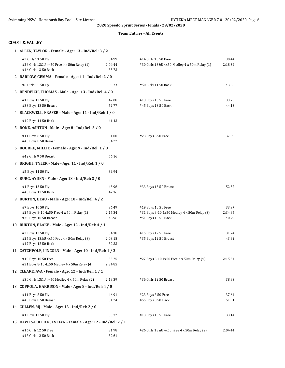#### **Team Entries - All Events**

#### **COAST & VALLEY**

|    | 1 ALLEN, TAYLOR - Female - Age: 13 - Ind/Rel: 3 / 2                                      |                           |                                                                      |                  |
|----|------------------------------------------------------------------------------------------|---------------------------|----------------------------------------------------------------------|------------------|
|    | #2 Girls 13 50 Fly<br>#26 Girls 13&U 4x50 Free 4 x 50m Relay (1)<br>#46 Girls 13 50 Back | 34.99<br>2:04.44<br>35.73 | #14 Girls 13 50 Free<br>#30 Girls 13&U 4x50 Medley 4 x 50m Relay (1) | 30.44<br>2:18.39 |
|    | 2 BARLOW, GEMMA - Female - Age: 11 - Ind/Rel: 2 / 0                                      |                           |                                                                      |                  |
|    | #6 Girls 11 50 Fly                                                                       | 39.73                     | #50 Girls 11 50 Back                                                 | 43.65            |
|    | 3 BENDEICH, THOMAS - Male - Age: 13 - Ind/Rel: 4 / 0                                     |                           |                                                                      |                  |
|    | #1 Boys 13 50 Fly<br>#33 Boys 13 50 Breast                                               | 42.08<br>52.77            | #13 Boys 13 50 Free<br>#45 Boys 13 50 Back                           | 33.70<br>44.13   |
|    | 4 BLACKWELL, FRASER - Male - Age: 11 - Ind/Rel: 1 / 0                                    |                           |                                                                      |                  |
|    | #49 Boys 11 50 Back                                                                      | 41.43                     |                                                                      |                  |
|    | 5 BONE, ASHTON - Male - Age: 8 - Ind/Rel: 3 / 0                                          |                           |                                                                      |                  |
|    | #11 Boys 8 50 Fly<br>#43 Boys 8 50 Breast                                                | 51.00<br>54.22            | #23 Boys 8 50 Free                                                   | 37.09            |
|    | 6 BOURKE, MILLIE - Female - Age: 9 - Ind/Rel: 1 / 0                                      |                           |                                                                      |                  |
|    | #42 Girls 9 50 Breast                                                                    | 56.16                     |                                                                      |                  |
|    | 7 BRIGHT, TYLER - Male - Age: 11 - Ind/Rel: 1 / 0                                        |                           |                                                                      |                  |
|    | #5 Boys 11 50 Fly                                                                        | 39.94                     |                                                                      |                  |
|    | 8 BURG, AYDEN - Male - Age: 13 - Ind/Rel: 3 / 0                                          |                           |                                                                      |                  |
|    | #1 Boys 13 50 Fly<br>#45 Boys 13 50 Back                                                 | 45.96<br>42.16            | #33 Boys 13 50 Breast                                                | 52.32            |
| 9. | BURTON, BEAU - Male - Age: 10 - Ind/Rel: 4 / 2                                           |                           |                                                                      |                  |
|    | #7 Boys 10 50 Fly                                                                        | 36.49                     | #19 Boys 10 50 Free                                                  | 33.97            |
|    | #27 Boys 8-10 4x50 Free 4 x 50m Relay (1)<br>#39 Boys 10 50 Breast                       | 2:15.34<br>48.96          | #31 Boys 8-10 4x50 Medley 4 x 50m Relay (3)<br>#51 Boys 10 50 Back   | 2:34.85<br>40.79 |
|    | 10 BURTON, BLAKE - Male - Age: 12 - Ind/Rel: 4 / 1                                       |                           |                                                                      |                  |
|    | #3 Boys 12 50 Fly<br>#25 Boys 13&U 4x50 Free 4 x 50m Relay (3)<br>#47 Boys 12 50 Back    | 34.18<br>2:03.18<br>39.33 | #15 Boys 12 50 Free<br>#35 Boys 12 50 Breast                         | 31.74<br>43.82   |
|    | 11 CATCHPOLE, LINCOLN - Male - Age: 10 - Ind/Rel: 1 / 2                                  |                           |                                                                      |                  |
|    | #19 Boys 10 50 Free<br>#31 Boys 8-10 4x50 Medley 4 x 50m Relay (4)                       | 33.25<br>2:34.85          | #27 Boys 8-10 4x50 Free 4 x 50m Relay (4)                            | 2:15.34          |
|    | 12 CLEARE, AVA - Female - Age: 12 - Ind/Rel: 1 / 1                                       |                           |                                                                      |                  |
|    | #30 Girls 13&U 4x50 Medley 4 x 50m Relay (2)                                             | 2:18.39                   | #36 Girls 12 50 Breast                                               | 38.83            |
|    | 13 COPPOLA, HARRISON - Male - Age: 8 - Ind/Rel: 4 / 0                                    |                           |                                                                      |                  |
|    | #11 Boys 8 50 Fly<br>#43 Boys 8 50 Breast                                                | 46.91<br>51.24            | #23 Boys 8 50 Free<br>#55 Boys 8 50 Back                             | 37.64<br>51.01   |
|    | 14 CULLEN, MJ - Male - Age: 13 - Ind/Rel: 2 / 0                                          |                           |                                                                      |                  |
|    | #1 Boys 13 50 Fly                                                                        | 35.72                     | #13 Boys 13 50 Free                                                  | 33.14            |
|    | 15 DAVIES-FULLICK, EVELYN - Female - Age: 12 - Ind/Rel: 2 / 1                            |                           |                                                                      |                  |
|    | #16 Girls 12 50 Free<br>#48 Girls 12 50 Back                                             | 31.98<br>39.61            | #26 Girls 13&U 4x50 Free 4 x 50m Relay (2)                           | 2:04.44          |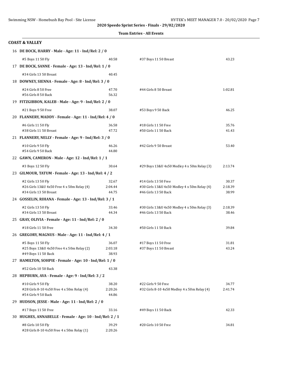#### **Team Entries - All Events**

| <b>COAST &amp; VALLEY</b>                                            |                  |                                                                      |                  |
|----------------------------------------------------------------------|------------------|----------------------------------------------------------------------|------------------|
| 16 DE BOCK, HARRY - Male - Age: 11 - Ind/Rel: 2 / 0                  |                  |                                                                      |                  |
| #5 Boys 11 50 Fly                                                    | 40.58            | #37 Boys 11 50 Breast                                                | 43.23            |
| 17 DE BOCK, SANNE - Female - Age: 13 - Ind/Rel: 1 / 0                |                  |                                                                      |                  |
| #34 Girls 13 50 Breast                                               | 40.45            |                                                                      |                  |
| 18 DOWNEY, SIENNA - Female - Age: 8 - Ind/Rel: 3 / 0                 |                  |                                                                      |                  |
| #24 Girls 8 50 Free                                                  | 47.70            | #44 Girls 8 50 Breast                                                | 1:02.81          |
| #56 Girls 8 50 Back                                                  | 56.32            |                                                                      |                  |
| 19 FITZGIBBON, KALEB - Male - Age: 9 - Ind/Rel: 2 / 0                |                  |                                                                      |                  |
| #21 Boys 9 50 Free                                                   | 38.07            | #53 Boys 9 50 Back                                                   | 46.25            |
| 20 FLANNERY, MADDY - Female - Age: 11 - Ind/Rel: 4 / 0               |                  |                                                                      |                  |
| #6 Girls 11 50 Fly                                                   | 36.58            | #18 Girls 11 50 Free                                                 | 35.76            |
| #38 Girls 11 50 Breast                                               | 47.72            | #50 Girls 11 50 Back                                                 | 41.43            |
| 21 FLANNERY, NELLY - Female - Age: 9 - Ind/Rel: 3 / 0                |                  |                                                                      |                  |
| #10 Girls 9 50 Fly                                                   | 46.26            | #42 Girls 9 50 Breast                                                | 53.40            |
| #54 Girls 9 50 Back                                                  | 44.80            |                                                                      |                  |
| 22 GAWN, CAMERON - Male - Age: 12 - Ind/Rel: 1 / 1                   |                  |                                                                      |                  |
| #3 Boys 12 50 Fly                                                    | 30.64            | #29 Boys 13&U 4x50 Medley 4 x 50m Relay (3)                          | 2:13.74          |
| 23 GILMOUR, TATUM - Female - Age: 13 - Ind/Rel: 4 / 2                |                  |                                                                      |                  |
| #2 Girls 13 50 Fly                                                   | 32.67            | #14 Girls 13 50 Free                                                 | 30.37            |
| #26 Girls 13&U 4x50 Free 4 x 50m Relay (4)<br>#34 Girls 13 50 Breast | 2:04.44<br>44.75 | #30 Girls 13&U 4x50 Medley 4 x 50m Relay (4)<br>#46 Girls 13 50 Back | 2:18.39<br>38.99 |
| 24 GOSSELIN, RIHANA - Female - Age: 13 - Ind/Rel: 3 / 1              |                  |                                                                      |                  |
| #2 Girls 13 50 Fly                                                   | 33.46            | #30 Girls 13&U 4x50 Medley 4 x 50m Relay (3)                         | 2:18.39          |
| #34 Girls 13 50 Breast                                               | 44.34            | #46 Girls 13 50 Back                                                 | 38.46            |
| 25 GRAY, OLIVIA - Female - Age: 11 - Ind/Rel: 2 / 0                  |                  |                                                                      |                  |
| #18 Girls 11 50 Free                                                 | 34.30            | #50 Girls 11 50 Back                                                 | 39.84            |
| 26 GREGORY, MAGNUS - Male - Age: 11 - Ind/Rel: 4 / 1                 |                  |                                                                      |                  |
| #5 Boys 11 50 Fly                                                    | 36.07            | #17 Boys 11 50 Free                                                  | 31.81            |
| #25 Boys 13&U 4x50 Free 4 x 50m Relay (2)                            | 2:03.18          | #37 Boys 11 50 Breast                                                | 43.24            |
| #49 Boys 11 50 Back                                                  | 38.93            |                                                                      |                  |
| 27 HAMILTON, SOHPIE - Female - Age: 10 - Ind/Rel: 1 / 0              |                  |                                                                      |                  |
| #52 Girls 10 50 Back                                                 | 43.38            |                                                                      |                  |
| 28 HEPBURN, AVA - Female - Age: 9 - Ind/Rel: 3 / 2                   |                  |                                                                      |                  |
| #10 Girls 9 50 Fly<br>#28 Girls 8-10 4x50 Free 4 x 50m Relay (4)     | 38.20<br>2:20.26 | #22 Girls 9 50 Free<br>#32 Girls 8-10 4x50 Medley 4 x 50m Relay (4)  | 34.77<br>2:41.74 |
| #54 Girls 9 50 Back                                                  | 44.86            |                                                                      |                  |
| 29 HUDSON, JESSE - Male - Age: 11 - Ind/Rel: 2 / 0                   |                  |                                                                      |                  |
| #17 Boys 11 50 Free                                                  | 33.16            | #49 Boys 11 50 Back                                                  | 42.33            |
| 30 HUGHES, ANNABELLE - Female - Age: 10 - Ind/Rel: 2 / 1             |                  |                                                                      |                  |
| #8 Girls 10 50 Fly                                                   | 39.29            | #20 Girls 10 50 Free                                                 | 34.81            |
| #28 Girls 8-10 4x50 Free 4 x 50m Relay (1)                           | 2:20.26          |                                                                      |                  |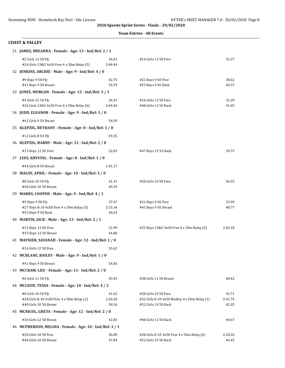#### **Team Entries - All Events**

#### **COAST & VALLEY**

| 31 JAMES, BREANNA - Female - Age: 13 - Ind/Rel: 2 / 1            |                  |                                                                    |                  |
|------------------------------------------------------------------|------------------|--------------------------------------------------------------------|------------------|
| #2 Girls 13 50 Fly<br>#26 Girls 13&U 4x50 Free 4 x 50m Relay (5) | 34.61<br>2:04.44 | #14 Girls 13 50 Free                                               | 32.27            |
| 32 JENKINS, ARCHIE - Male - Age: 9 - Ind/Rel: 4 / 0              |                  |                                                                    |                  |
| #9 Boys 9 50 Fly<br>#41 Boys 9 50 Breast                         | 42.75<br>54.59   | #21 Boys 9 50 Free<br>#53 Boys 9 50 Back                           | 38.62<br>45.57   |
| 33 JONES, MORGAN - Female - Age: 12 - Ind/Rel: 3 / 1             |                  |                                                                    |                  |
| #4 Girls 12 50 Fly                                               | 36.31            | #16 Girls 12 50 Free                                               | 32.29            |
| #26 Girls 13&U 4x50 Free 4 x 50m Relay (6)                       | 2:04.44          | #48 Girls 12 50 Back                                               | 41.05            |
| 34 JUDD, ELEANOR - Female - Age: 9 - Ind/Rel: 1 / 0              |                  |                                                                    |                  |
| #42 Girls 9 50 Breast                                            | 54.59            |                                                                    |                  |
| 35 KLEPZIG, BETHANY - Female - Age: 8 - Ind/Rel: 1 / 0           |                  |                                                                    |                  |
| #12 Girls 8 50 Fly                                               | 59.35            |                                                                    |                  |
| 36 KLEPZIG, HARRY - Male - Age: 12 - Ind/Rel: 2 / 0              |                  |                                                                    |                  |
| #15 Boys 12 50 Free                                              | 32.83            | #47 Boys 12 50 Back                                                | 39.75            |
| 37 LEES, KRYSTAL - Female - Age: 8 - Ind/Rel: 1 / 0              |                  |                                                                    |                  |
| #44 Girls 8 50 Breast                                            | 1:01.17          |                                                                    |                  |
| 38 MALOY, APRIL - Female - Age: 10 - Ind/Rel: 3 / 0              |                  |                                                                    |                  |
|                                                                  | 41.31            |                                                                    | 36.55            |
| #8 Girls 10 50 Fly<br>#40 Girls 10 50 Breast                     | 49.39            | #20 Girls 10 50 Free                                               |                  |
| 39 MARKS, COOPER - Male - Age: 9 - Ind/Rel: 4 / 1                |                  |                                                                    |                  |
| #9 Boys 9 50 Fly                                                 | 37.47            | #21 Boys 9 50 Free                                                 | 33.99            |
| #27 Boys 8-10 4x50 Free 4 x 50m Relay (3)                        | 2:15.34          | #41 Boys 9 50 Breast                                               | 48.77            |
| #53 Boys 9 50 Back                                               | 40.23            |                                                                    |                  |
| 40 MARTIN, JACK - Male - Age: 12 - Ind/Rel: 2 / 1                |                  |                                                                    |                  |
| #15 Boys 12 50 Free                                              | 31.99            | #25 Boys 13&U 4x50 Free 4 x 50m Relay (5)                          | 2:03.18          |
| #35 Boys 12 50 Breast                                            | 44.80            |                                                                    |                  |
| 41 MAYNIER, SAVANAH - Female - Age: 12 - Ind/Rel: 1 / 0          |                  |                                                                    |                  |
| #16 Girls 12 50 Free                                             | 33.62            |                                                                    |                  |
| 42 MCBLANE, BAILEY - Male - Age: 9 - Ind/Rel: 1 / 0              |                  |                                                                    |                  |
| #41 Boys 9 50 Breast                                             | 54.83            |                                                                    |                  |
| 43 MCCRAW, LILY - Female - Age: 11 - Ind/Rel: 2 / 0              |                  |                                                                    |                  |
| #6 Girls 11 50 Fly                                               | 43.43            | #38 Girls 11 50 Breast                                             | 48.42            |
| 44 MCLEOD, TESSA - Female - Age: 10 - Ind/Rel: 4 / 2             |                  |                                                                    |                  |
| #8 Girls 10 50 Fly                                               | 41.62            | #20 Girls 10 50 Free                                               | 35.71            |
| #28 Girls 8-10 4x50 Free 4 x 50m Relay (2)                       | 2:20.26          | #32 Girls 8-10 4x50 Medley 4 x 50m Relay (1)                       | 2:41.74          |
| #40 Girls 10 50 Breast                                           | 50.56            | #52 Girls 10 50 Back                                               | 42.35            |
| 45 MCNICOL, GRETA - Female - Age: 12 - Ind/Rel: 2 / 0            |                  |                                                                    |                  |
| #36 Girls 12 50 Breast                                           | 42.83            | #48 Girls 12 50 Back                                               | 40.67            |
| 46 MCPHERSON, MELINA - Female - Age: 10 - Ind/Rel: 3 / 1         |                  |                                                                    |                  |
| #20 Girls 10 50 Free<br>#40 Girls 10 50 Breast                   | 36.00<br>47.84   | #28 Girls 8-10 4x50 Free 4 x 50m Relay (6)<br>#52 Girls 10 50 Back | 2:20.26<br>44.45 |
|                                                                  |                  |                                                                    |                  |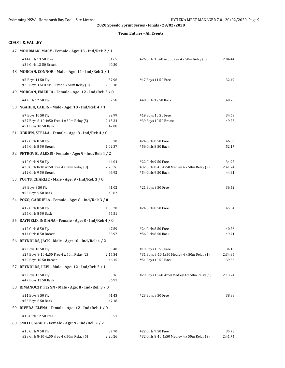|  |  | <b>Team Entries - All Events</b> |
|--|--|----------------------------------|
|--|--|----------------------------------|

#### **COAST & VALLEY**

| 47 MOORMAN, MACY - Female - Age: 13 - Ind/Rel: 2 / 1                                  |                           |                                                                     |                  |  |
|---------------------------------------------------------------------------------------|---------------------------|---------------------------------------------------------------------|------------------|--|
| #14 Girls 13 50 Free<br>#34 Girls 13 50 Breast                                        | 31.65<br>40.30            | #26 Girls 13&U 4x50 Free 4 x 50m Relay (3)                          | 2:04.44          |  |
| 48 MORGAN, CONNOR - Male - Age: 11 - Ind/Rel: 2 / 1                                   |                           |                                                                     |                  |  |
| #5 Boys 11 50 Fly<br>#25 Boys 13&U 4x50 Free 4 x 50m Relay (6)                        | 37.96<br>2:03.18          | #17 Boys 11 50 Free                                                 | 32.49            |  |
| 49 MORGAN, EMEILIA - Female - Age: 12 - Ind/Rel: 2 / 0                                |                           |                                                                     |                  |  |
| #4 Girls 12 50 Fly                                                                    | 37.58                     | #48 Girls 12 50 Back                                                | 40.70            |  |
| 50 NGAHEU, CAILIN - Male - Age: 10 - Ind/Rel: 4 / 1                                   |                           |                                                                     |                  |  |
| #7 Boys 10 50 Fly<br>#27 Boys 8-10 4x50 Free 4 x 50m Relay (5)<br>#51 Boys 10 50 Back | 39.99<br>2:15.34<br>42.08 | #19 Boys 10 50 Free<br>#39 Boys 10 50 Breast                        | 34.69<br>49.25   |  |
| 51 OBRIEN, STELLA - Female - Age: 8 - Ind/Rel: 4 / 0                                  |                           |                                                                     |                  |  |
| #12 Girls 8 50 Fly                                                                    | 55.70                     | #24 Girls 8 50 Free                                                 | 46.86            |  |
| #44 Girls 8 50 Breast                                                                 | 1:02.37                   | #56 Girls 8 50 Back                                                 | 52.17            |  |
| 52 PETROVIC, ALEXIS - Female - Age: 9 - Ind/Rel: 4 / 2                                |                           |                                                                     |                  |  |
| #10 Girls 9 50 Fly                                                                    | 44.04                     | #22 Girls 9 50 Free                                                 | 34.97<br>2:41.74 |  |
| #28 Girls 8-10 4x50 Free 4 x 50m Relay (3)<br>#42 Girls 9 50 Breast                   | 2:20.26<br>46.92          | #32 Girls 8-10 4x50 Medley 4 x 50m Relay (2)<br>#54 Girls 9 50 Back | 44.81            |  |
| 53 POTTS, CHARLIE - Male - Age: 9 - Ind/Rel: 3 / 0                                    |                           |                                                                     |                  |  |
| #9 Boys 9 50 Fly                                                                      | 41.02                     | #21 Boys 9 50 Free                                                  | 36.42            |  |
| #53 Boys 9 50 Back                                                                    | 40.82                     |                                                                     |                  |  |
| 54 POZO, GABRIELA - Female - Age: 8 - Ind/Rel: 3 / 0                                  |                           |                                                                     |                  |  |
| #12 Girls 8 50 Fly                                                                    | 1:00.20                   | #24 Girls 8 50 Free                                                 | 45.54            |  |
| #56 Girls 8 50 Back                                                                   | 55.51                     |                                                                     |                  |  |
| 55 RAYFIELD, INDIANA - Female - Age: 8 - Ind/Rel: 4 / 0                               |                           |                                                                     |                  |  |
| #12 Girls 8 50 Fly                                                                    | 47.59                     | #24 Girls 8 50 Free                                                 | 40.26            |  |
| #44 Girls 8 50 Breast                                                                 | 58.97                     | #56 Girls 8 50 Back                                                 | 49.71            |  |
| 56 REYNOLDS, JACK - Male - Age: 10 - Ind/Rel: 4 / 2                                   |                           |                                                                     |                  |  |
| #7 Boys 10 50 Fly                                                                     | 39.40                     | #19 Boys 10 50 Free                                                 | 34.13            |  |
| #27 Boys 8-10 4x50 Free 4 x 50m Relay (2)<br>#39 Boys 10 50 Breast                    | 2:15.34<br>46.15          | #31 Boys 8-10 4x50 Medley 4 x 50m Relay (1)<br>#51 Boys 10 50 Back  | 2:34.85<br>39.53 |  |
| 57 REYNOLDS, LEVI - Male - Age: 12 - Ind/Rel: 2 / 1                                   |                           |                                                                     |                  |  |
| #3 Boys 12 50 Fly<br>#47 Boys 12 50 Back                                              | 35.16<br>36.91            | #29 Boys 13&U 4x50 Medley 4 x 50m Relay (1)                         | 2:13.74          |  |
| 58 RIMANOCZY, FLYNN - Male - Age: 8 - Ind/Rel: 3 / 0                                  |                           |                                                                     |                  |  |
| #11 Boys 8 50 Fly<br>#55 Boys 8 50 Back                                               | 41.43<br>47.18            | #23 Boys 8 50 Free                                                  | 38.88            |  |
| 59 RIVERA, ELENA - Female - Age: 12 - Ind/Rel: 1 / 0                                  |                           |                                                                     |                  |  |
| #16 Girls 12 50 Free                                                                  | 33.51                     |                                                                     |                  |  |
| 60 SMITH, GRACE - Female - Age: 9 - Ind/Rel: 2 / 2                                    |                           |                                                                     |                  |  |
| #10 Girls 9 50 Fly                                                                    | 37.70                     | #22 Girls 9 50 Free                                                 | 35.73            |  |
| #28 Girls 8-10 4x50 Free 4 x 50m Relay (5)                                            | 2:20.26                   | #32 Girls 8-10 4x50 Medley 4 x 50m Relay (3)                        | 2:41.74          |  |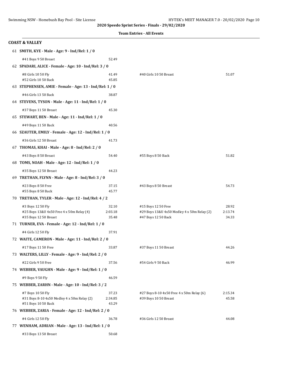|                                                                                         |                           | <b>Team Entries - All Events</b>                                                          |                           |
|-----------------------------------------------------------------------------------------|---------------------------|-------------------------------------------------------------------------------------------|---------------------------|
| <b>COAST &amp; VALLEY</b>                                                               |                           |                                                                                           |                           |
| 61 SMITH, KYE - Male - Age: 9 - Ind/Rel: 1 / 0                                          |                           |                                                                                           |                           |
| #41 Boys 9 50 Breast                                                                    | 52.49                     |                                                                                           |                           |
| 62 SPADARI, ALICE - Female - Age: 10 - Ind/Rel: 3 / 0                                   |                           |                                                                                           |                           |
| #8 Girls 10 50 Fly<br>#52 Girls 10 50 Back                                              | 41.49<br>45.85            | #40 Girls 10 50 Breast                                                                    | 51.07                     |
| 63 STEPHENSEN, AMIE - Female - Age: 13 - Ind/Rel: 1 / 0                                 |                           |                                                                                           |                           |
| #46 Girls 13 50 Back                                                                    | 38.87                     |                                                                                           |                           |
| 64 STEVENS, TYSON - Male - Age: 11 - Ind/Rel: 1 / 0                                     |                           |                                                                                           |                           |
| #37 Boys 11 50 Breast                                                                   | 45.30                     |                                                                                           |                           |
| 65 STEWART, BEN - Male - Age: 11 - Ind/Rel: 1 / 0                                       |                           |                                                                                           |                           |
| #49 Boys 11 50 Back                                                                     | 40.56                     |                                                                                           |                           |
| 66 SZAUTER, EMILY - Female - Age: 12 - Ind/Rel: 1 / 0                                   |                           |                                                                                           |                           |
| #36 Girls 12 50 Breast                                                                  | 41.73                     |                                                                                           |                           |
| 67 THOMAS, KHAI - Male - Age: 8 - Ind/Rel: 2 / 0                                        |                           |                                                                                           |                           |
| #43 Boys 8 50 Breast                                                                    | 54.40                     | #55 Boys 8 50 Back                                                                        | 51.82                     |
| 68 TOMS, NOAH - Male - Age: 12 - Ind/Rel: 1 / 0                                         |                           |                                                                                           |                           |
| #35 Boys 12 50 Breast                                                                   | 44.23                     |                                                                                           |                           |
| 69 TRETHAN, FLYNN - Male - Age: 8 - Ind/Rel: 3 / 0                                      |                           |                                                                                           |                           |
| #23 Boys 8 50 Free<br>#55 Boys 8 50 Back                                                | 37.15<br>45.77            | #43 Boys 8 50 Breast                                                                      | 54.73                     |
| 70 TRETHAN, TYLER - Male - Age: 12 - Ind/Rel: 4 / 2                                     |                           |                                                                                           |                           |
| #3 Boys 12 50 Fly<br>#25 Boys 13&U 4x50 Free 4 x 50m Relay (4)<br>#35 Boys 12 50 Breast | 32.10<br>2:03.18<br>35.48 | #15 Boys 12 50 Free<br>#29 Boys 13&U 4x50 Medley 4 x 50m Relay (2)<br>#47 Boys 12 50 Back | 28.92<br>2:13.74<br>34.33 |
| 71 TURNER, EVA - Female - Age: 12 - Ind/Rel: 1 / 0                                      |                           |                                                                                           |                           |
| #4 Girls 12 50 Fly                                                                      | 37.91                     |                                                                                           |                           |
| 72 WAITE, CAMERON - Male - Age: 11 - Ind/Rel: 2 / 0                                     |                           |                                                                                           |                           |
| #17 Boys 11 50 Free                                                                     | 33.87                     | #37 Boys 11 50 Breast                                                                     | 44.26                     |
| 73 WALTERS, LILLY - Female - Age: 9 - Ind/Rel: 2 / 0                                    |                           |                                                                                           |                           |
| #22 Girls 9 50 Free                                                                     | 37.56                     | #54 Girls 9 50 Back                                                                       | 46.99                     |
| 74 WEBBER, VAUGHN - Male - Age: 9 - Ind/Rel: 1 / 0                                      |                           |                                                                                           |                           |
| #9 Boys 9 50 Fly                                                                        | 46.59                     |                                                                                           |                           |
| 75 WEBBER, ZARHN - Male - Age: 10 - Ind/Rel: 3 / 2                                      |                           |                                                                                           |                           |
| #7 Boys 10 50 Fly<br>#31 Boys 8-10 4x50 Medley 4 x 50m Relay (2)<br>#51 Boys 10 50 Back | 37.23<br>2:34.85<br>43.29 | #27 Boys 8-10 4x50 Free 4 x 50m Relay (6)<br>#39 Boys 10 50 Breast                        | 2:15.34<br>45.58          |
| 76 WEBBER, ZARIA - Female - Age: 12 - Ind/Rel: 2 / 0                                    |                           |                                                                                           |                           |
| #4 Girls 12 50 Fly                                                                      | 36.78                     | #36 Girls 12 50 Breast                                                                    | 44.08                     |
| 77 WENHAM, ADRIAN - Male - Age: 13 - Ind/Rel: 1 / 0                                     |                           |                                                                                           |                           |
| #33 Boys 13 50 Breast                                                                   | 50.68                     |                                                                                           |                           |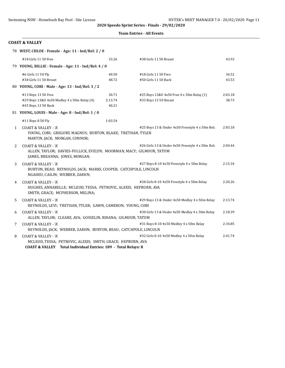|  | <b>Team Entries - All Events</b> |  |  |
|--|----------------------------------|--|--|
|--|----------------------------------|--|--|

#### **COAST & VALLEY**

|              | 78 WEST, CHLOE - Female - Age: 11 - Ind/Rel: 2 / 0                                                                                                              |         |                                                  |         |
|--------------|-----------------------------------------------------------------------------------------------------------------------------------------------------------------|---------|--------------------------------------------------|---------|
|              | #18 Girls 11 50 Free                                                                                                                                            | 33.26   | #38 Girls 11 50 Breast                           | 43.93   |
|              | 79 YOUNG, BILLIE - Female - Age: 11 - Ind/Rel: 4 / 0                                                                                                            |         |                                                  |         |
|              | #6 Girls 11 50 Fly                                                                                                                                              | 40.50   | #18 Girls 11 50 Free                             | 34.52   |
|              | #38 Girls 11 50 Breast                                                                                                                                          | 48.72   | #50 Girls 11 50 Back                             | 43.53   |
|              | 80 YOUNG, COBI - Male - Age: 13 - Ind/Rel: 3 / 2                                                                                                                |         |                                                  |         |
|              | #13 Boys 13 50 Free                                                                                                                                             | 30.71   | #25 Boys 13&U 4x50 Free 4 x 50m Relay (1)        | 2:03.18 |
|              | #29 Boys 13&U 4x50 Medley 4 x 50m Relay (4)                                                                                                                     | 2:13.74 | #33 Boys 13 50 Breast                            | 38.73   |
|              | #45 Boys 13 50 Back                                                                                                                                             | 40.21   |                                                  |         |
|              | 81 YOUNG, LOUIS - Male - Age: 8 - Ind/Rel: 1 / 0                                                                                                                |         |                                                  |         |
|              | #11 Boys 8 50 Fly                                                                                                                                               | 1:03.54 |                                                  |         |
| $\mathbf{1}$ | <b>COAST &amp; VALLEY - 'A'</b><br>YOUNG, COBI; GREGORY, MAGNUS; BURTON, BLAKE; TRETHAN, TYLER<br>MARTIN, JACK; MORGAN, CONNOR;                                 |         | #25 Boys 13 & Under 4x50 Freestyle 4 x 50m Rela  | 2:03.18 |
| 2            | <b>COAST &amp; VALLEY - 'A'</b><br>ALLEN, TAYLOR; DAVIES-FULLICK, EVELYN; MOORMAN, MACY; GILMOUR, TATUM<br>JAMES, BREANNA; JONES, MORGAN;                       |         | #26 Girls 13 & Under 4x50 Freestyle 4 x 50m Rela | 2:04.44 |
| 3            | <b>COAST &amp; VALLEY - 'A'</b><br>BURTON, BEAU; REYNOLDS, JACK; MARKS, COOPER; CATCHPOLE, LINCOLN<br>NGAHEU, CAILIN; WEBBER, ZARHN;                            |         | #27 Boys 8-10 4x50 Freestyle 4 x 50m Relay       | 2:15.34 |
| 4            | <b>COAST &amp; VALLEY - 'A'</b><br>HUGHES, ANNABELLE; MCLEOD, TESSA; PETROVIC, ALEXIS; HEPBURN, AVA<br>SMITH, GRACE; MCPHERSON, MELINA;                         |         | #28 Girls 8-10 4x50 Freestyle 4 x 50m Relay      | 2:20.26 |
| 5            | <b>COAST &amp; VALLEY - 'A'</b><br>REYNOLDS, LEVI; TRETHAN, TYLER; GAWN, CAMERON; YOUNG, COBI                                                                   |         | #29 Boys 13 & Under 4x50 Medley 4 x 50m Relay    | 2:13.74 |
| 6            | <b>COAST &amp; VALLEY - 'A'</b><br>ALLEN, TAYLOR; CLEARE, AVA; GOSSELIN, RIHANA; GILMOUR, TATUM                                                                 |         | #30 Girls 13 & Under 4x50 Medley 4 x 50m Relay   | 2:18.39 |
| 7            | <b>COAST &amp; VALLEY - 'A'</b><br>REYNOLDS, JACK; WEBBER, ZARHN; BURTON, BEAU; CATCHPOLE, LINCOLN                                                              |         | #31 Boys 8-10 4x50 Medley 4 x 50m Relay          | 2:34.85 |
| 8            | <b>COAST &amp; VALLEY - 'A'</b><br>MCLEOD, TESSA; PETROVIC, ALEXIS; SMITH, GRACE; HEPBURN, AVA<br>COAST & VALLEY Total Individual Entrice 190 - Total Dolaver 9 |         | #32 Girls 8-10 4x50 Medley 4 x 50m Relay         | 2:41.74 |

**COAST & VALLEY Total Individual Entries: 189 - Total Relays: 8**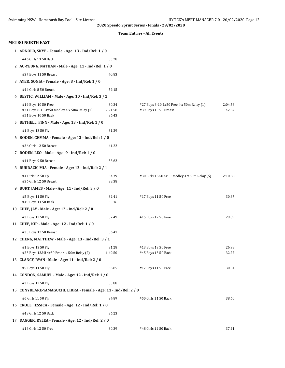|  | <b>Team Entries - All Events</b> |  |  |
|--|----------------------------------|--|--|
|--|----------------------------------|--|--|

| <b>METRO NORTH EAST</b>                                                                   |                           |                                                                    |                  |
|-------------------------------------------------------------------------------------------|---------------------------|--------------------------------------------------------------------|------------------|
| 1 ARNOLD, SKYE - Female - Age: 13 - Ind/Rel: 1 / 0                                        |                           |                                                                    |                  |
| #46 Girls 13 50 Back                                                                      | 35.28                     |                                                                    |                  |
| 2 AU-YEUNG, NATHAN - Male - Age: 11 - Ind/Rel: 1 / 0                                      |                           |                                                                    |                  |
| #37 Boys 11 50 Breast                                                                     | 40.83                     |                                                                    |                  |
| 3 AYER, SONIA - Female - Age: 8 - Ind/Rel: 1 / 0                                          |                           |                                                                    |                  |
| #44 Girls 8 50 Breast                                                                     | 59.15                     |                                                                    |                  |
| 4 BESTIC, WILLIAM - Male - Age: 10 - Ind/Rel: 3 / 2                                       |                           |                                                                    |                  |
| #19 Boys 10 50 Free<br>#31 Boys 8-10 4x50 Medley 4 x 50m Relay (1)<br>#51 Boys 10 50 Back | 30.34<br>2:21.58<br>36.43 | #27 Boys 8-10 4x50 Free 4 x 50m Relay (1)<br>#39 Boys 10 50 Breast | 2:04.56<br>42.67 |
| 5 BETHELL, FINN - Male - Age: 13 - Ind/Rel: 1 / 0                                         |                           |                                                                    |                  |
| #1 Boys 13 50 Fly                                                                         | 31.29                     |                                                                    |                  |
| 6 BODEN, GEMMA - Female - Age: 12 - Ind/Rel: 1 / 0                                        |                           |                                                                    |                  |
| #36 Girls 12 50 Breast                                                                    | 41.22                     |                                                                    |                  |
| 7 BODEN, LEO - Male - Age: 9 - Ind/Rel: 1 / 0                                             |                           |                                                                    |                  |
| #41 Boys 9 50 Breast                                                                      | 53.62                     |                                                                    |                  |
| 8 BURDACK, MIA - Female - Age: 12 - Ind/Rel: 2 / 1                                        |                           |                                                                    |                  |
| #4 Girls 12 50 Fly<br>#36 Girls 12 50 Breast                                              | 34.39<br>38.38            | #30 Girls 13&U 4x50 Medley 4 x 50m Relay (5)                       | 2:10.68          |
| 9 BURT, JAMES - Male - Age: 11 - Ind/Rel: 3 / 0                                           |                           |                                                                    |                  |
| #5 Boys 11 50 Fly<br>#49 Boys 11 50 Back                                                  | 32.41<br>35.16            | #17 Boys 11 50 Free                                                | 30.87            |
| 10 CHEE, JAY - Male - Age: 12 - Ind/Rel: 2 / 0                                            |                           |                                                                    |                  |
| #3 Boys 12 50 Fly                                                                         | 32.49                     | #15 Boys 12 50 Free                                                | 29.09            |
| 11 CHEE, KIP - Male - Age: 12 - Ind/Rel: 1 / 0                                            |                           |                                                                    |                  |
| #35 Boys 12 50 Breast                                                                     | 36.41                     |                                                                    |                  |
| 12 CHENG, MATTHEW - Male - Age: 13 - Ind/Rel: 3 / 1                                       |                           |                                                                    |                  |
| #1 Boys 13 50 Fly<br>#25 Boys 13&U 4x50 Free 4 x 50m Relay (2)                            | 31.28<br>1:49.50          | #13 Boys 13 50 Free<br>#45 Boys 13 50 Back                         | 26.98<br>32.27   |
| 13 CLANCY, RYAN - Male - Age: 11 - Ind/Rel: 2 / 0                                         |                           |                                                                    |                  |
| #5 Boys 11 50 Fly                                                                         | 36.85                     | #17 Boys 11 50 Free                                                | 30.54            |
| 14 CONDON, SAMUEL - Male - Age: 12 - Ind/Rel: 1 / 0                                       |                           |                                                                    |                  |
| #3 Boys 12 50 Fly                                                                         | 33.88                     |                                                                    |                  |
| 15 CONYBEARE-YAMAGUCHI, LIRRA - Female - Age: 11 - Ind/Rel: 2 / 0                         |                           |                                                                    |                  |
| #6 Girls 11 50 Fly                                                                        | 34.89                     | #50 Girls 11 50 Back                                               | 38.60            |
| 16 CROLL, JESSICA - Female - Age: 12 - Ind/Rel: 1 / 0                                     |                           |                                                                    |                  |
| #48 Girls 12 50 Back                                                                      | 36.23                     |                                                                    |                  |
| 17 DAGGER, RYLEA - Female - Age: 12 - Ind/Rel: 2 / 0                                      |                           |                                                                    |                  |
| #16 Girls 12 50 Free                                                                      | 30.39                     | #48 Girls 12 50 Back                                               | 37.41            |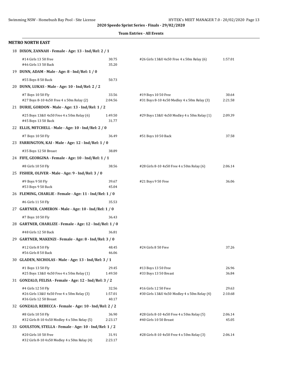#### **Team Entries - All Events**

#### **METRO NORTH EAST**

| 18 DIXON, ZANNAH - Female - Age: 13 - Ind/Rel: 2 / 1                                       |                           |                                                                      |                  |
|--------------------------------------------------------------------------------------------|---------------------------|----------------------------------------------------------------------|------------------|
| #14 Girls 13 50 Free<br>#46 Girls 13 50 Back                                               | 30.75<br>35.20            | #26 Girls 13&U 4x50 Free 4 x 50m Relay (6)                           | 1:57.01          |
| 19 DUNN, ADAM - Male - Age: 8 - Ind/Rel: 1 / 0                                             |                           |                                                                      |                  |
| #55 Boys 8 50 Back                                                                         | 50.73                     |                                                                      |                  |
| 20 DUNN, LUKAS - Male - Age: 10 - Ind/Rel: 2 / 2                                           |                           |                                                                      |                  |
| #7 Boys 10 50 Fly<br>#27 Boys 8-10 4x50 Free 4 x 50m Relay (2)                             | 33.56<br>2:04.56          | #19 Boys 10 50 Free<br>#31 Boys 8-10 4x50 Medley 4 x 50m Relay (3)   | 30.64<br>2:21.58 |
| 21 DURIE, GORDON - Male - Age: 13 - Ind/Rel: 1 / 2                                         |                           |                                                                      |                  |
| #25 Boys 13&U 4x50 Free 4 x 50m Relay (6)<br>#45 Boys 13 50 Back                           | 1:49.50<br>31.77          | #29 Boys 13&U 4x50 Medley 4 x 50m Relay (1)                          | 2:09.39          |
| 22 ELLIS, MITCHELL - Male - Age: 10 - Ind/Rel: 2 / 0                                       |                           |                                                                      |                  |
| #7 Boys 10 50 Fly                                                                          | 36.49                     | #51 Boys 10 50 Back                                                  | 37.58            |
| 23 FARRINGTON, KAI - Male - Age: 12 - Ind/Rel: 1 / 0                                       |                           |                                                                      |                  |
| #35 Boys 12 50 Breast                                                                      | 38.89                     |                                                                      |                  |
| 24 FIFE, GEORGINA - Female - Age: 10 - Ind/Rel: 1 / 1                                      |                           |                                                                      |                  |
| #8 Girls 10 50 Fly                                                                         | 38.56                     | #28 Girls 8-10 4x50 Free 4 x 50m Relay (6)                           | 2:06.14          |
| 25 FISHER, OLIVER - Male - Age: 9 - Ind/Rel: 3 / 0                                         |                           |                                                                      |                  |
| #9 Boys 9 50 Fly<br>#53 Boys 9 50 Back                                                     | 39.67<br>45.04            | #21 Boys 9 50 Free                                                   | 36.06            |
| 26 FLEMING, CHARLIE - Female - Age: 11 - Ind/Rel: 1 / 0                                    |                           |                                                                      |                  |
| #6 Girls 11 50 Fly                                                                         | 35.53                     |                                                                      |                  |
| 27 GARTNER, CAMERON - Male - Age: 10 - Ind/Rel: 1 / 0                                      |                           |                                                                      |                  |
| #7 Boys 10 50 Fly                                                                          | 36.43                     |                                                                      |                  |
| 28 GARTNER, CHARLIZE - Female - Age: 12 - Ind/Rel: 1 / 0                                   |                           |                                                                      |                  |
| #48 Girls 12 50 Back                                                                       | 36.81                     |                                                                      |                  |
| 29 GARTNER, MAKENZI - Female - Age: 8 - Ind/Rel: 3 / 0                                     |                           |                                                                      |                  |
| #12 Girls 8 50 Fly<br>#56 Girls 8 50 Back                                                  | 48.45<br>46.06            | #24 Girls 8 50 Free                                                  | 37.26            |
| 30 GLADEN, NICHOLAS - Male - Age: 13 - Ind/Rel: 3 / 1                                      |                           |                                                                      |                  |
| #1 Boys 13 50 Fly<br>#25 Boys 13&U 4x50 Free 4 x 50m Relay (1)                             | 29.45<br>1:49.50          | #13 Boys 13 50 Free<br>#33 Boys 13 50 Breast                         | 26.96<br>36.84   |
| 31 GONZALO, FELISA - Female - Age: 12 - Ind/Rel: 3 / 2                                     |                           |                                                                      |                  |
| #4 Girls 12 50 Fly<br>#26 Girls 13&U 4x50 Free 4 x 50m Relay (3)<br>#36 Girls 12 50 Breast | 32.56<br>1:57.01<br>40.17 | #16 Girls 12 50 Free<br>#30 Girls 13&U 4x50 Medley 4 x 50m Relay (4) | 29.63<br>2:10.68 |
| 32 GONZALO, REBECCA - Female - Age: 10 - Ind/Rel: 2 / 2                                    |                           |                                                                      |                  |
| #8 Girls 10 50 Fly<br>#32 Girls 8-10 4x50 Medley 4 x 50m Relay (5)                         | 36.90<br>2:23.17          | #28 Girls 8-10 4x50 Free 4 x 50m Relay (5)<br>#40 Girls 10 50 Breast | 2:06.14<br>45.05 |
| 33 GOULSTON, STELLA - Female - Age: 10 - Ind/Rel: 1 / 2                                    |                           |                                                                      |                  |
| #20 Girls 10 50 Free<br>#32 Girls 8-10 4x50 Medley 4 x 50m Relay (4)                       | 31.91<br>2:23.17          | #28 Girls 8-10 4x50 Free 4 x 50m Relay (3)                           | 2:06.14          |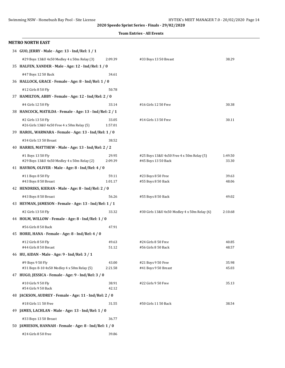|  | <b>Team Entries - All Events</b> |  |  |
|--|----------------------------------|--|--|
|--|----------------------------------|--|--|

| <b>METRO NORTH EAST</b>                                          |                  |                                                                  |                  |
|------------------------------------------------------------------|------------------|------------------------------------------------------------------|------------------|
| 34 GUO, JERRY - Male - Age: 13 - Ind/Rel: 1 / 1                  |                  |                                                                  |                  |
| #29 Boys 13&U 4x50 Medley 4 x 50m Relay (3)                      | 2:09.39          | #33 Boys 13 50 Breast                                            | 38.29            |
| 35 HALFEN, XANDER - Male - Age: 12 - Ind/Rel: 1 / 0              |                  |                                                                  |                  |
| #47 Boys 12 50 Back                                              | 34.61            |                                                                  |                  |
| 36 HALLOCK, GRACE - Female - Age: 8 - Ind/Rel: 1 / 0             |                  |                                                                  |                  |
| #12 Girls 8 50 Fly                                               | 50.78            |                                                                  |                  |
| 37 HAMILTON, ABBY - Female - Age: 12 - Ind/Rel: 2 / 0            |                  |                                                                  |                  |
| #4 Girls 12 50 Fly                                               | 33.14            | #16 Girls 12 50 Free                                             | 30.38            |
| 38 HANCOCK, MATILDA - Female - Age: 13 - Ind/Rel: 2 / 1          |                  |                                                                  |                  |
| #2 Girls 13 50 Fly<br>#26 Girls 13&U 4x50 Free 4 x 50m Relay (5) | 33.05<br>1:57.01 | #14 Girls 13 50 Free                                             | 30.11            |
| 39 HAROL, WARWARA - Female - Age: 13 - Ind/Rel: 1 / 0            |                  |                                                                  |                  |
| #34 Girls 13 50 Breast                                           | 38.52            |                                                                  |                  |
| 40 HARRIS, MATTHEW - Male - Age: 13 - Ind/Rel: 2 / 2             |                  |                                                                  |                  |
| #1 Boys 13 50 Fly<br>#29 Boys 13&U 4x50 Medley 4 x 50m Relay (2) | 29.95<br>2:09.39 | #25 Boys 13&U 4x50 Free 4 x 50m Relay (5)<br>#45 Boys 13 50 Back | 1:49.50<br>33.30 |
| 41 HAVRON, OLIVER - Male - Age: 8 - Ind/Rel: 4 / 0               |                  |                                                                  |                  |
| #11 Boys 8 50 Fly<br>#43 Boys 8 50 Breast                        | 59.11<br>1:01.17 | #23 Boys 8 50 Free<br>#55 Boys 8 50 Back                         | 39.63<br>48.06   |
| 42 HENDRIKS, KIERAN - Male - Age: 8 - Ind/Rel: 2 / 0             |                  |                                                                  |                  |
| #43 Boys 8 50 Breast                                             | 56.26            | #55 Boys 8 50 Back                                               | 49.02            |
| 43 HEYMAN, JAMESON - Female - Age: 13 - Ind/Rel: 1 / 1           |                  |                                                                  |                  |
| #2 Girls 13 50 Fly                                               | 33.32            | #30 Girls 13&U 4x50 Medley 4 x 50m Relay (6)                     | 2:10.68          |
| 44 HOLM, WILLOW - Female - Age: 8 - Ind/Rel: 1 / 0               |                  |                                                                  |                  |
| #56 Girls 8 50 Back                                              | 47.91            |                                                                  |                  |
| 45 HORII, HANA - Female - Age: 8 - Ind/Rel: 4 / 0                |                  |                                                                  |                  |
| #12 Girls 8 50 Fly<br>#44 Girls 8 50 Breast                      | 49.63<br>51.12   | #24 Girls 8 50 Free<br>#56 Girls 8 50 Back                       | 40.85<br>48.57   |
| 46 HU, AIDAN - Male - Age: 9 - Ind/Rel: 3 / 1                    |                  |                                                                  |                  |
| #9 Boys 9 50 Fly<br>#31 Boys 8-10 4x50 Medley 4 x 50m Relay (5)  | 43.00<br>2:21.58 | #21 Boys 9 50 Free<br>#41 Boys 9 50 Breast                       | 35.98<br>45.03   |
| 47 HUGO, JESSICA - Female - Age: 9 - Ind/Rel: 3 / 0              |                  |                                                                  |                  |
| #10 Girls 9 50 Fly<br>#54 Girls 9 50 Back                        | 38.91<br>42.12   | #22 Girls 9 50 Free                                              | 35.13            |
| 48 JACKSON, AUDREY - Female - Age: 11 - Ind/Rel: 2 / 0           |                  |                                                                  |                  |
| #18 Girls 11 50 Free                                             | 31.55            | #50 Girls 11 50 Back                                             | 38.54            |
| 49 JAMES, LACHLAN - Male - Age: 13 - Ind/Rel: 1 / 0              |                  |                                                                  |                  |
| #33 Boys 13 50 Breast                                            | 36.77            |                                                                  |                  |
| 50 JAMIESON, HANNAH - Female - Age: 8 - Ind/Rel: 1 / 0           |                  |                                                                  |                  |
| #24 Girls 8 50 Free                                              | 39.86            |                                                                  |                  |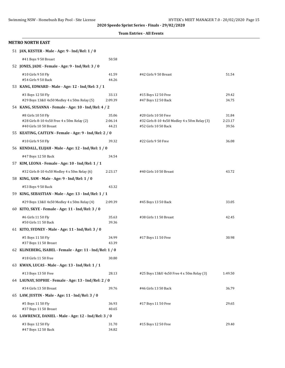| Swimming NSW - Homebush Bay Pool - Site License                      |                  | HY-TEK's MEET MANAGER 7.0 - 20/02/2020 Page 15                       |                  |
|----------------------------------------------------------------------|------------------|----------------------------------------------------------------------|------------------|
|                                                                      |                  | 2020 Speedo Sprint Series - Finals - 29/02/2020                      |                  |
|                                                                      |                  | <b>Team Entries - All Events</b>                                     |                  |
| <b>METRO NORTH EAST</b>                                              |                  |                                                                      |                  |
| 51 JAN, KESTER - Male - Age: 9 - Ind/Rel: 1 / 0                      |                  |                                                                      |                  |
| #41 Boys 9 50 Breast                                                 | 50.58            |                                                                      |                  |
| 52 JONES, JADE - Female - Age: 9 - Ind/Rel: 3 / 0                    |                  |                                                                      |                  |
| #10 Girls 9 50 Fly                                                   | 41.59            | #42 Girls 9 50 Breast                                                | 51.54            |
| #54 Girls 9 50 Back                                                  | 44.26            |                                                                      |                  |
| 53 KANG, EDWARD - Male - Age: 12 - Ind/Rel: 3 / 1                    |                  |                                                                      |                  |
| #3 Boys 12 50 Fly                                                    | 33.13            | #15 Boys 12 50 Free                                                  | 29.42            |
| #29 Boys 13&U 4x50 Medley 4 x 50m Relay (5)                          | 2:09.39          | #47 Boys 12 50 Back                                                  | 34.75            |
| 54 KANG, SUSANNA - Female - Age: 10 - Ind/Rel: 4 / 2                 |                  |                                                                      |                  |
| #8 Girls 10 50 Fly                                                   | 35.06            | #20 Girls 10 50 Free                                                 | 31.84            |
| #28 Girls 8-10 4x50 Free 4 x 50m Relay (2)<br>#40 Girls 10 50 Breast | 2:06.14<br>44.21 | #32 Girls 8-10 4x50 Medley 4 x 50m Relay (3)<br>#52 Girls 10 50 Back | 2:23.17<br>39.56 |
| 55 KEATING, CAITLYN - Female - Age: 9 - Ind/Rel: 2 / 0               |                  |                                                                      |                  |
| #10 Girls 9 50 Fly                                                   | 39.32            | #22 Girls 9 50 Free                                                  | 36.08            |
| 56 KENDALL, ELIJAH - Male - Age: 12 - Ind/Rel: 1 / 0                 |                  |                                                                      |                  |
|                                                                      |                  |                                                                      |                  |
| #47 Boys 12 50 Back                                                  | 34.54            |                                                                      |                  |
| 57 KIM, LEONA - Female - Age: 10 - Ind/Rel: 1 / 1                    |                  |                                                                      |                  |
| #32 Girls 8-10 4x50 Medley 4 x 50m Relay (6)                         | 2:23.17          | #40 Girls 10 50 Breast                                               | 43.72            |
| 58 KING, SAM - Male - Age: 9 - Ind/Rel: 1 / 0                        |                  |                                                                      |                  |
| #53 Boys 9 50 Back                                                   | 43.32            |                                                                      |                  |
| 59 KING, SEBASTIAN - Male - Age: 13 - Ind/Rel: 1 / 1                 |                  |                                                                      |                  |
| #29 Boys 13&U 4x50 Medley 4 x 50m Relay (4)                          | 2:09.39          | #45 Boys 13 50 Back                                                  | 33.05            |
| 60 KITO, SKYE - Female - Age: 11 - Ind/Rel: 3 / 0                    |                  |                                                                      |                  |
| #6 Girls 11 50 Fly                                                   | 35.63            | #38 Girls 11 50 Breast                                               | 42.45            |
| #50 Girls 11 50 Back                                                 | 39.36            |                                                                      |                  |
| 61 KITO, SYDNEY - Male - Age: 11 - Ind/Rel: 3 / 0                    |                  |                                                                      |                  |
| #5 Boys 11 50 Fly                                                    | 34.99            | #17 Boys 11 50 Free                                                  | 30.98            |
| #37 Boys 11 50 Breast                                                | 43.39            |                                                                      |                  |
| 62 KLINEBERG, ISABEL - Female - Age: 11 - Ind/Rel: 1 / 0             |                  |                                                                      |                  |
| #18 Girls 11 50 Free                                                 | 30.80            |                                                                      |                  |
| 63 KWAN, LUCAS - Male - Age: 13 - Ind/Rel: 1 / 1                     |                  |                                                                      |                  |
| #13 Boys 13 50 Free                                                  | 28.13            | #25 Boys 13&U 4x50 Free 4 x 50m Relay (3)                            | 1:49.50          |
| 64 LAUNAY, SOPHIE - Female - Age: 13 - Ind/Rel: 2 / 0                |                  |                                                                      |                  |
| #34 Girls 13 50 Breast                                               | 39.76            | #46 Girls 13 50 Back                                                 | 36.79            |
| 65 LAW, JUSTIN - Male - Age: 11 - Ind/Rel: 3 / 0                     |                  |                                                                      |                  |
| #5 Boys 11 50 Fly                                                    | 36.93            | #17 Boys 11 50 Free                                                  | 29.65            |
| #37 Boys 11 50 Breast                                                | 40.65            |                                                                      |                  |
| 66 LAWRENCE, DANIEL - Male - Age: 12 - Ind/Rel: 3 / 0                |                  |                                                                      |                  |

#3 Boys 12 50 Fly 31.70 #15 Boys 12 50 Free 29.40

#47 Boys 12 50 Back 34.82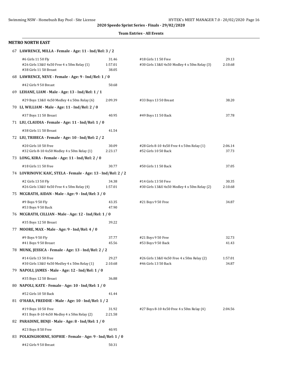#### **Team Entries - All Events**

#### **METRO NORTH EAST**

| 67 LAWRENCE, MILLA - Female - Age: 11 - Ind/Rel: 3 / 2                                     |                           |                                                                      |                  |
|--------------------------------------------------------------------------------------------|---------------------------|----------------------------------------------------------------------|------------------|
| #6 Girls 11 50 Fly<br>#26 Girls 13&U 4x50 Free 4 x 50m Relay (1)<br>#38 Girls 11 50 Breast | 31.46<br>1:57.01<br>38.05 | #18 Girls 11 50 Free<br>#30 Girls 13&U 4x50 Medley 4 x 50m Relay (3) | 29.13<br>2:10.68 |
| 68 LAWRENCE, NEVE - Female - Age: 9 - Ind/Rel: 1 / 0                                       |                           |                                                                      |                  |
| #42 Girls 9 50 Breast                                                                      | 50.68                     |                                                                      |                  |
| 69 LEHANE, LIAM - Male - Age: 13 - Ind/Rel: 1 / 1                                          |                           |                                                                      |                  |
| #29 Boys 13&U 4x50 Medley 4 x 50m Relay (6)                                                | 2:09.39                   | #33 Boys 13 50 Breast                                                | 38.20            |
| 70 LI, WILLIAM - Male - Age: 11 - Ind/Rel: 2 / 0                                           |                           |                                                                      |                  |
| #37 Boys 11 50 Breast                                                                      | 40.95                     | #49 Boys 11 50 Back                                                  | 37.78            |
| 71 LIU, CLAUDIA - Female - Age: 11 - Ind/Rel: 1 / 0                                        |                           |                                                                      |                  |
| #38 Girls 11 50 Breast                                                                     | 41.54                     |                                                                      |                  |
| 72 LIU, TRIBECA - Female - Age: 10 - Ind/Rel: 2 / 2                                        |                           |                                                                      |                  |
| #20 Girls 10 50 Free<br>#32 Girls 8-10 4x50 Medley 4 x 50m Relay (1)                       | 30.09<br>2:23.17          | #28 Girls 8-10 4x50 Free 4 x 50m Relay (1)<br>#52 Girls 10 50 Back   | 2:06.14<br>37.73 |
| 73 LONG, KIRA - Female - Age: 11 - Ind/Rel: 2 / 0                                          |                           |                                                                      |                  |
| #18 Girls 11 50 Free                                                                       | 30.77                     | #50 Girls 11 50 Back                                                 | 37.05            |
| 74 LOVRINOVIC KAIC, STELA - Female - Age: 13 - Ind/Rel: 2 / 2                              |                           |                                                                      |                  |
| #2 Girls 13 50 Fly<br>#26 Girls 13&U 4x50 Free 4 x 50m Relay (4)                           | 34.38<br>1:57.01          | #14 Girls 13 50 Free<br>#30 Girls 13&U 4x50 Medley 4 x 50m Relay (2) | 30.35<br>2:10.68 |
| 75 MCGRATH, AIDAN - Male - Age: 9 - Ind/Rel: 3 / 0                                         |                           |                                                                      |                  |
| #9 Boys 9 50 Fly<br>#53 Boys 9 50 Back                                                     | 43.35<br>47.90            | #21 Boys 9 50 Free                                                   | 34.87            |
| 76 MCGRATH, CILLIAN - Male - Age: 12 - Ind/Rel: 1 / 0                                      |                           |                                                                      |                  |
| #35 Boys 12 50 Breast                                                                      | 39.22                     |                                                                      |                  |
| 77 MOORE, MAX - Male - Age: 9 - Ind/Rel: 4 / 0                                             |                           |                                                                      |                  |
| #9 Boys 9 50 Fly<br>#41 Boys 9 50 Breast                                                   | 37.77<br>45.56            | #21 Boys 9 50 Free<br>#53 Boys 9 50 Back                             | 32.73<br>41.43   |
| 78 MUNK, JESSICA - Female - Age: 13 - Ind/Rel: 2 / 2                                       |                           |                                                                      |                  |
| #14 Girls 13 50 Free<br>#30 Girls 13&U 4x50 Medley 4 x 50m Relay (1)                       | 29.27<br>2:10.68          | #26 Girls 13&U 4x50 Free 4 x 50m Relay (2)<br>#46 Girls 13 50 Back   | 1:57.01<br>34.87 |
| 79 NAPOLI, JAMES - Male - Age: 12 - Ind/Rel: 1 / 0                                         |                           |                                                                      |                  |
| #35 Boys 12 50 Breast                                                                      | 36.88                     |                                                                      |                  |
| 80 NAPOLI, KATE - Female - Age: 10 - Ind/Rel: 1 / 0                                        |                           |                                                                      |                  |
| #52 Girls 10 50 Back                                                                       | 41.44                     |                                                                      |                  |
| 81 O'HARA, FREDDIE - Male - Age: 10 - Ind/Rel: 1 / 2                                       |                           |                                                                      |                  |
| #19 Boys 10 50 Free<br>#31 Boys 8-10 4x50 Medley 4 x 50m Relay (2)                         | 31.92<br>2:21.58          | #27 Boys 8-10 4x50 Free 4 x 50m Relay (4)                            | 2:04.56          |
| 82 PARADINE, BENJI - Male - Age: 8 - Ind/Rel: 1 / 0                                        |                           |                                                                      |                  |
| #23 Boys 8 50 Free                                                                         | 40.95                     |                                                                      |                  |
| 83 POLKINGHORNE, SOPHIE - Female - Age: 9 - Ind/Rel: 1 / 0                                 |                           |                                                                      |                  |
| #42 Girls 9 50 Breast                                                                      | 50.31                     |                                                                      |                  |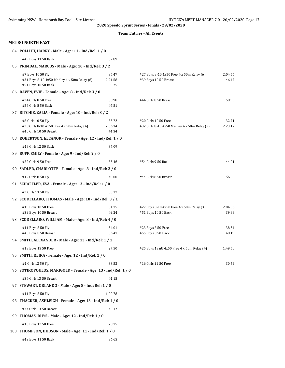|  | <b>Team Entries - All Events</b> |  |  |
|--|----------------------------------|--|--|
|--|----------------------------------|--|--|

#### **METRO NORTH EAST**

|     | 84 POLLITT, HARRY - Male - Age: 11 - Ind/Rel: 1 / 0                                        |                           |                                                                      |                  |
|-----|--------------------------------------------------------------------------------------------|---------------------------|----------------------------------------------------------------------|------------------|
|     | #49 Boys 11 50 Back                                                                        | 37.89                     |                                                                      |                  |
|     | 85 PRIMDAL, MARCUS - Male - Age: 10 - Ind/Rel: 3 / 2                                       |                           |                                                                      |                  |
|     | #7 Boys 10 50 Fly<br>#31 Boys 8-10 4x50 Medley 4 x 50m Relay (6)<br>#51 Boys 10 50 Back    | 35.47<br>2:21.58<br>39.75 | #27 Boys 8-10 4x50 Free 4 x 50m Relay (6)<br>#39 Boys 10 50 Breast   | 2:04.56<br>46.47 |
|     | 86 RAVEN, EVIE - Female - Age: 8 - Ind/Rel: 3 / 0                                          |                           |                                                                      |                  |
|     | #24 Girls 8 50 Free<br>#56 Girls 8 50 Back                                                 | 38.98<br>47.51            | #44 Girls 8 50 Breast                                                | 58.93            |
|     | 87 RITCHIE, ZALIA - Female - Age: 10 - Ind/Rel: 3 / 2                                      |                           |                                                                      |                  |
|     | #8 Girls 10 50 Fly<br>#28 Girls 8-10 4x50 Free 4 x 50m Relay (4)<br>#40 Girls 10 50 Breast | 35.72<br>2:06.14<br>41.34 | #20 Girls 10 50 Free<br>#32 Girls 8-10 4x50 Medley 4 x 50m Relay (2) | 32.71<br>2:23.17 |
|     | 88 ROBERTSON, ELEANOR - Female - Age: 12 - Ind/Rel: 1 / 0                                  |                           |                                                                      |                  |
|     | #48 Girls 12 50 Back<br>89 RUFF, EMILY - Female - Age: 9 - Ind/Rel: 2 / 0                  | 37.09                     |                                                                      |                  |
|     | #22 Girls 9 50 Free                                                                        | 35.46                     | #54 Girls 9 50 Back                                                  | 44.01            |
|     | 90 SADLER, CHARLOTTE - Female - Age: 8 - Ind/Rel: 2 / 0                                    |                           |                                                                      |                  |
|     | #12 Girls 8 50 Fly                                                                         | 49.00                     | #44 Girls 8 50 Breast                                                | 56.05            |
|     | 91 SCHAFFLER, EVA - Female - Age: 13 - Ind/Rel: 1 / 0                                      |                           |                                                                      |                  |
|     | #2 Girls 13 50 Fly                                                                         | 33.37                     |                                                                      |                  |
|     | 92 SCODELLARO, THOMAS - Male - Age: 10 - Ind/Rel: 3 / 1                                    |                           |                                                                      |                  |
|     | #19 Boys 10 50 Free<br>#39 Boys 10 50 Breast                                               | 31.75<br>49.24            | #27 Boys 8-10 4x50 Free 4 x 50m Relay (3)<br>#51 Boys 10 50 Back     | 2:04.56<br>39.88 |
|     | 93 SCODELLARO, WILLIAM - Male - Age: 8 - Ind/Rel: 4 / 0                                    |                           |                                                                      |                  |
|     | #11 Boys 8 50 Fly<br>#43 Boys 8 50 Breast                                                  | 54.01<br>56.41            | #23 Boys 8 50 Free<br>#55 Boys 8 50 Back                             | 38.34<br>48.19   |
|     | 94 SMITH, ALEXANDER - Male - Age: 13 - Ind/Rel: 1 / 1                                      |                           |                                                                      |                  |
|     | #13 Boys 13 50 Free                                                                        | 27.50                     | #25 Boys 13&U 4x50 Free 4 x 50m Relay (4)                            | 1:49.50          |
|     | 95 SMITH, KEIRA - Female - Age: 12 - Ind/Rel: 2 / 0                                        |                           |                                                                      |                  |
|     | #4 Girls 12 50 Fly                                                                         | 33.52                     | #16 Girls 12 50 Free                                                 | 30.59            |
|     | 96 SOTIROPOULOS, MARIGOLD - Female - Age: 13 - Ind/Rel: 1 / 0                              |                           |                                                                      |                  |
|     | #34 Girls 13 50 Breast<br>97 STEWART, ORLANDO - Male - Age: 8 - Ind/Rel: 1 / 0             | 41.15                     |                                                                      |                  |
|     | #11 Boys 8 50 Fly                                                                          | 1:00.78                   |                                                                      |                  |
|     | 98 THACKER, ASHLEIGH - Female - Age: 13 - Ind/Rel: 1 / 0                                   |                           |                                                                      |                  |
| 99. | #34 Girls 13 50 Breast<br>THOMAS, RHYS - Male - Age: 12 - Ind/Rel: 1 / 0                   | 40.17                     |                                                                      |                  |
|     | #15 Boys 12 50 Free                                                                        | 28.75                     |                                                                      |                  |
|     | 100 THOMPSON, HUDSON - Male - Age: 11 - Ind/Rel: 1 / 0                                     |                           |                                                                      |                  |
|     | #49 Boys 11 50 Back                                                                        | 36.65                     |                                                                      |                  |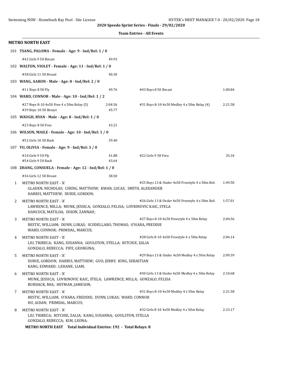|   | <b>Team Entries - All Events</b>                                                                                                                                                                    |                  |                                                  |         |  |
|---|-----------------------------------------------------------------------------------------------------------------------------------------------------------------------------------------------------|------------------|--------------------------------------------------|---------|--|
|   | <b>METRO NORTH EAST</b>                                                                                                                                                                             |                  |                                                  |         |  |
|   | 101 TSANG, PALOMA - Female - Age: 9 - Ind/Rel: 1 / 0                                                                                                                                                |                  |                                                  |         |  |
|   | #42 Girls 9 50 Breast                                                                                                                                                                               | 49.93            |                                                  |         |  |
|   | 102 WALTON, VIOLET - Female - Age: 11 - Ind/Rel: 1 / 0                                                                                                                                              |                  |                                                  |         |  |
|   | #38 Girls 11 50 Breast                                                                                                                                                                              | 40.30            |                                                  |         |  |
|   | 103 WANG, AARON - Male - Age: 8 - Ind/Rel: 2 / 0                                                                                                                                                    |                  |                                                  |         |  |
|   | #11 Boys 8 50 Fly                                                                                                                                                                                   | 49.76            | #43 Boys 8 50 Breast                             | 1:00.84 |  |
|   | 104 WARD, CONNOR - Male - Age: 10 - Ind/Rel: 1 / 2                                                                                                                                                  |                  |                                                  |         |  |
|   | #27 Boys 8-10 4x50 Free 4 x 50m Relay (5)<br>#39 Boys 10 50 Breast                                                                                                                                  | 2:04.56<br>45.77 | #31 Boys 8-10 4x50 Medley 4 x 50m Relay (4)      | 2:21.58 |  |
|   | 105 WAUGH, RYAN - Male - Age: 8 - Ind/Rel: 1 / 0                                                                                                                                                    |                  |                                                  |         |  |
|   | #23 Boys 8 50 Free                                                                                                                                                                                  | 43.21            |                                                  |         |  |
|   | 106 WILSON, MAILE - Female - Age: 10 - Ind/Rel: 1 / 0                                                                                                                                               |                  |                                                  |         |  |
|   | #52 Girls 10 50 Back                                                                                                                                                                                | 39.40            |                                                  |         |  |
|   | 107 YU, OLIVIA - Female - Age: 9 - Ind/Rel: 3 / 0                                                                                                                                                   |                  |                                                  |         |  |
|   | #10 Girls 9 50 Fly<br>#54 Girls 9 50 Back                                                                                                                                                           | 41.88<br>43.64   | #22 Girls 9 50 Free                              | 35.34   |  |
|   | 108 ZHANG, CONSUELA - Female - Age: 12 - Ind/Rel: 1 / 0                                                                                                                                             |                  |                                                  |         |  |
|   | #36 Girls 12 50 Breast                                                                                                                                                                              | 38.50            |                                                  |         |  |
| 1 | <b>METRO NORTH EAST - 'A'</b><br>GLADEN, NICHOLAS; CHENG, MATTHEW; KWAN, LUCAS; SMITH, ALEXANDER<br>HARRIS, MATTHEW; DURIE, GORDON;                                                                 |                  | #25 Boys 13 & Under 4x50 Freestyle 4 x 50m Rela  | 1:49.50 |  |
| 2 | <b>METRO NORTH EAST - 'A'</b><br>LAWRENCE, MILLA; MUNK, JESSICA; GONZALO, FELISA; LOVRINOVIC KAIC, STELA<br>HANCOCK, MATILDA; DIXON, ZANNAH;                                                        |                  | #26 Girls 13 & Under 4x50 Freestyle 4 x 50m Rela | 1:57.01 |  |
| 3 | <b>METRO NORTH EAST - 'A'</b><br>BESTIC, WILLIAM; DUNN, LUKAS; SCODELLARO, THOMAS; O'HARA, FREDDIE<br>WARD, CONNOR; PRIMDAL, MARCUS;                                                                |                  | #27 Boys 8-10 4x50 Freestyle 4 x 50m Relay       | 2:04.56 |  |
| 4 | METRO NORTH EAST - 'A'<br>LIU, TRIBECA; KANG, SUSANNA; GOULSTON, STELLA; RITCHIE, ZALIA<br>GONZALO, REBECCA; FIFE, GEORGINA;                                                                        |                  | #28 Girls 8-10 4x50 Freestyle 4 x 50m Relay      | 2:06.14 |  |
| 5 | METRO NORTH EAST - 'A'<br>DURIE, GORDON; HARRIS, MATTHEW; GUO, JERRY; KING, SEBASTIAN<br>KANG, EDWARD; LEHANE, LIAM;                                                                                |                  | #29 Boys 13 & Under 4x50 Medley 4 x 50m Relay    | 2:09.39 |  |
| 6 | METRO NORTH EAST - 'A'<br>MUNK, JESSICA; LOVRINOVIC KAIC, STELA; LAWRENCE, MILLA; GONZALO, FELISA<br>BURDACK, MIA; HEYMAN, JAMESON;                                                                 |                  | #30 Girls 13 & Under 4x50 Medley 4 x 50m Relay   | 2:10.68 |  |
| 7 | <b>METRO NORTH EAST - 'A'</b><br>BESTIC, WILLIAM; O'HARA, FREDDIE; DUNN, LUKAS; WARD, CONNOR<br>HU, AIDAN; PRIMDAL, MARCUS;                                                                         |                  | #31 Boys 8-10 4x50 Medley 4 x 50m Relay          | 2:21.58 |  |
| 8 | <b>METRO NORTH EAST - 'A'</b><br>LIU, TRIBECA; RITCHIE, ZALIA; KANG, SUSANNA; GOULSTON, STELLA<br>GONZALO, REBECCA; KIM, LEONA;<br>METRO NORTH EAST Total Individual Entries: 192 - Total Relays: 8 |                  | #32 Girls 8-10 4x50 Medley 4 x 50m Relay         | 2:23.17 |  |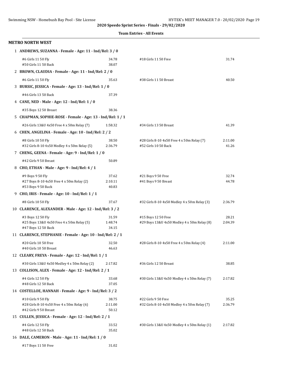|  | <b>Team Entries - All Events</b> |  |  |  |
|--|----------------------------------|--|--|--|
|--|----------------------------------|--|--|--|

| METRO NORTH WEST                                                                          |                           |                                                                     |                  |
|-------------------------------------------------------------------------------------------|---------------------------|---------------------------------------------------------------------|------------------|
| 1 ANDREWS, SUZANNA - Female - Age: 11 - Ind/Rel: 3 / 0                                    |                           |                                                                     |                  |
| #6 Girls 11 50 Fly<br>#50 Girls 11 50 Back                                                | 34.78<br>38.07            | #18 Girls 11 50 Free                                                | 31.74            |
| 2 BROWN, CLAUDIA - Female - Age: 11 - Ind/Rel: 2 / 0                                      |                           |                                                                     |                  |
| #6 Girls 11 50 Fly                                                                        | 35.63                     | #38 Girls 11 50 Breast                                              | 40.50            |
| 3 BURSIC, JESSICA - Female - Age: 13 - Ind/Rel: 1 / 0                                     |                           |                                                                     |                  |
| #46 Girls 13 50 Back                                                                      | 37.39                     |                                                                     |                  |
| 4 CANE, NED - Male - Age: 12 - Ind/Rel: 1 / 0                                             |                           |                                                                     |                  |
| #35 Boys 12 50 Breast                                                                     | 38.36                     |                                                                     |                  |
| 5 CHAPMAN, SOPHIE-ROSE - Female - Age: 13 - Ind/Rel: 1 / 1                                |                           |                                                                     |                  |
| #26 Girls 13&U 4x50 Free 4 x 50m Relay (7)                                                | 1:58.32                   | #34 Girls 13 50 Breast                                              | 41.39            |
| 6 CHEN, ANGELINA - Female - Age: 10 - Ind/Rel: 2 / 2                                      |                           |                                                                     |                  |
| #8 Girls 10 50 Fly<br>#32 Girls 8-10 4x50 Medley 4 x 50m Relay (5)                        | 38.50<br>2:36.79          | #28 Girls 8-10 4x50 Free 4 x 50m Relay (7)<br>#52 Girls 10 50 Back  | 2:11.00<br>41.26 |
| 7 CHENG, GEENA - Female - Age: 9 - Ind/Rel: 1 / 0                                         |                           |                                                                     |                  |
| #42 Girls 9 50 Breast                                                                     | 50.89                     |                                                                     |                  |
| 8 CHO, ETHAN - Male - Age: 9 - Ind/Rel: 4 / 1                                             |                           |                                                                     |                  |
| #9 Boys 9 50 Fly<br>#27 Boys 8-10 4x50 Free 4 x 50m Relay (2)<br>#53 Boys 9 50 Back       | 37.62<br>2:10.11<br>40.83 | #21 Boys 9 50 Free<br>#41 Boys 9 50 Breast                          | 32.74<br>44.78   |
| 9 CHO, IRIS - Female - Age: 10 - Ind/Rel: 1 / 1                                           |                           |                                                                     |                  |
| #8 Girls 10 50 Fly                                                                        | 37.67                     | #32 Girls 8-10 4x50 Medley 4 x 50m Relay (3)                        | 2:36.79          |
| 10 CLARENCE, ALEXANDER - Male - Age: 12 - Ind/Rel: 3 / 2                                  |                           |                                                                     |                  |
| #3 Boys 12 50 Fly                                                                         | 31.59                     | #15 Boys 12 50 Free                                                 | 28.21            |
| #25 Boys 13&U 4x50 Free 4 x 50m Relay (5)<br>#47 Boys 12 50 Back                          | 1:48.74<br>34.15          | #29 Boys 13&U 4x50 Medley 4 x 50m Relay (8)                         | 2:04.39          |
| 11 CLARENCE, STEPHANIE - Female - Age: 10 - Ind/Rel: 2 / 1                                |                           |                                                                     |                  |
| #20 Girls 10 50 Free<br>#40 Girls 10 50 Breast                                            | 32.50<br>46.63            | #28 Girls 8-10 4x50 Free 4 x 50m Relay (4)                          | 2:11.00          |
| 12 CLEARY, FREYA - Female - Age: 12 - Ind/Rel: 1 / 1                                      |                           |                                                                     |                  |
| #30 Girls 13&U 4x50 Medley 4 x 50m Relay (2)                                              | 2:17.82                   | #36 Girls 12 50 Breast                                              | 38.85            |
| 13 COLLISON, ALEX - Female - Age: 12 - Ind/Rel: 2 / 1                                     |                           |                                                                     |                  |
| #4 Girls 12 50 Fly<br>#48 Girls 12 50 Back                                                | 33.68<br>37.05            | #30 Girls 13&U 4x50 Medley 4 x 50m Relay (7)                        | 2:17.82          |
| 14 COSTELLOE, HANNAH - Female - Age: 9 - Ind/Rel: 3 / 2                                   |                           |                                                                     |                  |
| #10 Girls 9 50 Fly<br>#28 Girls 8-10 4x50 Free 4 x 50m Relay (6)<br>#42 Girls 9 50 Breast | 38.75<br>2:11.00<br>50.12 | #22 Girls 9 50 Free<br>#32 Girls 8-10 4x50 Medley 4 x 50m Relay (7) | 35.25<br>2:36.79 |
| 15 CULLEN, JESSICA - Female - Age: 12 - Ind/Rel: 2 / 1                                    |                           |                                                                     |                  |
| #4 Girls 12 50 Fly<br>#48 Girls 12 50 Back                                                | 33.52<br>35.02            | #30 Girls 13&U 4x50 Medley 4 x 50m Relay (1)                        | 2:17.82          |
| 16 DALE, CAMERON - Male - Age: 11 - Ind/Rel: 1 / 0                                        |                           |                                                                     |                  |
| #17 Boys 11 50 Free                                                                       | 31.02                     |                                                                     |                  |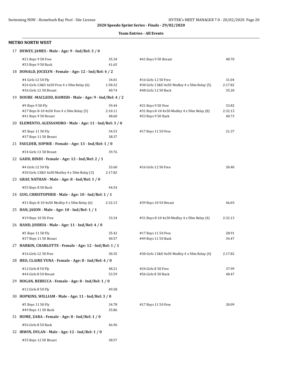#### **Team Entries - All Events**

#### **METRO NORTH WEST**

| 17 DEWEY, JAMES - Male - Age: 9 - Ind/Rel: 3 / 0                                           |                           |                                                                                              |                           |
|--------------------------------------------------------------------------------------------|---------------------------|----------------------------------------------------------------------------------------------|---------------------------|
| #21 Boys 9 50 Free<br>#53 Boys 9 50 Back                                                   | 35.34<br>41.65            | #41 Boys 9 50 Breast                                                                         | 48.70                     |
| 18 DONALD, JOCELYN - Female - Age: 12 - Ind/Rel: 4 / 2                                     |                           |                                                                                              |                           |
| #4 Girls 12 50 Fly<br>#26 Girls 13&U 4x50 Free 4 x 50m Relay (6)<br>#36 Girls 12 50 Breast | 34.01<br>1:58.32<br>40.74 | #16 Girls 12 50 Free<br>#30 Girls 13&U 4x50 Medley 4 x 50m Relay (5)<br>#48 Girls 12 50 Back | 31.04<br>2:17.82<br>35.20 |
| 19 DOUBE -MACLEOD, HAMISH - Male - Age: 9 - Ind/Rel: 4 / 2                                 |                           |                                                                                              |                           |
| #9 Boys 9 50 Fly<br>#27 Boys 8-10 4x50 Free 4 x 50m Relay (5)<br>#41 Boys 9 50 Breast      | 39.44<br>2:10.11<br>48.60 | #21 Boys 9 50 Free<br>#31 Boys 8-10 4x50 Medley 4 x 50m Relay (8)<br>#53 Boys 9 50 Back      | 33.82<br>2:32.13<br>40.73 |
| 20 ELEMENTO, ALESSANDRO - Male - Age: 11 - Ind/Rel: 3 / 0                                  |                           |                                                                                              |                           |
| #5 Boys 11 50 Fly<br>#37 Boys 11 50 Breast                                                 | 34.53<br>38.37            | #17 Boys 11 50 Free                                                                          | 31.37                     |
| 21 FAULDER, SOPHIE - Female - Age: 13 - Ind/Rel: 1 / 0                                     |                           |                                                                                              |                           |
| #34 Girls 13 50 Breast                                                                     | 39.76                     |                                                                                              |                           |
| 22 GADD, BINDI - Female - Age: 12 - Ind/Rel: 2 / 1                                         |                           |                                                                                              |                           |
| #4 Girls 12 50 Fly<br>#30 Girls 13&U 4x50 Medley 4 x 50m Relay (3)                         | 33.60<br>2:17.82          | #16 Girls 12 50 Free                                                                         | 30.40                     |
| 23 GRAF, NATHAN - Male - Age: 8 - Ind/Rel: 1 / 0                                           |                           |                                                                                              |                           |
| #55 Boys 8 50 Back                                                                         | 44.54                     |                                                                                              |                           |
| 24 GUO, CHRISTOPHER - Male - Age: 10 - Ind/Rel: 1 / 1                                      |                           |                                                                                              |                           |
| #31 Boys 8-10 4x50 Medley 4 x 50m Relay (6)                                                | 2:32.13                   | #39 Boys 10 50 Breast                                                                        | 46.03                     |
| 25 HAN, JASON - Male - Age: 10 - Ind/Rel: 1 / 1                                            |                           |                                                                                              |                           |
| #19 Boys 10 50 Free                                                                        | 33.34                     | #31 Boys 8-10 4x50 Medley 4 x 50m Relay (4)                                                  | 2:32.13                   |
| 26 HAND, JOSHUA - Male - Age: 11 - Ind/Rel: 4 / 0                                          |                           |                                                                                              |                           |
| #5 Boys 11 50 Fly<br>#37 Boys 11 50 Breast                                                 | 35.42<br>40.57            | #17 Boys 11 50 Free<br>#49 Boys 11 50 Back                                                   | 28.91<br>34.47            |
| 27 HARKIN, CHARLOTTE - Female - Age: 12 - Ind/Rel: 1 / 1                                   |                           |                                                                                              |                           |
| #16 Girls 12 50 Free                                                                       | 30.35                     | #30 Girls 13&U 4x50 Medley 4 x 50m Relay (4)                                                 | 2:17.82                   |
| 28 HEO, CLAIRE YUNA - Female - Age: 8 - Ind/Rel: 4 / 0                                     |                           |                                                                                              |                           |
| #12 Girls 8 50 Fly<br>#44 Girls 8 50 Breast                                                | 48.21<br>53.59            | #24 Girls 8 50 Free<br>#56 Girls 8 50 Back                                                   | 37.99<br>48.47            |
| 29 HOGAN, REBECCA - Female - Age: 8 - Ind/Rel: 1 / 0                                       |                           |                                                                                              |                           |
| #12 Girls 8 50 Fly                                                                         | 49.58                     |                                                                                              |                           |
| 30 HOPKINS, WILLIAM - Male - Age: 11 - Ind/Rel: 3 / 0                                      |                           |                                                                                              |                           |
| #5 Boys 11 50 Fly<br>#49 Boys 11 50 Back                                                   | 34.78<br>35.86            | #17 Boys 11 50 Free                                                                          | 30.09                     |
| 31 HUME, ZARA - Female - Age: 8 - Ind/Rel: 1 / 0                                           |                           |                                                                                              |                           |
| #56 Girls 8 50 Back                                                                        | 46.96                     |                                                                                              |                           |
| 32 IRWIN, DYLAN - Male - Age: 12 - Ind/Rel: 1 / 0                                          |                           |                                                                                              |                           |
| #35 Boys 12 50 Breast                                                                      | 38.57                     |                                                                                              |                           |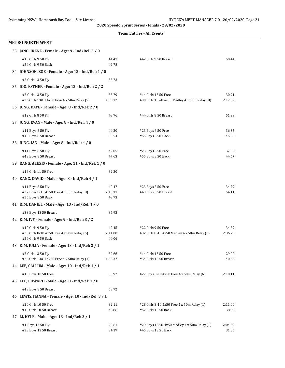#### **Team Entries - All Events**

#### **METRO NORTH WEST**

| 33 JANG, IRENE - Female - Age: 9 - Ind/Rel: 3 / 0 |
|---------------------------------------------------|
|                                                   |

| #10 Girls 9 50 Fly                                              | 41.47            | #42 Girls 9 50 Breast                        | 50.44   |
|-----------------------------------------------------------------|------------------|----------------------------------------------|---------|
| #54 Girls 9 50 Back                                             | 42.78            |                                              |         |
| 34 JOHNSON, ZOE - Female - Age: 13 - Ind/Rel: 1 / 0             |                  |                                              |         |
| #2 Girls 13 50 Fly                                              | 33.73            |                                              |         |
| 35 JOO, ESTHER - Female - Age: 13 - Ind/Rel: 2 / 2              |                  |                                              |         |
| #2 Girls 13 50 Fly                                              | 33.79            | #14 Girls 13 50 Free                         | 30.91   |
| #26 Girls 13&U 4x50 Free 4 x 50m Relay (5)                      | 1:58.32          | #30 Girls 13&U 4x50 Medley 4 x 50m Relay (8) | 2:17.82 |
| 36 JUNG, DAYE - Female - Age: 8 - Ind/Rel: 2 / 0                |                  |                                              |         |
| #12 Girls 8 50 Fly                                              | 48.76            | #44 Girls 8 50 Breast                        | 51.39   |
| 37 JUNG, EVAN - Male - Age: 8 - Ind/Rel: 4 / 0                  |                  |                                              |         |
| #11 Boys 8 50 Fly                                               | 44.20            | #23 Boys 8 50 Free                           | 36.35   |
| #43 Boys 8 50 Breast                                            | 50.54            | #55 Boys 8 50 Back                           | 45.63   |
| 38 JUNG, IAN - Male - Age: 8 - Ind/Rel: 4 / 0                   |                  |                                              |         |
| #11 Boys 8 50 Fly                                               | 42.05            | #23 Boys 8 50 Free                           | 37.02   |
| #43 Boys 8 50 Breast                                            | 47.63            | #55 Boys 8 50 Back                           | 44.67   |
| 39 KANG, ALEXIS - Female - Age: 11 - Ind/Rel: 1 / 0             |                  |                                              |         |
| #18 Girls 11 50 Free                                            | 32.30            |                                              |         |
| 40 KANG, DAVID - Male - Age: 8 - Ind/Rel: 4 / 1                 |                  |                                              |         |
| #11 Boys 8 50 Fly                                               | 40.47            | #23 Boys 8 50 Free                           | 34.79   |
| #27 Boys 8-10 4x50 Free 4 x 50m Relay (8)<br>#55 Boys 8 50 Back | 2:10.11<br>43.73 | #43 Boys 8 50 Breast                         | 54.11   |
| 41 KIM, DANIEL - Male - Age: 13 - Ind/Rel: 1 / 0                |                  |                                              |         |
| #33 Boys 13 50 Breast                                           | 36.93            |                                              |         |
| 42 KIM, IVY - Female - Age: 9 - Ind/Rel: 3 / 2                  |                  |                                              |         |
| #10 Girls 9 50 Fly                                              | 42.45            | #22 Girls 9 50 Free                          | 34.89   |
| #28 Girls 8-10 4x50 Free 4 x 50m Relay (5)                      | 2:11.00          | #32 Girls 8-10 4x50 Medley 4 x 50m Relay (8) | 2:36.79 |
| #54 Girls 9 50 Back                                             | 44.06            |                                              |         |
| 43 KIM, JULIA - Female - Age: 13 - Ind/Rel: 3 / 1               |                  |                                              |         |
| #2 Girls 13 50 Fly                                              | 32.66            | #14 Girls 13 50 Free                         | 29.00   |
| #26 Girls 13&U 4x50 Free 4 x 50m Relay (1)                      | 1:58.32          | #34 Girls 13 50 Breast                       | 40.58   |
| 44 LEE, CALLUM - Male - Age: 10 - Ind/Rel: 1 / 1                |                  |                                              |         |
| #19 Boys 10 50 Free                                             | 33.92            | #27 Boys 8-10 4x50 Free 4 x 50m Relay (6)    | 2:10.11 |
| 45 LEE, EDWARD - Male - Age: 8 - Ind/Rel: 1 / 0                 |                  |                                              |         |
| #43 Boys 8 50 Breast                                            | 53.72            |                                              |         |
| 46 LEWIS, HANNA - Female - Age: 10 - Ind/Rel: 3 / 1             |                  |                                              |         |
| #20 Girls 10 50 Free                                            | 32.11            | #28 Girls 8-10 4x50 Free 4 x 50m Relay (1)   | 2:11.00 |
| #40 Girls 10 50 Breast                                          | 46.86            | #52 Girls 10 50 Back                         | 38.99   |
| 47 LI, KYLE - Male - Age: 13 - Ind/Rel: 3 / 1                   |                  |                                              |         |
| #1 Boys 13 50 Fly                                               | 29.61            | #29 Boys 13&U 4x50 Medley 4 x 50m Relay (1)  | 2:04.39 |
| #33 Boys 13 50 Breast                                           | 34.19            | #45 Boys 13 50 Back                          | 31.85   |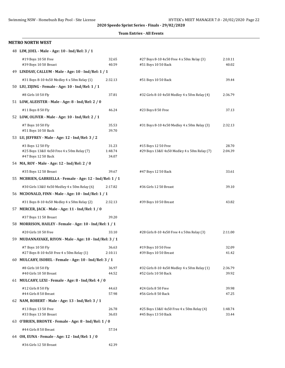#### **Team Entries - All Events**

#### **METRO NORTH WEST**

| 48 LIM, JOEL - Male - Age: 10 - Ind/Rel: 3 / 1                   |                  |                                                                  |                  |
|------------------------------------------------------------------|------------------|------------------------------------------------------------------|------------------|
| #19 Boys 10 50 Free<br>#39 Boys 10 50 Breast                     | 32.65<br>40.59   | #27 Boys 8-10 4x50 Free 4 x 50m Relay (3)<br>#51 Boys 10 50 Back | 2:10.11<br>40.02 |
| 49 LINDSAY, CALLUM - Male - Age: 10 - Ind/Rel: 1 / 1             |                  |                                                                  |                  |
| #31 Boys 8-10 4x50 Medley 4 x 50m Relay (1)                      | 2:32.13          | #51 Boys 10 50 Back                                              | 39.44            |
| 50 LIU, ZIJING - Female - Age: 10 - Ind/Rel: 1 / 1               |                  |                                                                  |                  |
| #8 Girls 10 50 Fly                                               | 37.81            | #32 Girls 8-10 4x50 Medley 4 x 50m Relay (4)                     | 2:36.79          |
| 51 LOW, ALEISTER - Male - Age: 8 - Ind/Rel: 2 / 0                |                  |                                                                  |                  |
| #11 Boys 8 50 Fly                                                | 46.24            | #23 Boys 8 50 Free                                               | 37.13            |
| 52 LOW, OLIVER - Male - Age: 10 - Ind/Rel: 2 / 1                 |                  |                                                                  |                  |
| #7 Boys 10 50 Fly                                                | 35.53            | #31 Boys 8-10 4x50 Medley 4 x 50m Relay (3)                      | 2:32.13          |
| #51 Boys 10 50 Back                                              | 39.70            |                                                                  |                  |
| 53 LU, JEFFREY - Male - Age: 12 - Ind/Rel: 3 / 2                 |                  |                                                                  |                  |
| #3 Boys 12 50 Fly                                                | 31.23            | #15 Boys 12 50 Free                                              | 28.70            |
| #25 Boys 13&U 4x50 Free 4 x 50m Relay (7)<br>#47 Boys 12 50 Back | 1:48.74<br>34.07 | #29 Boys 13&U 4x50 Medley 4 x 50m Relay (7)                      | 2:04.39          |
| 54 MA, ROY - Male - Age: 12 - Ind/Rel: 2 / 0                     |                  |                                                                  |                  |
| #35 Boys 12 50 Breast                                            | 39.67            | #47 Boys 12 50 Back                                              | 33.61            |
| 55 MCBRIEN, GABRIELLA - Female - Age: 12 - Ind/Rel: 1 / 1        |                  |                                                                  |                  |
| #30 Girls 13&U 4x50 Medley 4 x 50m Relay (6)                     | 2:17.82          | #36 Girls 12 50 Breast                                           | 39.10            |
| 56 MCDONALD, FINN - Male - Age: 10 - Ind/Rel: 1 / 1              |                  |                                                                  |                  |
| #31 Boys 8-10 4x50 Medley 4 x 50m Relay (2)                      | 2:32.13          | #39 Boys 10 50 Breast                                            | 43.82            |
| 57 MERCER, JACK - Male - Age: 11 - Ind/Rel: 1 / 0                |                  |                                                                  |                  |
| #37 Boys 11 50 Breast                                            | 39.20            |                                                                  |                  |
| 58 MORRISON, HAILEY - Female - Age: 10 - Ind/Rel: 1 / 1          |                  |                                                                  |                  |
| #20 Girls 10 50 Free                                             | 33.10            | #28 Girls 8-10 4x50 Free 4 x 50m Relay (3)                       | 2:11.00          |
| 59 MUDANNAYAKE, RIYON - Male - Age: 10 - Ind/Rel: 3 / 1          |                  |                                                                  |                  |
| #7 Boys 10 50 Fly                                                | 36.63            | #19 Boys 10 50 Free                                              | 32.09            |
| #27 Boys 8-10 4x50 Free 4 x 50m Relay (1)                        | 2:10.11          | #39 Boys 10 50 Breast                                            | 41.42            |
| 60 MULCAHY, ISOBEL - Female - Age: 10 - Ind/Rel: 3 / 1           |                  |                                                                  |                  |
| #8 Girls 10 50 Fly                                               | 36.97            | #32 Girls 8-10 4x50 Medley 4 x 50m Relay (1)                     | 2:36.79          |
| #40 Girls 10 50 Breast                                           | 44.52            | #52 Girls 10 50 Back                                             | 39.92            |
| 61 MULCAHY, LEXI - Female - Age: 8 - Ind/Rel: 4 / 0              |                  |                                                                  |                  |
| #12 Girls 8 50 Fly<br>#44 Girls 8 50 Breast                      | 44.63<br>57.98   | #24 Girls 8 50 Free<br>#56 Girls 8 50 Back                       | 39.98<br>47.25   |
| 62 NAM, ROBERT - Male - Age: 13 - Ind/Rel: 3 / 1                 |                  |                                                                  |                  |
| #13 Boys 13 50 Free                                              | 26.78            | #25 Boys 13&U 4x50 Free 4 x 50m Relay (4)                        | 1:48.74          |
| #33 Boys 13 50 Breast                                            | 36.03            | #45 Boys 13 50 Back                                              | 33.44            |
| 63 O'BRIEN, BRONTE - Female - Age: 8 - Ind/Rel: 1 / 0            |                  |                                                                  |                  |
| #44 Girls 8 50 Breast                                            | 57.54            |                                                                  |                  |
| 64 OH, EUNA - Female - Age: 12 - Ind/Rel: 1 / 0                  |                  |                                                                  |                  |

#36 Girls 12 50 Breast 42.39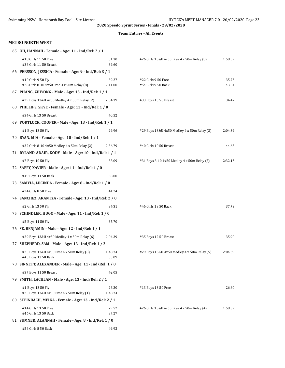#### **Team Entries - All Events**

#### **METRO NORTH WEST**

| 65 OH, HANNAH - Female - Age: 11 - Ind/Rel: 2 / 1                |                  |                                             |                |
|------------------------------------------------------------------|------------------|---------------------------------------------|----------------|
| #18 Girls 11 50 Free<br>#38 Girls 11 50 Breast                   | 31.30<br>39.60   | #26 Girls 13&U 4x50 Free 4 x 50m Relay (8)  | 1:58.32        |
| 66 PERSSON, JESSICA - Female - Age: 9 - Ind/Rel: 3 / 1           |                  |                                             |                |
| #10 Girls 9 50 Fly<br>#28 Girls 8-10 4x50 Free 4 x 50m Relay (8) | 39.27<br>2:11.00 | #22 Girls 9 50 Free<br>#54 Girls 9 50 Back  | 35.73<br>43.54 |
| 67 PHANG, ZHIYONG - Male - Age: 13 - Ind/Rel: 1 / 1              |                  |                                             |                |
| #29 Boys 13&U 4x50 Medley 4 x 50m Relay (2)                      | 2:04.39          | #33 Boys 13 50 Breast                       | 34.47          |
| 68 PHILLIPS, SKYE - Female - Age: 13 - Ind/Rel: 1 / 0            |                  |                                             |                |
| #34 Girls 13 50 Breast                                           | 40.52            |                                             |                |
| 69 PORTLOCK, COOPER - Male - Age: 13 - Ind/Rel: 1 / 1            |                  |                                             |                |
| #1 Boys 13 50 Fly                                                | 29.96            | #29 Boys 13&U 4x50 Medley 4 x 50m Relay (3) | 2:04.39        |
| 70 RYAN, MIA - Female - Age: 10 - Ind/Rel: 1 / 1                 |                  |                                             |                |
| #32 Girls 8-10 4x50 Medley 4 x 50m Relay (2)                     | 2:36.79          | #40 Girls 10 50 Breast                      | 44.65          |
| 71 RYLAND-ADAIR, KODY - Male - Age: 10 - Ind/Rel: 1 / 1          |                  |                                             |                |
| #7 Boys 10 50 Fly                                                | 38.09            | #31 Boys 8-10 4x50 Medley 4 x 50m Relay (7) | 2:32.13        |
| 72 SAFFY, XAVIER - Male - Age: 11 - Ind/Rel: 1 / 0               |                  |                                             |                |
| #49 Boys 11 50 Back                                              | 38.00            |                                             |                |
| 73 SAMYIA, LUCINDA - Female - Age: 8 - Ind/Rel: 1 / 0            |                  |                                             |                |
| #24 Girls 8 50 Free                                              | 41.24            |                                             |                |
| 74 SANCHEZ, ARANTZA - Female - Age: 13 - Ind/Rel: 2 / 0          |                  |                                             |                |
| #2 Girls 13 50 Fly                                               | 34.31            | #46 Girls 13 50 Back                        | 37.73          |
| 75 SCHINDLER, HUGO - Male - Age: 11 - Ind/Rel: 1 / 0             |                  |                                             |                |
| #5 Boys 11 50 Fly                                                | 35.70            |                                             |                |
| 76 SE, BENJAMIN - Male - Age: 12 - Ind/Rel: 1 / 1                |                  |                                             |                |
| #29 Boys 13&U 4x50 Medley 4 x 50m Relay (6)                      | 2:04.39          | #35 Boys 12 50 Breast                       | 35.90          |
| 77 SHEPHERD, SAM - Male - Age: 13 - Ind/Rel: 1 / 2               |                  |                                             |                |
| #25 Boys 13&U 4x50 Free 4 x 50m Relay (8)<br>#45 Boys 13 50 Back | 1:48.74<br>33.09 | #29 Boys 13&U 4x50 Medley 4 x 50m Relay (5) | 2:04.39        |
| 78 SINNETT, ALEXANDER - Male - Age: 11 - Ind/Rel: 1 / 0          |                  |                                             |                |
| #37 Boys 11 50 Breast                                            | 42.05            |                                             |                |
| 79 SMITH, LACHLAN - Male - Age: 13 - Ind/Rel: 2 / 1              |                  |                                             |                |
| #1 Boys 13 50 Fly<br>#25 Boys 13&U 4x50 Free 4 x 50m Relay (1)   | 28.30<br>1:48.74 | #13 Boys 13 50 Free                         | 26.60          |
| 80 STEINBACH, MEIKA - Female - Age: 13 - Ind/Rel: 2 / 1          |                  |                                             |                |
| #14 Girls 13 50 Free<br>#46 Girls 13 50 Back                     | 29.52<br>37.27   | #26 Girls 13&U 4x50 Free 4 x 50m Relay (4)  | 1:58.32        |
| 81 SUMNER, ALANNAH - Female - Age: 8 - Ind/Rel: 1 / 0            |                  |                                             |                |
| #56 Girls 8 50 Back                                              | 49.92            |                                             |                |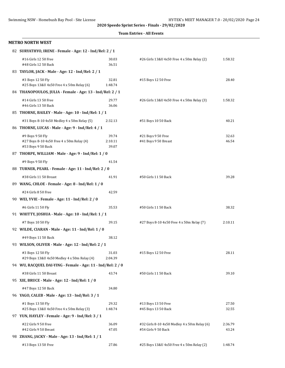| <b>Team Entries - All Events</b> |  |
|----------------------------------|--|
|----------------------------------|--|

#### **METRO NORTH WEST** 82 **SURYATHYO, IRENE - Female - Age: 12 - Ind/Rel: 2 / 1** #16 Girls 12 50 Free 30.03 #26 Girls 13&U 4x50 Free 4 x 50m Relay (2) 1:58.32

| #48 Girls 12 50 Back                                                                | 36.51                     |                                                                     |                  |
|-------------------------------------------------------------------------------------|---------------------------|---------------------------------------------------------------------|------------------|
| 83 TAYLOR, JACK - Male - Age: 12 - Ind/Rel: 2 / 1                                   |                           |                                                                     |                  |
| #3 Boys 12 50 Fly<br>#25 Boys 13&U 4x50 Free 4 x 50m Relay (6)                      | 32.81<br>1:48.74          | #15 Boys 12 50 Free                                                 | 28.40            |
| 84 THANOPOULOS, JULIA - Female - Age: 13 - Ind/Rel: 2 / 1                           |                           |                                                                     |                  |
| #14 Girls 13 50 Free<br>#46 Girls 13 50 Back                                        | 29.77<br>36.06            | #26 Girls 13&U 4x50 Free 4 x 50m Relay (3)                          | 1:58.32          |
| 85 THORNE, BAILEY - Male - Age: 10 - Ind/Rel: 1 / 1                                 |                           |                                                                     |                  |
| #31 Boys 8-10 4x50 Medley 4 x 50m Relay (5)                                         | 2:32.13                   | #51 Boys 10 50 Back                                                 | 40.21            |
| 86 THORNE, LUCAS - Male - Age: 9 - Ind/Rel: 4 / 1                                   |                           |                                                                     |                  |
| #9 Boys 9 50 Fly<br>#27 Boys 8-10 4x50 Free 4 x 50m Relay (4)<br>#53 Boys 9 50 Back | 39.74<br>2:10.11<br>39.07 | #21 Boys 9 50 Free<br>#41 Boys 9 50 Breast                          | 32.63<br>46.54   |
| 87 THORPE, WILLIAM - Male - Age: 9 - Ind/Rel: 1 / 0                                 |                           |                                                                     |                  |
| #9 Boys 9 50 Fly                                                                    | 41.54                     |                                                                     |                  |
| 88 TURNER, PEARL - Female - Age: 11 - Ind/Rel: 2 / 0                                |                           |                                                                     |                  |
| #38 Girls 11 50 Breast                                                              | 41.91                     | #50 Girls 11 50 Back                                                | 39.28            |
| 89 WANG, CHLOE - Female - Age: 8 - Ind/Rel: 1 / 0                                   |                           |                                                                     |                  |
| #24 Girls 8 50 Free                                                                 | 42.59                     |                                                                     |                  |
| 90 WEI, YVIE - Female - Age: 11 - Ind/Rel: 2 / 0                                    |                           |                                                                     |                  |
| #6 Girls 11 50 Fly                                                                  | 35.53                     | #50 Girls 11 50 Back                                                | 38.32            |
| 91 WHITTY, JOSHUA - Male - Age: 10 - Ind/Rel: 1 / 1                                 |                           |                                                                     |                  |
| #7 Boys 10 50 Fly                                                                   | 39.15                     | #27 Boys 8-10 4x50 Free 4 x 50m Relay (7)                           | 2:10.11          |
| 92 WILDE, CIARAN - Male - Age: 11 - Ind/Rel: 1 / 0                                  |                           |                                                                     |                  |
| #49 Boys 11 50 Back                                                                 | 38.12                     |                                                                     |                  |
| 93 WILSON, OLIVER - Male - Age: 12 - Ind/Rel: 2 / 1                                 |                           |                                                                     |                  |
| #3 Boys 12 50 Fly<br>#29 Boys 13&U 4x50 Medley 4 x 50m Relay (4)                    | 31.03<br>2:04.39          | #15 Boys 12 50 Free                                                 | 28.11            |
| 94 WU, RACQUEL DAI-YING - Female - Age: 11 - Ind/Rel: 2 / 0                         |                           |                                                                     |                  |
| #38 Girls 11 50 Breast                                                              | 43.74                     | #50 Girls 11 50 Back                                                | 39.10            |
| 95 XIE, BRUCE - Male - Age: 12 - Ind/Rel: 1 / 0                                     |                           |                                                                     |                  |
| #47 Boys 12 50 Back                                                                 | 34.80                     |                                                                     |                  |
| 96 YAGO, CALEB - Male - Age: 13 - Ind/Rel: 3 / 1                                    |                           |                                                                     |                  |
| #1 Boys 13 50 Fly<br>#25 Boys 13&U 4x50 Free 4 x 50m Relay (3)                      | 29.32<br>1:48.74          | #13 Boys 13 50 Free<br>#45 Boys 13 50 Back                          | 27.50<br>32.55   |
| 97 YUN, HAYLEY - Female - Age: 9 - Ind/Rel: 3 / 1                                   |                           |                                                                     |                  |
| #22 Girls 9 50 Free<br>#42 Girls 9 50 Breast                                        | 36.09<br>47.05            | #32 Girls 8-10 4x50 Medley 4 x 50m Relay (6)<br>#54 Girls 9 50 Back | 2:36.79<br>43.24 |
| 98 ZHANG, JACKY - Male - Age: 13 - Ind/Rel: 1 / 1                                   |                           |                                                                     |                  |
| #13 Boys 13 50 Free                                                                 | 27.86                     | #25 Boys 13&U 4x50 Free 4 x 50m Relay (2)                           | 1:48.74          |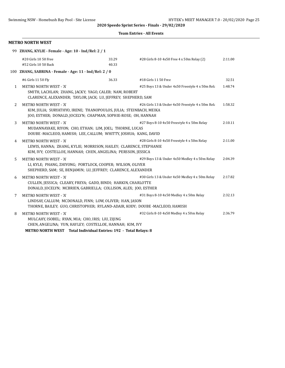|  | <b>Team Entries - All Events</b> |  |  |
|--|----------------------------------|--|--|
|--|----------------------------------|--|--|

#### **METRO NORTH WEST**

|              | 99 ZHANG, KYLIE - Female - Age: 10 - Ind/Rel: 2 / 1                                                                                                                                                                        |                |                                                  |         |
|--------------|----------------------------------------------------------------------------------------------------------------------------------------------------------------------------------------------------------------------------|----------------|--------------------------------------------------|---------|
|              | #20 Girls 10 50 Free<br>#52 Girls 10 50 Back                                                                                                                                                                               | 33.29<br>40.33 | #28 Girls 8-10 4x50 Free 4 x 50m Relay (2)       | 2:11.00 |
|              | 100 ZHANG, SABRINA - Female - Age: 11 - Ind/Rel: 2 / 0                                                                                                                                                                     |                |                                                  |         |
|              | #6 Girls 11 50 Fly                                                                                                                                                                                                         | 36.33          | #18 Girls 11 50 Free                             | 32.51   |
| $\mathbf{1}$ | <b>METRO NORTH WEST - 'A'</b><br>SMITH, LACHLAN; ZHANG, JACKY; YAGO, CALEB; NAM, ROBERT<br>CLARENCE, ALEXANDER; TAYLOR, JACK; LU, JEFFREY; SHEPHERD, SAM                                                                   |                | #25 Boys 13 & Under 4x50 Freestyle 4 x 50m Rela  | 1:48.74 |
| 2            | <b>METRO NORTH WEST - 'A'</b><br>KIM, JULIA; SURYATHYO, IRENE; THANOPOULOS, JULIA; STEINBACH, MEIKA<br>JOO, ESTHER; DONALD, JOCELYN; CHAPMAN, SOPHIE-ROSE; OH, HANNAH                                                      |                | #26 Girls 13 & Under 4x50 Freestyle 4 x 50m Rela | 1:58.32 |
| 3            | METRO NORTH WEST - 'A'<br>MUDANNAYAKE, RIYON; CHO, ETHAN; LIM, JOEL; THORNE, LUCAS<br>DOUBE -MACLEOD, HAMISH; LEE, CALLUM; WHITTY, JOSHUA; KANG, DAVID                                                                     |                | #27 Boys 8-10 4x50 Freestyle 4 x 50m Relay       | 2:10.11 |
| 4            | <b>METRO NORTH WEST - 'A'</b><br>LEWIS, HANNA; ZHANG, KYLIE; MORRISON, HAILEY; CLARENCE, STEPHANIE<br>KIM, IVY; COSTELLOE, HANNAH; CHEN, ANGELINA; PERSSON, JESSICA                                                        |                | #28 Girls 8-10 4x50 Freestyle 4 x 50m Relay      | 2:11.00 |
| 5            | <b>METRO NORTH WEST - 'A'</b><br>LI, KYLE; PHANG, ZHIYONG; PORTLOCK, COOPER; WILSON, OLIVER<br>SHEPHERD, SAM; SE, BENJAMIN; LU, JEFFREY; CLARENCE, ALEXANDER                                                               |                | #29 Boys 13 & Under 4x50 Medley 4 x 50m Relay    | 2:04.39 |
| 6            | <b>METRO NORTH WEST - 'A'</b><br>CULLEN, JESSICA; CLEARY, FREYA; GADD, BINDI; HARKIN, CHARLOTTE<br>DONALD, JOCELYN; MCBRIEN, GABRIELLA; COLLISON, ALEX; JOO, ESTHER                                                        |                | #30 Girls 13 & Under 4x50 Medley 4 x 50m Relay   | 2:17.82 |
| 7            | METRO NORTH WEST - 'A'<br>LINDSAY, CALLUM; MCDONALD, FINN; LOW, OLIVER; HAN, JASON<br>THORNE, BAILEY; GUO, CHRISTOPHER; RYLAND-ADAIR, KODY; DOUBE -MACLEOD, HAMISH                                                         |                | #31 Boys 8-10 4x50 Medley 4 x 50m Relay          | 2:32.13 |
| 8            | <b>METRO NORTH WEST - 'A'</b><br>MULCAHY, ISOBEL; RYAN, MIA; CHO, IRIS; LIU, ZIJING<br>CHEN, ANGELINA; YUN, HAYLEY; COSTELLOE, HANNAH; KIM, IVY<br><b>METRO NORTH WEST</b> Total Individual Entries: 192 - Total Relays: 8 |                | #32 Girls 8-10 4x50 Medley 4 x 50m Relay         | 2:36.79 |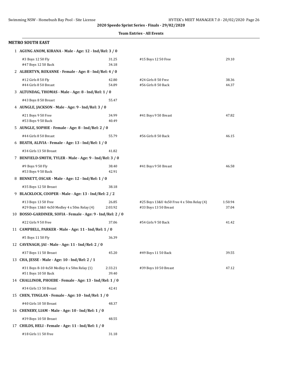#### **Team Entries - All Events**

| <b>METRO SOUTH EAST</b>                                            |                  |                                                                    |                  |
|--------------------------------------------------------------------|------------------|--------------------------------------------------------------------|------------------|
| 1 AGUNG ANOM, KIRANA - Male - Age: 12 - Ind/Rel: 3 / 0             |                  |                                                                    |                  |
| #3 Boys 12 50 Fly<br>#47 Boys 12 50 Back                           | 31.25<br>34.18   | #15 Boys 12 50 Free                                                | 29.10            |
| 2 ALBERTYN, ROXANNE - Female - Age: 8 - Ind/Rel: 4 / 0             |                  |                                                                    |                  |
| #12 Girls 8 50 Fly<br>#44 Girls 8 50 Breast                        | 42.80<br>54.89   | #24 Girls 8 50 Free<br>#56 Girls 8 50 Back                         | 38.36<br>44.37   |
| 3 ALTUNDAG, THOMAS - Male - Age: 8 - Ind/Rel: 1 / 0                |                  |                                                                    |                  |
| #43 Boys 8 50 Breast                                               | 55.47            |                                                                    |                  |
| 4 AUNGLE, JACKSON - Male - Age: 9 - Ind/Rel: 3 / 0                 |                  |                                                                    |                  |
| #21 Boys 9 50 Free<br>#53 Boys 9 50 Back                           | 34.99<br>40.49   | #41 Boys 9 50 Breast                                               | 47.82            |
| 5 AUNGLE, SOPHIE - Female - Age: 8 - Ind/Rel: 2 / 0                |                  |                                                                    |                  |
| #44 Girls 8 50 Breast                                              | 55.79            | #56 Girls 8 50 Back                                                | 46.15            |
| 6 BEATH, ALIVIA - Female - Age: 13 - Ind/Rel: 1 / 0                |                  |                                                                    |                  |
| #34 Girls 13 50 Breast                                             | 41.82            |                                                                    |                  |
| 7 BENFIELD-SMITH, TYLER - Male - Age: 9 - Ind/Rel: 3 / 0           |                  |                                                                    |                  |
| #9 Boys 9 50 Fly<br>#53 Boys 9 50 Back                             | 38.40<br>42.91   | #41 Boys 9 50 Breast                                               | 46.58            |
| 8 BENNETT, OSCAR - Male - Age: 12 - Ind/Rel: 1 / 0                 |                  |                                                                    |                  |
| #35 Boys 12 50 Breast                                              | 38.18            |                                                                    |                  |
| 9 BLACKLOCK, COOPER - Male - Age: 13 - Ind/Rel: 2 / 2              |                  |                                                                    |                  |
| #13 Boys 13 50 Free<br>#29 Boys 13&U 4x50 Medley 4 x 50m Relay (4) | 26.85<br>2:03.92 | #25 Boys 13&U 4x50 Free 4 x 50m Relay (4)<br>#33 Boys 13 50 Breast | 1:50.94<br>37.04 |
| 10 BOSSO-GARDINER, SOFIA - Female - Age: 9 - Ind/Rel: 2 / 0        |                  |                                                                    |                  |
| #22 Girls 9 50 Free                                                | 37.06            | #54 Girls 9 50 Back                                                | 41.42            |
| 11 CAMPBELL, PARKER - Male - Age: 11 - Ind/Rel: 1 / 0              |                  |                                                                    |                  |
| #5 Boys 11 50 Fly                                                  | 36.39            |                                                                    |                  |
| 12 CAVENAGH, JAI - Male - Age: 11 - Ind/Rel: 2 / 0                 |                  |                                                                    |                  |
| #37 Boys 11 50 Breast                                              | 45.20            | #49 Boys 11 50 Back                                                | 39.55            |
| 13 CHA, JESSE - Male - Age: 10 - Ind/Rel: 2 / 1                    |                  |                                                                    |                  |
| #31 Boys 8-10 4x50 Medley 4 x 50m Relay (1)<br>#51 Boys 10 50 Back | 2:33.21<br>39.40 | #39 Boys 10 50 Breast                                              | 47.12            |
| 14 CHALLINOR, PHOEBE - Female - Age: 13 - Ind/Rel: 1 / 0           |                  |                                                                    |                  |
| #34 Girls 13 50 Breast                                             | 42.41            |                                                                    |                  |
| 15 CHEN, TINGLAN - Female - Age: 10 - Ind/Rel: 1 / 0               |                  |                                                                    |                  |
| #40 Girls 10 50 Breast                                             | 48.37            |                                                                    |                  |
| 16 CHENERY, LIAM - Male - Age: 10 - Ind/Rel: 1 / 0                 |                  |                                                                    |                  |
| #39 Boys 10 50 Breast                                              | 48.55            |                                                                    |                  |
| 17 CHILDS, HELI - Female - Age: 11 - Ind/Rel: 1 / 0                |                  |                                                                    |                  |
| #18 Girls 11 50 Free                                               | 31.18            |                                                                    |                  |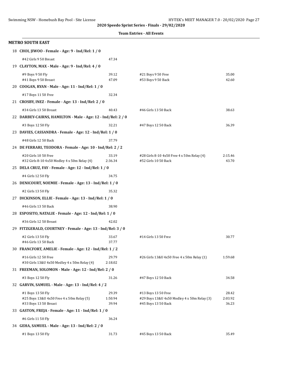$\overline{\phantom{a}}$ 

|                                                                      |                  | <b>Team Entries - All Events</b>            |         |
|----------------------------------------------------------------------|------------------|---------------------------------------------|---------|
| <b>METRO SOUTH EAST</b>                                              |                  |                                             |         |
| 18 CHOI, JIWOO - Female - Age: 9 - Ind/Rel: 1 / 0                    |                  |                                             |         |
| #42 Girls 9 50 Breast                                                | 47.34            |                                             |         |
| 19 CLAYTON, MAX - Male - Age: 9 - Ind/Rel: 4 / 0                     |                  |                                             |         |
| #9 Boys 9 50 Fly                                                     | 39.12            | #21 Boys 9 50 Free                          | 35.00   |
| #41 Boys 9 50 Breast                                                 | 47.09            | #53 Boys 9 50 Back                          | 42.60   |
| 20 COOGAN, RYAN - Male - Age: 11 - Ind/Rel: 1 / 0                    |                  |                                             |         |
| #17 Boys 11 50 Free                                                  | 32.34            |                                             |         |
| 21 CROSBY, INEZ - Female - Age: 13 - Ind/Rel: 2 / 0                  |                  |                                             |         |
| #34 Girls 13 50 Breast                                               | 40.43            | #46 Girls 13 50 Back                        | 38.63   |
| 22 DARBEY-CAIRNS, HAMILTON - Male - Age: 12 - Ind/Rel: 2 / 0         |                  |                                             |         |
| #3 Boys 12 50 Fly                                                    | 32.21            | #47 Boys 12 50 Back                         | 36.39   |
| 23 DAVIES, CASSANDRA - Female - Age: 12 - Ind/Rel: 1 / 0             |                  |                                             |         |
| #48 Girls 12 50 Back                                                 | 37.79            |                                             |         |
| 24 DE FERRARI, TEODORA - Female - Age: 10 - Ind/Rel: 2 / 2           |                  |                                             |         |
| #20 Girls 10 50 Free                                                 | 33.19            | #28 Girls 8-10 4x50 Free 4 x 50m Relay (4)  | 2:15.46 |
| #32 Girls 8-10 4x50 Medley 4 x 50m Relay (4)                         | 2:36.34          | #52 Girls 10 50 Back                        | 43.70   |
| 25 DELA CRUZ, FAY - Female - Age: 12 - Ind/Rel: 1 / 0                |                  |                                             |         |
| #4 Girls 12 50 Fly                                                   | 34.75            |                                             |         |
| 26 DENICOURT, NOEMIE - Female - Age: 13 - Ind/Rel: 1 / 0             |                  |                                             |         |
| #2 Girls 13 50 Fly                                                   | 35.32            |                                             |         |
| 27 DICKINSON, ELLIE - Female - Age: 13 - Ind/Rel: 1 / 0              |                  |                                             |         |
| #46 Girls 13 50 Back                                                 | 38.90            |                                             |         |
| 28 ESPOSITO, NATALIE - Female - Age: 12 - Ind/Rel: 1 / 0             |                  |                                             |         |
| #36 Girls 12 50 Breast                                               | 42.02            |                                             |         |
| 29 FITZGERALD, COURTNEY - Female - Age: 13 - Ind/Rel: 3 / 0          |                  |                                             |         |
| #2 Girls 13 50 Fly<br>#46 Girls 13 50 Back                           | 33.67<br>37.77   | #14 Girls 13 50 Free                        | 30.77   |
| 30 FRANCFORT, AMELIE - Female - Age: 12 - Ind/Rel: 1 / 2             |                  |                                             |         |
|                                                                      |                  |                                             |         |
| #16 Girls 12 50 Free<br>#30 Girls 13&U 4x50 Medley 4 x 50m Relay (4) | 29.79<br>2:18.02 | #26 Girls 13&U 4x50 Free 4 x 50m Relay (1)  | 1:59.68 |
| 31 FREEMAN, SOLOMON - Male - Age: 12 - Ind/Rel: 2 / 0                |                  |                                             |         |
| #3 Boys 12 50 Fly                                                    | 31.26            | #47 Boys 12 50 Back                         | 34.58   |
| 32 GARVIN, SAMUEL - Male - Age: 13 - Ind/Rel: 4 / 2                  |                  |                                             |         |
| #1 Boys 13 50 Fly                                                    | 29.39            | #13 Boys 13 50 Free                         | 28.42   |
| #25 Boys 13&U 4x50 Free 4 x 50m Relay (5)                            | 1:50.94          | #29 Boys 13&U 4x50 Medley 4 x 50m Relay (3) | 2:03.92 |
| #33 Boys 13 50 Breast                                                | 39.94            | #45 Boys 13 50 Back                         | 36.23   |
| 33 GASTON, FREJA - Female - Age: 11 - Ind/Rel: 1 / 0                 |                  |                                             |         |
| #6 Girls 11 50 Fly                                                   | 36.24            |                                             |         |
| 34 GEHA, SAMUEL - Male - Age: 13 - Ind/Rel: 2 / 0                    |                  |                                             |         |
| #1 Boys 13 50 Fly                                                    | 31.73            | #45 Boys 13 50 Back                         | 35.49   |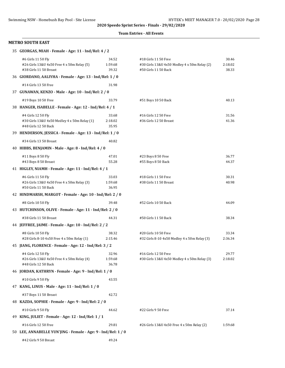#### **Team Entries - All Events**

| 35 GEORGAS, MIAH - Female - Age: 11 - Ind/Rel: 4 / 2                                       |                           |                                                                                              |                           |  |
|--------------------------------------------------------------------------------------------|---------------------------|----------------------------------------------------------------------------------------------|---------------------------|--|
| #6 Girls 11 50 Fly<br>#26 Girls 13&U 4x50 Free 4 x 50m Relay (5)<br>#38 Girls 11 50 Breast | 34.52<br>1:59.68<br>39.32 | #18 Girls 11 50 Free<br>#30 Girls 13&U 4x50 Medley 4 x 50m Relay (2)<br>#50 Girls 11 50 Back | 30.46<br>2:18.02<br>38.33 |  |
| 36 GIORDANO, AALIYHA - Female - Age: 13 - Ind/Rel: 1 / 0                                   |                           |                                                                                              |                           |  |
| #14 Girls 13 50 Free                                                                       | 31.98                     |                                                                                              |                           |  |
| 37 GUNAWAN, KENZO - Male - Age: 10 - Ind/Rel: 2 / 0                                        |                           |                                                                                              |                           |  |
| #19 Boys 10 50 Free                                                                        | 33.79                     | #51 Boys 10 50 Back                                                                          | 40.13                     |  |
| 38 HANGER, ISABELLE - Female - Age: 12 - Ind/Rel: 4 / 1                                    |                           |                                                                                              |                           |  |
| #4 Girls 12 50 Fly<br>#30 Girls 13&U 4x50 Medley 4 x 50m Relay (1)<br>#48 Girls 12 50 Back | 33.68<br>2:18.02<br>35.95 | #16 Girls 12 50 Free<br>#36 Girls 12 50 Breast                                               | 31.56<br>41.36            |  |
| 39 HENDERSON, JESSICA - Female - Age: 13 - Ind/Rel: 1 / 0                                  |                           |                                                                                              |                           |  |
| #34 Girls 13 50 Breast                                                                     | 40.82                     |                                                                                              |                           |  |
| 40 HIBBS, BENJAMIN - Male - Age: 8 - Ind/Rel: 4 / 0                                        |                           |                                                                                              |                           |  |
| #11 Boys 8 50 Fly                                                                          | 47.01                     | #23 Boys 8 50 Free                                                                           | 36.77                     |  |
| #43 Boys 8 50 Breast<br>41 HIGLEY, NIAMH - Female - Age: 11 - Ind/Rel: 4 / 1               | 55.28                     | #55 Boys 8 50 Back                                                                           | 44.37                     |  |
|                                                                                            |                           | #18 Girls 11 50 Free                                                                         |                           |  |
| #6 Girls 11 50 Fly<br>#26 Girls 13&U 4x50 Free 4 x 50m Relay (3)<br>#50 Girls 11 50 Back   | 33.03<br>1:59.68<br>36.95 | #38 Girls 11 50 Breast                                                                       | 30.31<br>40.98            |  |
| 42 HINDMARSH, MARGOT - Female - Age: 10 - Ind/Rel: 2 / 0                                   |                           |                                                                                              |                           |  |
| #8 Girls 10 50 Fly                                                                         | 39.48                     | #52 Girls 10 50 Back                                                                         | 44.09                     |  |
| 43 HUTCHINSON, OLIVE - Female - Age: 11 - Ind/Rel: 2 / 0                                   |                           |                                                                                              |                           |  |
| #38 Girls 11 50 Breast                                                                     | 44.31                     | #50 Girls 11 50 Back                                                                         | 38.34                     |  |
| 44 JEFFREE, JAIME - Female - Age: 10 - Ind/Rel: 2 / 2                                      |                           |                                                                                              |                           |  |
| #8 Girls 10 50 Fly<br>#28 Girls 8-10 4x50 Free 4 x 50m Relay (1)                           | 38.32<br>2:15.46          | #20 Girls 10 50 Free<br>#32 Girls 8-10 4x50 Medley 4 x 50m Relay (3)                         | 33.34<br>2:36.34          |  |
| 45 JIANG, FLORENCE - Female - Age: 12 - Ind/Rel: 3 / 2                                     |                           |                                                                                              |                           |  |
| #4 Girls 12 50 Fly<br>#26 Girls 13&U 4x50 Free 4 x 50m Relay (4)<br>#48 Girls 12 50 Back   | 32.96<br>1:59.68<br>36.78 | #16 Girls 12 50 Free<br>#30 Girls 13&U 4x50 Medley 4 x 50m Relay (3)                         | 29.77<br>2:18.02          |  |
| 46 JORDAN, KATHRYN - Female - Age: 9 - Ind/Rel: 1 / 0                                      |                           |                                                                                              |                           |  |
| #10 Girls 9 50 Fly                                                                         | 43.55                     |                                                                                              |                           |  |
| 47 KANG, LINUS - Male - Age: 11 - Ind/Rel: 1 / 0                                           |                           |                                                                                              |                           |  |
| #37 Boys 11 50 Breast                                                                      | 42.72                     |                                                                                              |                           |  |
| 48 KAZDA, SOPHIE - Female - Age: 9 - Ind/Rel: 2 / 0                                        |                           |                                                                                              |                           |  |
| #10 Girls 9 50 Fly                                                                         | 44.62                     | #22 Girls 9 50 Free                                                                          | 37.14                     |  |
| 49 KING, JULIET - Female - Age: 12 - Ind/Rel: 1 / 1                                        |                           |                                                                                              |                           |  |
| #16 Girls 12 50 Free                                                                       | 29.81                     | #26 Girls 13&U 4x50 Free 4 x 50m Relay (2)                                                   | 1:59.68                   |  |
| 50 LEE, ANNABELLE YUN'JING - Female - Age: 9 - Ind/Rel: 1 / 0                              |                           |                                                                                              |                           |  |
| #42 Girls 9 50 Breast                                                                      | 49.24                     |                                                                                              |                           |  |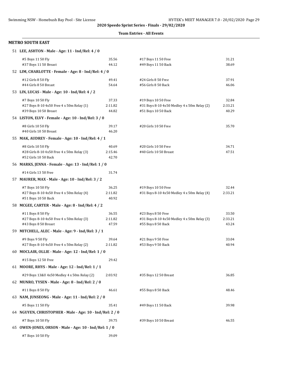#### **Team Entries - All Events**

| 51 LEE, ASHTON - Male - Age: 11 - Ind/Rel: 4 / 0                              |                  |                                                                    |                  |
|-------------------------------------------------------------------------------|------------------|--------------------------------------------------------------------|------------------|
| #5 Boys 11 50 Fly                                                             | 35.56            | #17 Boys 11 50 Free                                                | 31.21            |
| #37 Boys 11 50 Breast                                                         | 44.12            | #49 Boys 11 50 Back                                                | 38.69            |
| 52 LIM, CHARLOTTE - Female - Age: 8 - Ind/Rel: 4 / 0                          |                  |                                                                    |                  |
| #12 Girls 8 50 Fly                                                            | 49.41            | #24 Girls 8 50 Free                                                | 37.91            |
| #44 Girls 8 50 Breast                                                         | 54.64            | #56 Girls 8 50 Back                                                | 46.06            |
| 53 LIN, LUCAS - Male - Age: 10 - Ind/Rel: 4 / 2                               |                  |                                                                    |                  |
| #7 Boys 10 50 Fly                                                             | 37.33            | #19 Boys 10 50 Free                                                | 32.84            |
| #27 Boys 8-10 4x50 Free 4 x 50m Relay (1)                                     | 2:11.82          | #31 Boys 8-10 4x50 Medley 4 x 50m Relay (2)                        | 2:33.21          |
| #39 Boys 10 50 Breast                                                         | 44.82            | #51 Boys 10 50 Back                                                | 40.29            |
| 54 LISTON, ELVY - Female - Age: 10 - Ind/Rel: 3 / 0                           |                  |                                                                    |                  |
| #8 Girls 10 50 Fly                                                            | 39.17            | #20 Girls 10 50 Free                                               | 35.70            |
| #40 Girls 10 50 Breast                                                        | 46.20            |                                                                    |                  |
| 55 MAK, AUDREY - Female - Age: 10 - Ind/Rel: 4 / 1                            |                  |                                                                    |                  |
| #8 Girls 10 50 Fly                                                            | 40.69            | #20 Girls 10 50 Free                                               | 34.71            |
| #28 Girls 8-10 4x50 Free 4 x 50m Relay (3)<br>#52 Girls 10 50 Back            | 2:15.46<br>42.70 | #40 Girls 10 50 Breast                                             | 47.51            |
| 56 MARKS, JENNA - Female - Age: 13 - Ind/Rel: 1 / 0                           |                  |                                                                    |                  |
|                                                                               |                  |                                                                    |                  |
| #14 Girls 13 50 Free                                                          | 31.74            |                                                                    |                  |
| 57 MAURER, MAX - Male - Age: 10 - Ind/Rel: 3 / 2                              |                  |                                                                    |                  |
| #7 Boys 10 50 Fly<br>#27 Boys 8-10 4x50 Free 4 x 50m Relay (4)                | 36.25<br>2:11.82 | #19 Boys 10 50 Free<br>#31 Boys 8-10 4x50 Medley 4 x 50m Relay (4) | 32.44<br>2:33.21 |
| #51 Boys 10 50 Back                                                           | 40.92            |                                                                    |                  |
| 58 MCGEE, CARTER - Male - Age: 8 - Ind/Rel: 4 / 2                             |                  |                                                                    |                  |
| #11 Boys 8 50 Fly                                                             | 36.55            | #23 Boys 8 50 Free                                                 | 33.50            |
| #27 Boys 8-10 4x50 Free 4 x 50m Relay (3)                                     | 2:11.82          | #31 Boys 8-10 4x50 Medley 4 x 50m Relay (3)                        | 2:33.21          |
| #43 Boys 8 50 Breast                                                          | 47.59            | #55 Boys 8 50 Back                                                 | 43.24            |
| 59 MITCHELL, ALEC - Male - Age: 9 - Ind/Rel: 3 / 1                            |                  |                                                                    |                  |
| #9 Boys 9 50 Fly                                                              | 39.64            | #21 Boys 9 50 Free                                                 | 33.04            |
| #27 Boys 8-10 4x50 Free 4 x 50m Relay (2)                                     | 2:11.82          | #53 Boys 9 50 Back                                                 | 40.94            |
| 60 MOCLAIR, OLLIE - Male - Age: 12 - Ind/Rel: 1 / 0                           |                  |                                                                    |                  |
| #15 Boys 12 50 Free                                                           | 29.42            |                                                                    |                  |
| 61 MOORE, RHYS - Male - Age: 12 - Ind/Rel: 1 / 1                              |                  |                                                                    |                  |
| #29 Boys 13&U 4x50 Medley 4 x 50m Relay (2)                                   | 2:03.92          | #35 Boys 12 50 Breast                                              | 36.85            |
| 62 MUNRO, TYSEN - Male - Age: 8 - Ind/Rel: 2 / 0                              |                  |                                                                    |                  |
| #11 Boys 8 50 Fly                                                             | 46.61            | #55 Boys 8 50 Back                                                 | 48.46            |
| 63 NAM, JUNSEONG - Male - Age: 11 - Ind/Rel: 2 / 0                            |                  |                                                                    |                  |
|                                                                               |                  |                                                                    |                  |
| #5 Boys 11 50 Fly<br>64 NGUYEN, CHRISTOPHER - Male - Age: 10 - Ind/Rel: 2 / 0 | 35.41            | #49 Boys 11 50 Back                                                | 39.98            |
|                                                                               |                  |                                                                    |                  |
| #7 Boys 10 50 Fly                                                             | 39.75            | #39 Boys 10 50 Breast                                              | 46.55            |
| 65 OWEN-JONES, ORSON - Male - Age: 10 - Ind/Rel: 1 / 0                        |                  |                                                                    |                  |
| #7 Boys 10 50 Fly                                                             | 39.09            |                                                                    |                  |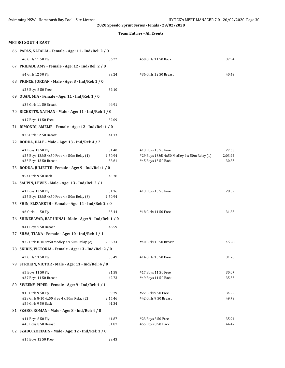|  | <b>Team Entries - All Events</b> |  |  |
|--|----------------------------------|--|--|
|--|----------------------------------|--|--|

| <b>METRO SOUTH EAST</b>                                                        |                  |                                              |         |
|--------------------------------------------------------------------------------|------------------|----------------------------------------------|---------|
| 66 PAPAS, NATALIA - Female - Age: 11 - Ind/Rel: 2 / 0                          |                  |                                              |         |
| #6 Girls 11 50 Fly                                                             | 36.22            | #50 Girls 11 50 Back                         | 37.94   |
| 67 PRIBADI, AMY - Female - Age: 12 - Ind/Rel: 2 / 0                            |                  |                                              |         |
| #4 Girls 12 50 Fly                                                             | 33.24            | #36 Girls 12 50 Breast                       | 40.43   |
| 68 PRINCE, JORDAN - Male - Age: 8 - Ind/Rel: 1 / 0                             |                  |                                              |         |
| #23 Boys 8 50 Free                                                             | 39.10            |                                              |         |
| 69 QUAN, MIA - Female - Age: 11 - Ind/Rel: 1 / 0                               |                  |                                              |         |
| #38 Girls 11 50 Breast                                                         | 44.91            |                                              |         |
| 70 RICKETTS, NATHAN - Male - Age: 11 - Ind/Rel: 1 / 0                          |                  |                                              |         |
| #17 Boys 11 50 Free                                                            | 32.09            |                                              |         |
| 71 RIMONDI, AMELIE - Female - Age: 12 - Ind/Rel: 1 / 0                         |                  |                                              |         |
| #36 Girls 12 50 Breast                                                         | 41.13            |                                              |         |
| 72 RODDA, DALE - Male - Age: 13 - Ind/Rel: 4 / 2                               |                  |                                              |         |
| #1 Boys 13 50 Fly                                                              | 31.40            | #13 Boys 13 50 Free                          | 27.53   |
| #25 Boys 13&U 4x50 Free 4 x 50m Relay (1)                                      | 1:50.94          | #29 Boys 13&U 4x50 Medley 4 x 50m Relay (1)  | 2:03.92 |
| #33 Boys 13 50 Breast<br>73 RODDA, JULIETTE - Female - Age: 9 - Ind/Rel: 1 / 0 | 38.61            | #45 Boys 13 50 Back                          | 30.83   |
|                                                                                |                  |                                              |         |
| #54 Girls 9 50 Back<br>74 SAUPIN, LEWIS - Male - Age: 13 - Ind/Rel: 2 / 1      | 43.78            |                                              |         |
|                                                                                |                  |                                              |         |
| #1 Boys 13 50 Fly<br>#25 Boys 13&U 4x50 Free 4 x 50m Relay (3)                 | 31.16<br>1:50.94 | #13 Boys 13 50 Free                          | 28.32   |
| 75 SHIN, ELIZABETH - Female - Age: 11 - Ind/Rel: 2 / 0                         |                  |                                              |         |
| #6 Girls 11 50 Fly                                                             | 35.44            | #18 Girls 11 50 Free                         | 31.85   |
| 76 SHINEBAYAR, BAT-UUNAI - Male - Age: 9 - Ind/Rel: 1 / 0                      |                  |                                              |         |
| #41 Boys 9 50 Breast                                                           | 46.59            |                                              |         |
| 77 SILVA, TIANA - Female - Age: 10 - Ind/Rel: 1 / 1                            |                  |                                              |         |
| #32 Girls 8-10 4x50 Medley 4 x 50m Relay (2)                                   | 2:36.34          | #40 Girls 10 50 Breast                       | 45.28   |
| 78 SKIRIS, VICTORIA - Female - Age: 13 - Ind/Rel: 2 / 0                        |                  |                                              |         |
| #2 Girls 13 50 Fly                                                             | 33.49            | #14 Girls 13 50 Free                         | 31.70   |
| 79 STROKIN, VICTOR - Male - Age: 11 - Ind/Rel: 4 / 0                           |                  |                                              |         |
| #5 Boys 11 50 Fly                                                              | 31.58            | #17 Boys 11 50 Free                          | 30.07   |
| #37 Boys 11 50 Breast                                                          | 42.73            | #49 Boys 11 50 Back                          | 35.53   |
| 80 SWEENY, PIPER - Female - Age: 9 - Ind/Rel: 4 / 1                            |                  |                                              |         |
| #10 Girls 9 50 Fly                                                             | 39.79            | #22 Girls 9 50 Free<br>#42 Girls 9 50 Breast | 34.22   |
| #28 Girls 8-10 4x50 Free 4 x 50m Relay (2)<br>#54 Girls 9 50 Back              | 2:15.46<br>41.34 |                                              | 49.73   |
| 81 SZABO, ROMAN - Male - Age: 8 - Ind/Rel: 4 / 0                               |                  |                                              |         |
| #11 Boys 8 50 Fly                                                              | 41.87            | #23 Boys 8 50 Free                           | 35.94   |
| #43 Boys 8 50 Breast                                                           | 51.87            | #55 Boys 8 50 Back                           | 44.47   |
| 82 SZABO, ZOLTAHN - Male - Age: 12 - Ind/Rel: 1 / 0                            |                  |                                              |         |
| #15 Boys 12 50 Free                                                            | 29.43            |                                              |         |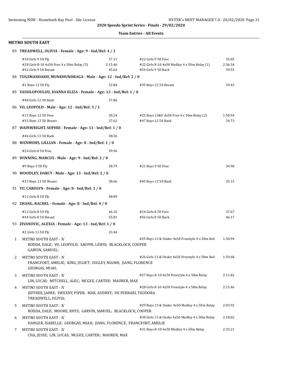#### **Team Entries - All Events**

|   | 83 TREADWELL, OLIVIA - Female - Age: 9 - Ind/Rel: 4/2                                                           |                           |                                                                                            |                           |
|---|-----------------------------------------------------------------------------------------------------------------|---------------------------|--------------------------------------------------------------------------------------------|---------------------------|
|   | #10 Girls 9 50 Fly<br>#28 Girls 8-10 4x50 Free 4 x 50m Relay (5)<br>#42 Girls 9 50 Breast                       | 37.11<br>2:15.46<br>45.64 | #22 Girls 9 50 Free<br>#32 Girls 8-10 4x50 Medley 4 x 50m Relay (1)<br>#54 Girls 9 50 Back | 35.05<br>2:36.34<br>39.55 |
|   | 84 TUGSMANDAKH, MUNKHUNDRAGA - Male - Age: 12 - Ind/Rel: 2 / 0                                                  |                           |                                                                                            |                           |
|   | #3 Boys 12 50 Fly                                                                                               | 32.84                     | #35 Boys 12 50 Breast                                                                      | 39.43                     |
|   | 85 VASSILOPOULOU, IOANNA ELIZA - Female - Age: 12 - Ind/Rel: 1/0                                                |                           |                                                                                            |                           |
|   | #48 Girls 12 50 Back                                                                                            | 37.86                     |                                                                                            |                           |
|   | 86 VO, LEOPOLD - Male - Age: 12 - Ind/Rel: 3 / 1                                                                |                           |                                                                                            |                           |
|   | #15 Boys 12 50 Free                                                                                             | 28.24                     | #25 Boys 13&U 4x50 Free 4 x 50m Relay (2)                                                  | 1:50.94                   |
|   | #35 Boys 12 50 Breast                                                                                           | 37.62                     | #47 Boys 12 50 Back                                                                        | 34.73                     |
|   | 87 WAINWRIGHT, SOPHIE - Female - Age: 13 - Ind/Rel: 1 / 0                                                       |                           |                                                                                            |                           |
|   | #46 Girls 13 50 Back                                                                                            | 38.56                     |                                                                                            |                           |
|   | 88 WENMOHS, LILLIAN - Female - Age: 8 - Ind/Rel: 1 / 0                                                          |                           |                                                                                            |                           |
|   | #24 Girls 8 50 Free                                                                                             | 39.96                     |                                                                                            |                           |
|   | 89 WINNING, MARCUS - Male - Age: 9 - Ind/Rel: 2 / 0                                                             |                           |                                                                                            |                           |
|   | #9 Boys 9 50 Fly                                                                                                | 38.79                     | #21 Boys 9 50 Free                                                                         | 34.90                     |
|   | 90 WOODLEY, DARCY - Male - Age: 13 - Ind/Rel: 2 / 0                                                             |                           |                                                                                            |                           |
|   | #33 Boys 13 50 Breast                                                                                           | 38.66                     | #45 Boys 13 50 Back                                                                        | 35.15                     |
|   | 91 YU, CAROLYN - Female - Age: 8 - Ind/Rel: 1 / 0                                                               |                           |                                                                                            |                           |
|   | #12 Girls 8 50 Fly                                                                                              | 48.89                     |                                                                                            |                           |
|   | 92 ZHANG, RACHEL - Female - Age: 8 - Ind/Rel: 4 / 0                                                             |                           |                                                                                            |                           |
|   | #12 Girls 8 50 Fly                                                                                              | 46.10                     | #24 Girls 8 50 Free                                                                        | 37.67                     |
|   | #44 Girls 8 50 Breast                                                                                           | 55.81                     | #56 Girls 8 50 Back                                                                        | 46.17                     |
|   | 93 ZIVANOVIC, ALEXIA - Female - Age: 13 - Ind/Rel: 1 / 0                                                        |                           |                                                                                            |                           |
|   | #2 Girls 13 50 Fly                                                                                              | 33.44                     |                                                                                            |                           |
| 1 | METRO SOUTH EAST - 'A'<br>RODDA, DALE; VO, LEOPOLD; SAUPIN, LEWIS; BLACKLOCK, COOPER<br>GARVIN, SAMUEL;         |                           | #25 Boys 13 & Under 4x50 Freestyle 4 x 50m Rela                                            | 1:50.94                   |
| 2 | METRO SOUTH EAST - 'A'<br>FRANCFORT, AMELIE; KING, JULIET; HIGLEY, NIAMH; JIANG, FLORENCE<br>GEORGAS, MIAH;     |                           | #26 Girls 13 & Under 4x50 Freestyle 4 x 50m Rela                                           | 1:59.68                   |
| 3 | METRO SOUTH EAST - 'A'<br>LIN, LUCAS; MITCHELL, ALEC; MCGEE, CARTER; MAURER, MAX                                |                           | #27 Boys 8-10 4x50 Freestyle 4 x 50m Relay                                                 | 2:11.82                   |
| 4 | METRO SOUTH EAST - 'A'<br>JEFFREE, JAIME; SWEENY, PIPER; MAK, AUDREY; DE FERRARI, TEODORA<br>TREADWELL, OLIVIA; |                           | #28 Girls 8-10 4x50 Freestyle 4 x 50m Relay                                                | 2:15.46                   |
| 5 | METRO SOUTH EAST - 'A'<br>RODDA, DALE; MOORE, RHYS; GARVIN, SAMUEL; BLACKLOCK, COOPER                           |                           | #29 Boys 13 & Under 4x50 Medley 4 x 50m Relay                                              | 2:03.92                   |
| 6 | METRO SOUTH EAST - 'A'<br>HANGER, ISABELLE; GEORGAS, MIAH; JIANG, FLORENCE; FRANCFORT, AMELIE                   |                           | #30 Girls 13 & Under 4x50 Medley 4 x 50m Relay                                             | 2:18.02                   |
| 7 | METRO SOUTH EAST - 'A'<br>CHA, JESSE; LIN, LUCAS; MCGEE, CARTER; MAURER, MAX                                    |                           | #31 Boys 8-10 4x50 Medley 4 x 50m Relay                                                    | 2:33.21                   |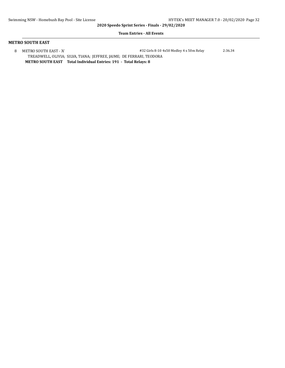#### **Team Entries - All Events**

| METRO SOUTH EAST - 'A'                                                     | #32 Girls 8-10 4x50 Medley 4 x 50m Relay | 2:36.34 |
|----------------------------------------------------------------------------|------------------------------------------|---------|
| TREADWELL, OLIVIA; SILVA, TIANA; JEFFREE, JAIME; DE FERRARI, TEODORA       |                                          |         |
| Total Individual Entries: 191 - Total Relays: 8<br><b>METRO SOUTH EAST</b> |                                          |         |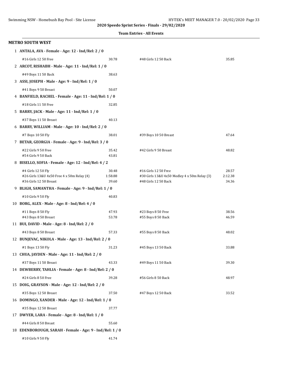|  | <b>Team Entries - All Events</b> |  |  |
|--|----------------------------------|--|--|
|--|----------------------------------|--|--|

| <b>METRO SOUTH WEST</b>                                              |                  |                                                                      |                  |
|----------------------------------------------------------------------|------------------|----------------------------------------------------------------------|------------------|
| 1 ANTALA, AVA - Female - Age: 12 - Ind/Rel: 2 / 0                    |                  |                                                                      |                  |
| #16 Girls 12 50 Free                                                 | 30.78            | #48 Girls 12 50 Back                                                 | 35.85            |
| 2 ARCOT, RISHABH - Male - Age: 11 - Ind/Rel: 1 / 0                   |                  |                                                                      |                  |
| #49 Boys 11 50 Back                                                  | 38.63            |                                                                      |                  |
| 3 ASSI, JOSEPH - Male - Age: 9 - Ind/Rel: 1 / 0                      |                  |                                                                      |                  |
| #41 Boys 9 50 Breast                                                 | 50.07            |                                                                      |                  |
| 4 BANFIELD, RACHEL - Female - Age: 11 - Ind/Rel: 1 / 0               |                  |                                                                      |                  |
| #18 Girls 11 50 Free                                                 | 32.85            |                                                                      |                  |
| 5 BARRY, JACK - Male - Age: 11 - Ind/Rel: 1 / 0                      |                  |                                                                      |                  |
| #37 Boys 11 50 Breast                                                | 40.13            |                                                                      |                  |
| 6 BARRY, WILLIAM - Male - Age: 10 - Ind/Rel: 2 / 0                   |                  |                                                                      |                  |
| #7 Boys 10 50 Fly                                                    | 38.01            | #39 Boys 10 50 Breast                                                | 47.64            |
| 7 BETAR, GEORGIA - Female - Age: 9 - Ind/Rel: 3 / 0                  |                  |                                                                      |                  |
| #22 Girls 9 50 Free                                                  | 35.42            | #42 Girls 9 50 Breast                                                | 48.82            |
| #54 Girls 9 50 Back                                                  | 43.81            |                                                                      |                  |
| 8 BISELLO, SOFIA - Female - Age: 12 - Ind/Rel: 4 / 2                 |                  |                                                                      |                  |
| #4 Girls 12 50 Fly                                                   | 30.48            | #16 Girls 12 50 Free                                                 | 28.57            |
| #26 Girls 13&U 4x50 Free 4 x 50m Relay (4)<br>#36 Girls 12 50 Breast | 1:58.88<br>39.60 | #30 Girls 13&U 4x50 Medley 4 x 50m Relay (3)<br>#48 Girls 12 50 Back | 2:12.38<br>34.36 |
| 9 BLIGH, SAMANTHA - Female - Age: 9 - Ind/Rel: 1 / 0                 |                  |                                                                      |                  |
| #10 Girls 9 50 Fly                                                   | 40.83            |                                                                      |                  |
| 10 BORG, ALEX - Male - Age: 8 - Ind/Rel: 4 / 0                       |                  |                                                                      |                  |
| #11 Boys 8 50 Fly                                                    | 47.93            | #23 Boys 8 50 Free                                                   | 38.56            |
| #43 Boys 8 50 Breast                                                 | 53.78            | #55 Boys 8 50 Back                                                   | 46.59            |
| 11 BUI, DAVID - Male - Age: 8 - Ind/Rel: 2 / 0                       |                  |                                                                      |                  |
| #43 Boys 8 50 Breast                                                 | 57.33            | #55 Boys 8 50 Back                                                   | 48.02            |
| 12 BUNJEVAC, NIKOLA - Male - Age: 13 - Ind/Rel: 2 / 0                |                  |                                                                      |                  |
| #1 Boys 13 50 Fly                                                    | 31.23            | #45 Boys 13 50 Back                                                  | 33.88            |
| 13 CHUA, JAYDEN - Male - Age: 11 - Ind/Rel: 2 / 0                    |                  |                                                                      |                  |
| #37 Boys 11 50 Breast                                                | 43.33            | #49 Boys 11 50 Back                                                  | 39.30            |
| 14 DEWBERRY, TAHLIA - Female - Age: 8 - Ind/Rel: 2 / 0               |                  |                                                                      |                  |
| #24 Girls 8 50 Free                                                  | 39.28            | #56 Girls 8 50 Back                                                  | 48.97            |
| 15 DOIG, GRAYSON - Male - Age: 12 - Ind/Rel: 2 / 0                   |                  |                                                                      |                  |
| #35 Boys 12 50 Breast                                                | 37.50            | #47 Boys 12 50 Back                                                  | 33.52            |
| 16 DOMINGO, XANDER - Male - Age: 12 - Ind/Rel: 1 / 0                 |                  |                                                                      |                  |
| #35 Boys 12 50 Breast                                                | 37.77            |                                                                      |                  |
| 17 DWYER, LARA - Female - Age: 8 - Ind/Rel: 1 / 0                    |                  |                                                                      |                  |
| #44 Girls 8 50 Breast                                                | 55.60            |                                                                      |                  |
| 18 EDENBOROUGH, SARAH - Female - Age: 9 - Ind/Rel: 1 / 0             |                  |                                                                      |                  |
| #10 Girls 9 50 Fly                                                   | 41.74            |                                                                      |                  |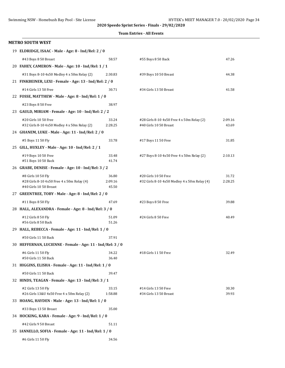|  |  | <b>Team Entries - All Events</b> |
|--|--|----------------------------------|
|--|--|----------------------------------|

| <b>METRO SOUTH WEST</b>                                                            |                |                                              |         |
|------------------------------------------------------------------------------------|----------------|----------------------------------------------|---------|
| 19 ELDRIDGE, ISAAC - Male - Age: 8 - Ind/Rel: 2 / 0                                |                |                                              |         |
| #43 Boys 8 50 Breast                                                               | 58.57          | #55 Boys 8 50 Back                           | 47.26   |
| 20 FAHEY, CAMERON - Male - Age: 10 - Ind/Rel: 1 / 1                                |                |                                              |         |
| #31 Boys 8-10 4x50 Medley 4 x 50m Relay (2)                                        | 2:30.83        | #39 Boys 10 50 Breast                        | 44.38   |
| 21 FINKBEINER, LEXI - Female - Age: 13 - Ind/Rel: 2 / 0                            |                |                                              |         |
| #14 Girls 13 50 Free                                                               | 30.71          | #34 Girls 13 50 Breast                       | 41.58   |
| 22 FOSSE, MATTHEW - Male - Age: 8 - Ind/Rel: 1 / 0                                 |                |                                              |         |
| #23 Boys 8 50 Free                                                                 | 38.97          |                                              |         |
| 23 GAULD, MIRIAM - Female - Age: 10 - Ind/Rel: 2 / 2                               |                |                                              |         |
| #20 Girls 10 50 Free                                                               | 33.24          | #28 Girls 8-10 4x50 Free 4 x 50m Relay (2)   | 2:09.16 |
| #32 Girls 8-10 4x50 Medley 4 x 50m Relay (2)                                       | 2:28.25        | #40 Girls 10 50 Breast                       | 43.69   |
| 24 GHANEM, LUKE - Male - Age: 11 - Ind/Rel: 2 / 0                                  |                |                                              |         |
| #5 Boys 11 50 Fly                                                                  | 33.78          | #17 Boys 11 50 Free                          | 31.85   |
| 25 GILL, HUXLEY - Male - Age: 10 - Ind/Rel: 2 / 1                                  |                |                                              |         |
| #19 Boys 10 50 Free<br>#51 Boys 10 50 Back                                         | 33.48<br>41.74 | #27 Boys 8-10 4x50 Free 4 x 50m Relay (2)    | 2:10.13 |
| 26 GRABE, DENISE - Female - Age: 10 - Ind/Rel: 3 / 2                               |                |                                              |         |
| #8 Girls 10 50 Fly                                                                 | 36.80          | #20 Girls 10 50 Free                         | 31.72   |
| #28 Girls 8-10 4x50 Free 4 x 50m Relay (4)                                         | 2:09.16        | #32 Girls 8-10 4x50 Medley 4 x 50m Relay (4) | 2:28.25 |
| #40 Girls 10 50 Breast                                                             | 45.50          |                                              |         |
| 27 GREENTREE, TOBY - Male - Age: 8 - Ind/Rel: 2 / 0                                |                |                                              |         |
| #11 Boys 8 50 Fly                                                                  | 47.69          | #23 Boys 8 50 Free                           | 39.88   |
| 28 HALL, ALEXANDRA - Female - Age: 8 - Ind/Rel: 3 / 0                              |                |                                              |         |
| #12 Girls 8 50 Fly                                                                 | 51.09          | #24 Girls 8 50 Free                          | 40.49   |
| #56 Girls 8 50 Back                                                                | 51.26          |                                              |         |
| 29 HALL, REBECCA - Female - Age: 11 - Ind/Rel: 1 / 0                               |                |                                              |         |
| #50 Girls 11 50 Back<br>30 HEFFERNAN, LUCIENNE - Female - Age: 11 - Ind/Rel: 3 / 0 | 37.91          |                                              |         |
|                                                                                    |                |                                              |         |
| #6 Girls 11 50 Fly<br>#50 Girls 11 50 Back                                         | 34.22<br>36.40 | #18 Girls 11 50 Free                         | 32.49   |
| 31 HIGGINS, ELISHA - Female - Age: 11 - Ind/Rel: 1 / 0                             |                |                                              |         |
| #50 Girls 11 50 Back                                                               | 39.47          |                                              |         |
| 32 HINDS, TEAGAN - Female - Age: 13 - Ind/Rel: 3 / 1                               |                |                                              |         |
| #2 Girls 13 50 Fly                                                                 | 33.15          | #14 Girls 13 50 Free                         | 30.30   |
| #26 Girls 13&U 4x50 Free 4 x 50m Relay (2)                                         | 1:58.88        | #34 Girls 13 50 Breast                       | 39.93   |
| 33 HOANG, HAYDEN - Male - Age: 13 - Ind/Rel: 1 / 0                                 |                |                                              |         |
| #33 Boys 13 50 Breast                                                              | 35.00          |                                              |         |
| 34 HOCKING, KARA - Female - Age: 9 - Ind/Rel: 1 / 0                                |                |                                              |         |
| #42 Girls 9 50 Breast                                                              | 51.11          |                                              |         |
| 35 IANNELLO, SOFIA - Female - Age: 11 - Ind/Rel: 1 / 0                             |                |                                              |         |
| #6 Girls 11 50 Fly                                                                 | 34.56          |                                              |         |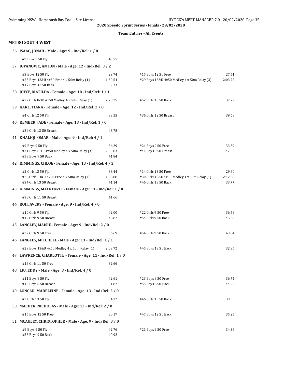#### **Team Entries - All Events**

| 36 ISAAC, JONAH - Male - Age: 9 - Ind/Rel: 1 / 0                                           |                           |                                                                                              |                           |  |
|--------------------------------------------------------------------------------------------|---------------------------|----------------------------------------------------------------------------------------------|---------------------------|--|
| #9 Boys 9 50 Fly                                                                           | 43.55                     |                                                                                              |                           |  |
| 37 JOVANOVIC, ANTON - Male - Age: 12 - Ind/Rel: 3 / 2                                      |                           |                                                                                              |                           |  |
| #3 Boys 12 50 Fly<br>#25 Boys 13&U 4x50 Free 4 x 50m Relay (1)<br>#47 Boys 12 50 Back      | 29.74<br>1:50.54<br>32.33 | #15 Boys 12 50 Free<br>#29 Boys 13&U 4x50 Medley 4 x 50m Relay (3)                           | 27.51<br>2:03.72          |  |
| 38 JOYCE, MATILDA - Female - Age: 10 - Ind/Rel: 1 / 1                                      |                           |                                                                                              |                           |  |
| #32 Girls 8-10 4x50 Medley 4 x 50m Relay (1)                                               | 2:28.25                   | #52 Girls 10 50 Back                                                                         | 37.72                     |  |
| 39 KARL, TIANA - Female - Age: 12 - Ind/Rel: 2 / 0                                         |                           |                                                                                              |                           |  |
| #4 Girls 12 50 Fly                                                                         | 33.55                     | #36 Girls 12 50 Breast                                                                       | 39.68                     |  |
| 40 KEMBER, JADE - Female - Age: 13 - Ind/Rel: 1 / 0                                        |                           |                                                                                              |                           |  |
| #34 Girls 13 50 Breast                                                                     | 43.78                     |                                                                                              |                           |  |
| 41 KHALIQI, OMAR - Male - Age: 9 - Ind/Rel: 4 / 1                                          |                           |                                                                                              |                           |  |
| #9 Boys 9 50 Fly<br>#31 Boys 8-10 4x50 Medley 4 x 50m Relay (3)<br>#53 Boys 9 50 Back      | 36.29<br>2:30.83<br>41.84 | #21 Boys 9 50 Free<br>#41 Boys 9 50 Breast                                                   | 33.59<br>47.55            |  |
| 42 KIMMINGS, CHLOE - Female - Age: 13 - Ind/Rel: 4 / 2                                     |                           |                                                                                              |                           |  |
| #2 Girls 13 50 Fly<br>#26 Girls 13&U 4x50 Free 4 x 50m Relay (1)<br>#34 Girls 13 50 Breast | 33.44<br>1:58.88<br>41.14 | #14 Girls 13 50 Free<br>#30 Girls 13&U 4x50 Medley 4 x 50m Relay (1)<br>#46 Girls 13 50 Back | 29.80<br>2:12.38<br>33.77 |  |
| 43 KIMMINGS, MACKENZIE - Female - Age: 11 - Ind/Rel: 1 / 0                                 |                           |                                                                                              |                           |  |
| #38 Girls 11 50 Breast                                                                     | 41.66                     |                                                                                              |                           |  |
| 44 KOH, AVERY - Female - Age: 9 - Ind/Rel: 4 / 0                                           |                           |                                                                                              |                           |  |
| #10 Girls 9 50 Fly                                                                         | 42.00                     | #22 Girls 9 50 Free                                                                          | 36.58                     |  |
| #42 Girls 9 50 Breast                                                                      | 48.82                     | #54 Girls 9 50 Back                                                                          | 43.38                     |  |
| 45 LANGLEY, MAISIE - Female - Age: 9 - Ind/Rel: 2 / 0                                      |                           |                                                                                              |                           |  |
| #22 Girls 9 50 Free                                                                        | 36.69                     | #54 Girls 9 50 Back                                                                          | 43.84                     |  |
| 46 LANGLEY, MITCHELL - Male - Age: 13 - Ind/Rel: 1 / 1                                     |                           |                                                                                              |                           |  |
| #29 Boys 13&U 4x50 Medley 4 x 50m Relay (1)                                                | 2:03.72                   | #45 Boys 13 50 Back                                                                          | 32.36                     |  |
| 47 LAWRENCE, CHARLOTTE - Female - Age: 11 - Ind/Rel: 1 / 0                                 |                           |                                                                                              |                           |  |
| #18 Girls 11 50 Free                                                                       | 32.66                     |                                                                                              |                           |  |
| 48 LIU, EDDY - Male - Age: 8 - Ind/Rel: 4 / 0                                              |                           |                                                                                              |                           |  |
| #11 Boys 8 50 Fly<br>#43 Boys 8 50 Breast                                                  | 42.61<br>51.82            | #23 Boys 8 50 Free<br>#55 Boys 8 50 Back                                                     | 36.74<br>44.23            |  |
| 49 LONCAR, MADELEINE - Female - Age: 13 - Ind/Rel: 2 / 0                                   |                           |                                                                                              |                           |  |
| #2 Girls 13 50 Fly                                                                         | 34.72                     | #46 Girls 13 50 Back                                                                         | 39.30                     |  |
| 50 MACHER, NICHOLAS - Male - Age: 12 - Ind/Rel: 2 / 0                                      |                           |                                                                                              |                           |  |
| #15 Boys 12 50 Free                                                                        | 30.17                     | #47 Boys 12 50 Back                                                                          | 35.25                     |  |
| 51 MCAULEY, CHRISTOPHER - Male - Age: 9 - Ind/Rel: 3 / 0                                   |                           |                                                                                              |                           |  |
| #9 Boys 9 50 Fly<br>#53 Boys 9 50 Back                                                     | 42.76<br>40.92            | #21 Boys 9 50 Free                                                                           | 34.38                     |  |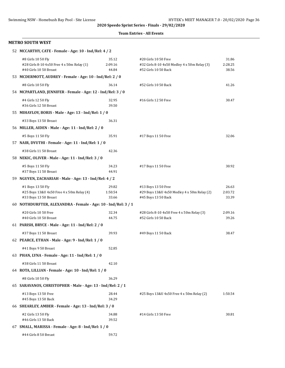#### **Team Entries - All Events**

| 52 MCCARTHY, CATE - Female - Age: 10 - Ind/Rel: 4 / 2                                      |                           |                                                                                              |                           |
|--------------------------------------------------------------------------------------------|---------------------------|----------------------------------------------------------------------------------------------|---------------------------|
| #8 Girls 10 50 Fly<br>#28 Girls 8-10 4x50 Free 4 x 50m Relay (1)<br>#40 Girls 10 50 Breast | 35.12<br>2:09.16<br>44.84 | #20 Girls 10 50 Free<br>#32 Girls 8-10 4x50 Medley 4 x 50m Relay (3)<br>#52 Girls 10 50 Back | 31.86<br>2:28.25<br>38.56 |
| 53 MCDERMOTT, AUDREY - Female - Age: 10 - Ind/Rel: 2 / 0                                   |                           |                                                                                              |                           |
| #8 Girls 10 50 Fly                                                                         | 36.14                     | #52 Girls 10 50 Back                                                                         | 41.26                     |
| 54 MCPARTLAND, JENNIFER - Female - Age: 12 - Ind/Rel: 3 / 0                                |                           |                                                                                              |                           |
| #4 Girls 12 50 Fly<br>#36 Girls 12 50 Breast                                               | 32.95<br>39.50            | #16 Girls 12 50 Free                                                                         | 30.47                     |
| 55 MIHAYLOV, BORIS - Male - Age: 13 - Ind/Rel: 1 / 0                                       |                           |                                                                                              |                           |
| #33 Boys 13 50 Breast                                                                      | 36.31                     |                                                                                              |                           |
| 56 MILLER, AIDEN - Male - Age: 11 - Ind/Rel: 2 / 0                                         |                           |                                                                                              |                           |
| #5 Boys 11 50 Fly                                                                          | 35.91                     | #17 Boys 11 50 Free                                                                          | 32.06                     |
| 57 NAIR, DYUTHI - Female - Age: 11 - Ind/Rel: 1 / 0                                        |                           |                                                                                              |                           |
| #38 Girls 11 50 Breast                                                                     | 42.36                     |                                                                                              |                           |
| 58 NEKIC, OLIVER - Male - Age: 11 - Ind/Rel: 3 / 0                                         |                           |                                                                                              |                           |
| #5 Boys 11 50 Fly<br>#37 Boys 11 50 Breast                                                 | 34.23<br>44.91            | #17 Boys 11 50 Free                                                                          | 30.92                     |
| 59 NGUYEN, ZACHARIAH - Male - Age: 13 - Ind/Rel: 4 / 2                                     |                           |                                                                                              |                           |
| #1 Boys 13 50 Fly<br>#25 Boys 13&U 4x50 Free 4 x 50m Relay (4)<br>#33 Boys 13 50 Breast    | 29.82<br>1:50.54<br>33.66 | #13 Boys 13 50 Free<br>#29 Boys 13&U 4x50 Medley 4 x 50m Relay (2)<br>#45 Boys 13 50 Back    | 26.63<br>2:03.72<br>33.39 |
| 60 NOTHDURFTER, ALEXANDRA - Female - Age: 10 - Ind/Rel: 3 / 1                              |                           |                                                                                              |                           |
| #20 Girls 10 50 Free<br>#40 Girls 10 50 Breast                                             | 32.34<br>44.75            | #28 Girls 8-10 4x50 Free 4 x 50m Relay (3)<br>#52 Girls 10 50 Back                           | 2:09.16<br>39.26          |
| 61 PARISH, BRYCE - Male - Age: 11 - Ind/Rel: 2 / 0                                         |                           |                                                                                              |                           |
| #37 Boys 11 50 Breast                                                                      | 39.93                     | #49 Boys 11 50 Back                                                                          | 38.47                     |
| 62 PEARCE, ETHAN - Male - Age: 9 - Ind/Rel: 1 / 0                                          |                           |                                                                                              |                           |
| #41 Boys 9 50 Breast                                                                       | 52.85                     |                                                                                              |                           |
| 63 PHAN, LYNA - Female - Age: 11 - Ind/Rel: 1 / 0                                          |                           |                                                                                              |                           |
| #38 Girls 11 50 Breast                                                                     | 42.10                     |                                                                                              |                           |
| 64 ROTA, LILLIAN - Female - Age: 10 - Ind/Rel: 1 / 0                                       |                           |                                                                                              |                           |
| #8 Girls 10 50 Fly                                                                         | 36.29                     |                                                                                              |                           |
| 65 SARAVANOS, CHRISTOPHER - Male - Age: 13 - Ind/Rel: 2 / 1                                |                           |                                                                                              |                           |
| #13 Boys 13 50 Free<br>#45 Boys 13 50 Back                                                 | 28.44<br>34.29            | #25 Boys 13&U 4x50 Free 4 x 50m Relay (2)                                                    | 1:50.54                   |
| 66 SHEARLEY, AMBER - Female - Age: 13 - Ind/Rel: 3 / 0                                     |                           |                                                                                              |                           |
| #2 Girls 13 50 Fly<br>#46 Girls 13 50 Back                                                 | 34.88<br>39.52            | #14 Girls 13 50 Free                                                                         | 30.81                     |
| 67 SMALL, MARISSA - Female - Age: 8 - Ind/Rel: 1 / 0                                       |                           |                                                                                              |                           |
| #44 Girls 8 50 Breast                                                                      | 59.72                     |                                                                                              |                           |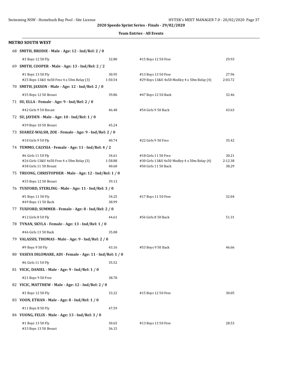#### **Team Entries - All Events**

| 68 SMITH, BRODIE - Male - Age: 12 - Ind/Rel: 2 / 0          |         |                                              |         |
|-------------------------------------------------------------|---------|----------------------------------------------|---------|
| #3 Boys 12 50 Fly                                           | 32.80   | #15 Boys 12 50 Free                          | 29.93   |
| 69 SMITH, COOPER - Male - Age: 13 - Ind/Rel: 2 / 2          |         |                                              |         |
| #1 Boys 13 50 Fly                                           | 30.95   | #13 Boys 13 50 Free                          | 27.96   |
| #25 Boys 13&U 4x50 Free 4 x 50m Relay (3)                   | 1:50.54 | #29 Boys 13&U 4x50 Medley 4 x 50m Relay (4)  | 2:03.72 |
| 70 SMITH, JAXSON - Male - Age: 12 - Ind/Rel: 2 / 0          |         |                                              |         |
| #35 Boys 12 50 Breast                                       | 39.86   | #47 Boys 12 50 Back                          | 32.46   |
| 71 SU, ELLA - Female - Age: 9 - Ind/Rel: 2 / 0              |         |                                              |         |
| #42 Girls 9 50 Breast                                       | 46.48   | #54 Girls 9 50 Back                          | 43.63   |
| 72 SU, JAYDEN - Male - Age: 10 - Ind/Rel: 1 / 0             |         |                                              |         |
| #39 Boys 10 50 Breast                                       | 45.24   |                                              |         |
| 73 SUAREZ-WALSH, ZOE - Female - Age: 9 - Ind/Rel: 2 / 0     |         |                                              |         |
| #10 Girls 9 50 Fly                                          | 40.74   | #22 Girls 9 50 Free                          | 35.42   |
| 74 TEMMO, CALYSIA - Female - Age: 11 - Ind/Rel: 4 / 2       |         |                                              |         |
| #6 Girls 11 50 Fly                                          | 34.61   | #18 Girls 11 50 Free                         | 30.21   |
| #26 Girls 13&U 4x50 Free 4 x 50m Relay (3)                  | 1:58.88 | #30 Girls 13&U 4x50 Medley 4 x 50m Relay (4) | 2:12.38 |
| #38 Girls 11 50 Breast                                      | 40.60   | #50 Girls 11 50 Back                         | 38.29   |
| 75 TRUONG, CHRISTOPHER - Male - Age: 12 - Ind/Rel: 1 / 0    |         |                                              |         |
| #35 Boys 12 50 Breast                                       | 39.13   |                                              |         |
| 76 TUXFORD, STERLING - Male - Age: 11 - Ind/Rel: 3 / 0      |         |                                              |         |
| #5 Boys 11 50 Fly                                           | 34.25   | #17 Boys 11 50 Free                          | 32.04   |
| #49 Boys 11 50 Back                                         | 38.99   |                                              |         |
| 77 TUXFORD, SUMMER - Female - Age: 8 - Ind/Rel: 2 / 0       |         |                                              |         |
| #12 Girls 8 50 Fly                                          | 44.61   | #56 Girls 8 50 Back                          | 51.31   |
| 78 TYNAN, SKYLA - Female - Age: 13 - Ind/Rel: 1 / 0         |         |                                              |         |
| #46 Girls 13 50 Back                                        | 35.08   |                                              |         |
| 79 VALASSIS, THOMAS - Male - Age: 9 - Ind/Rel: 2 / 0        |         |                                              |         |
| #9 Boys 9 50 Fly                                            | 43.16   | #53 Boys 9 50 Back                           | 46.66   |
| 80 VASEVA DILOMARE, ADI - Female - Age: 11 - Ind/Rel: 1 / 0 |         |                                              |         |
| #6 Girls 11 50 Fly                                          | 35.52   |                                              |         |
| 81 VICIC, DANIEL - Male - Age: 9 - Ind/Rel: 1 / 0           |         |                                              |         |
| #21 Boys 9 50 Free                                          | 38.78   |                                              |         |
| 82 VICIC, MATTHEW - Male - Age: 12 - Ind/Rel: 2 / 0         |         |                                              |         |
| #3 Boys 12 50 Fly                                           | 33.22   | #15 Boys 12 50 Free                          | 30.05   |
| 83 VOON, ETHAN - Male - Age: 8 - Ind/Rel: 1 / 0             |         |                                              |         |
| #11 Boys 8 50 Fly                                           | 47.59   |                                              |         |
| 84 VUONG, FELIX - Male - Age: 13 - Ind/Rel: 3 / 0           |         |                                              |         |
| #1 Boys 13 50 Fly                                           | 30.65   | #13 Boys 13 50 Free                          | 28.53   |
| #33 Boys 13 50 Breast                                       | 36.15   |                                              |         |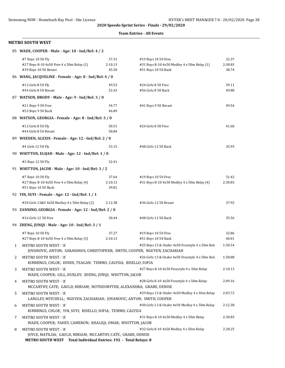#### **Team Entries - All Events**

|   | 85 WADE, COOPER - Male - Age: 10 - Ind/Rel: 4 / 2                                                                 |                                                 |                                                                                           |                           |
|---|-------------------------------------------------------------------------------------------------------------------|-------------------------------------------------|-------------------------------------------------------------------------------------------|---------------------------|
|   | #7 Boys 10 50 Fly<br>#27 Boys 8-10 4x50 Free 4 x 50m Relay (1)<br>#39 Boys 10 50 Breast                           | 37.31<br>2:10.13<br>45.50                       | #19 Boys 10 50 Free<br>#31 Boys 8-10 4x50 Medley 4 x 50m Relay (1)<br>#51 Boys 10 50 Back | 32.37<br>2:30.83<br>38.74 |
|   | 86 WANG, JACQUELINE - Female - Age: 8 - Ind/Rel: 4 / 0                                                            |                                                 |                                                                                           |                           |
|   | #12 Girls 8 50 Fly<br>#44 Girls 8 50 Breast                                                                       | 49.53<br>52.43                                  | #24 Girls 8 50 Free<br>#56 Girls 8 50 Back                                                | 39.11<br>49.88            |
|   | 87 WATSON, BRODY - Male - Age: 9 - Ind/Rel: 3 / 0                                                                 |                                                 |                                                                                           |                           |
|   | #21 Boys 9 50 Free<br>#53 Boys 9 50 Back                                                                          | 34.77<br>46.89                                  | #41 Boys 9 50 Breast                                                                      | 49.54                     |
|   | 88 WATSON, GEORGIA - Female - Age: 8 - Ind/Rel: 3 / 0                                                             |                                                 |                                                                                           |                           |
|   | #12 Girls 8 50 Fly<br>#44 Girls 8 50 Breast                                                                       | 50.51<br>58.84                                  | #24 Girls 8 50 Free                                                                       | 41.60                     |
|   | 89 WEEDEN, ALEXIS - Female - Age: 12 - Ind/Rel: 2 / 0                                                             |                                                 |                                                                                           |                           |
|   | #4 Girls 12 50 Fly<br>90 WHITTON, ELIJAH - Male - Age: 12 - Ind/Rel: 1 / 0                                        | 33.15                                           | #48 Girls 12 50 Back                                                                      | 35.93                     |
|   | #3 Boys 12 50 Fly                                                                                                 | 32.41                                           |                                                                                           |                           |
|   | 91 WHITTON, JACOB - Male - Age: 10 - Ind/Rel: 3 / 2                                                               |                                                 |                                                                                           |                           |
|   | #7 Boys 10 50 Fly<br>#27 Boys 8-10 4x50 Free 4 x 50m Relay (4)<br>#51 Boys 10 50 Back                             | 37.64<br>2:10.13<br>39.81                       | #19 Boys 10 50 Free<br>#31 Boys 8-10 4x50 Medley 4 x 50m Relay (4)                        | 31.42<br>2:30.83          |
|   | 92 YIN, SUYI - Female - Age: 12 - Ind/Rel: 1 / 1                                                                  |                                                 |                                                                                           |                           |
|   | #30 Girls 13&U 4x50 Medley 4 x 50m Relay (2)                                                                      | 2:12.38                                         | #36 Girls 12 50 Breast                                                                    | 37.92                     |
|   | 93 ZANNINO, GEORGIA - Female - Age: 12 - Ind/Rel: 2 / 0                                                           |                                                 |                                                                                           |                           |
|   | #16 Girls 12 50 Free                                                                                              | 30.44                                           | #48 Girls 12 50 Back                                                                      | 35.56                     |
|   | 94 ZHENG, JUNQI - Male - Age: 10 - Ind/Rel: 3 / 1                                                                 |                                                 |                                                                                           |                           |
|   | #7 Boys 10 50 Fly<br>#27 Boys 8-10 4x50 Free 4 x 50m Relay (3)                                                    | 37.27<br>2:10.13                                | #19 Boys 10 50 Free<br>#51 Boys 10 50 Back                                                | 32.86<br>40.01            |
| 1 | METRO SOUTH WEST - 'A'<br>JOVANOVIC, ANTON; SARAVANOS, CHRISTOPHER; SMITH, COOPER; NGUYEN, ZACHARIAH              |                                                 | #25 Boys 13 & Under 4x50 Freestyle 4 x 50m Rela                                           | 1:50.54                   |
| 2 | METRO SOUTH WEST - 'A'<br>KIMMINGS, CHLOE; HINDS, TEAGAN; TEMMO, CALYSIA; BISELLO, SOFIA                          |                                                 | #26 Girls 13 & Under 4x50 Freestyle 4 x 50m Rela                                          | 1:58.88                   |
| 3 | METRO SOUTH WEST - 'A'<br>WADE, COOPER; GILL, HUXLEY; ZHENG, JUNQI; WHITTON, JACOB                                |                                                 | #27 Boys 8-10 4x50 Freestyle 4 x 50m Relay                                                | 2:10.13                   |
| 4 | METRO SOUTH WEST - 'A'<br>MCCARTHY, CATE; GAULD, MIRIAM; NOTHDURFTER, ALEXANDRA; GRABE, DENISE                    |                                                 | #28 Girls 8-10 4x50 Freestyle 4 x 50m Relay                                               | 2:09.16                   |
| 5 | METRO SOUTH WEST - 'A'<br>LANGLEY, MITCHELL; NGUYEN, ZACHARIAH; JOVANOVIC, ANTON; SMITH, COOPER                   |                                                 | #29 Boys 13 & Under 4x50 Medley 4 x 50m Relay                                             | 2:03.72                   |
| 6 | METRO SOUTH WEST - 'A'<br>KIMMINGS, CHLOE; YIN, SUYI; BISELLO, SOFIA; TEMMO, CALYSIA                              |                                                 | #30 Girls 13 & Under 4x50 Medley 4 x 50m Relay                                            | 2:12.38                   |
| 7 | METRO SOUTH WEST - 'A'<br>WADE, COOPER; FAHEY, CAMERON; KHALIQI, OMAR; WHITTON, JACOB                             |                                                 | #31 Boys 8-10 4x50 Medley 4 x 50m Relay                                                   | 2:30.83                   |
| 8 | METRO SOUTH WEST - 'A'<br>JOYCE, MATILDA; GAULD, MIRIAM; MCCARTHY, CATE; GRABE, DENISE<br><b>METRO SOUTH WEST</b> | Total Individual Entries: 192 - Total Relays: 8 | #32 Girls 8-10 4x50 Medley 4 x 50m Relay                                                  | 2:28.25                   |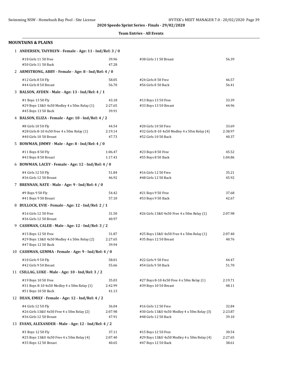#### **Team Entries - All Events**

| <b>MOUNTAINS &amp; PLAINS</b>                                        |                  |                                                                      |                  |  |  |  |
|----------------------------------------------------------------------|------------------|----------------------------------------------------------------------|------------------|--|--|--|
| 1 ANDERSEN, TAIYHLYN - Female - Age: 11 - Ind/Rel: 3 / 0             |                  |                                                                      |                  |  |  |  |
| #18 Girls 11 50 Free<br>#50 Girls 11 50 Back                         | 39.96<br>47.28   | #38 Girls 11 50 Breast                                               | 56.39            |  |  |  |
| 2 ARMSTRONG, ABBY - Female - Age: 8 - Ind/Rel: 4 / 0                 |                  |                                                                      |                  |  |  |  |
| #12 Girls 8 50 Fly                                                   | 58.05            | #24 Girls 8 50 Free                                                  | 46.57            |  |  |  |
| #44 Girls 8 50 Breast                                                | 56.70            | #56 Girls 8 50 Back                                                  | 56.41            |  |  |  |
| 3 BALSON, AYDEN - Male - Age: 13 - Ind/Rel: 4 / 1                    |                  |                                                                      |                  |  |  |  |
| #1 Boys 13 50 Fly                                                    | 43.18            | #13 Boys 13 50 Free                                                  | 33.39            |  |  |  |
| #29 Boys 13&U 4x50 Medley 4 x 50m Relay (1)                          | 2:27.65          | #33 Boys 13 50 Breast                                                | 44.96            |  |  |  |
| #45 Boys 13 50 Back                                                  | 39.91            |                                                                      |                  |  |  |  |
| 4 BALSON, ELIZA - Female - Age: 10 - Ind/Rel: 4 / 2                  |                  |                                                                      |                  |  |  |  |
| #8 Girls 10 50 Fly<br>#28 Girls 8-10 4x50 Free 4 x 50m Relay (1)     | 44.54<br>2:19.14 | #20 Girls 10 50 Free<br>#32 Girls 8-10 4x50 Medley 4 x 50m Relay (4) | 33.69<br>2:38.97 |  |  |  |
| #40 Girls 10 50 Breast                                               | 47.73            | #52 Girls 10 50 Back                                                 | 40.37            |  |  |  |
| 5 BOWMAN, JIMMY - Male - Age: 8 - Ind/Rel: 4 / 0                     |                  |                                                                      |                  |  |  |  |
| #11 Boys 8 50 Fly                                                    | 1:06.47          | #23 Boys 8 50 Free                                                   | 45.52            |  |  |  |
| #43 Boys 8 50 Breast                                                 | 1:17.43          | #55 Boys 8 50 Back                                                   | 1:04.86          |  |  |  |
| 6 BOWMAN, LACEY - Female - Age: 12 - Ind/Rel: 4 / 0                  |                  |                                                                      |                  |  |  |  |
| #4 Girls 12 50 Fly                                                   | 51.84            | #16 Girls 12 50 Free                                                 | 35.21            |  |  |  |
| #36 Girls 12 50 Breast                                               | 46.92            | #48 Girls 12 50 Back                                                 | 45.92            |  |  |  |
| 7 BRENNAN, NATE - Male - Age: 9 - Ind/Rel: 4 / 0                     |                  |                                                                      |                  |  |  |  |
| #9 Boys 9 50 Fly                                                     | 54.42            | #21 Boys 9 50 Free                                                   | 37.68            |  |  |  |
| #41 Boys 9 50 Breast                                                 | 57.10            | #53 Boys 9 50 Back                                                   | 42.67            |  |  |  |
| 8 BULLOCK, EVIE - Female - Age: 12 - Ind/Rel: 2 / 1                  |                  |                                                                      |                  |  |  |  |
| #16 Girls 12 50 Free                                                 | 31.50            | #26 Girls 13&U 4x50 Free 4 x 50m Relay (1)                           | 2:07.98          |  |  |  |
| #36 Girls 12 50 Breast                                               | 40.97            |                                                                      |                  |  |  |  |
| 9 CASHMAN, CALEB - Male - Age: 12 - Ind/Rel: 3 / 2                   |                  |                                                                      |                  |  |  |  |
| #15 Boys 12 50 Free                                                  | 31.87            | #25 Boys 13&U 4x50 Free 4 x 50m Relay (1)                            | 2:07.40          |  |  |  |
| #29 Boys 13&U 4x50 Medley 4 x 50m Relay (2)<br>#47 Boys 12 50 Back   | 2:27.65<br>39.94 | #35 Boys 12 50 Breast                                                | 40.76            |  |  |  |
| 10 CASHMAN, GEMMA - Female - Age: 9 - Ind/Rel: 4 / 0                 |                  |                                                                      |                  |  |  |  |
| #10 Girls 9 50 Fly                                                   | 58.01            | #22 Girls 9 50 Free                                                  | 44.47            |  |  |  |
| #42 Girls 9 50 Breast                                                | 55.66            | #54 Girls 9 50 Back                                                  | 51.70            |  |  |  |
| 11 CSILLAG, LUKE - Male - Age: 10 - Ind/Rel: 3 / 2                   |                  |                                                                      |                  |  |  |  |
| #19 Boys 10 50 Free                                                  | 35.03            | #27 Boys 8-10 4x50 Free 4 x 50m Relay (1)                            | 2:19.71          |  |  |  |
| #31 Boys 8-10 4x50 Medley 4 x 50m Relay (1)                          | 2:42.99          | #39 Boys 10 50 Breast                                                | 48.11            |  |  |  |
| #51 Boys 10 50 Back                                                  | 41.13            |                                                                      |                  |  |  |  |
| 12 DEAN, EMILY - Female - Age: 12 - Ind/Rel: 4 / 2                   |                  |                                                                      |                  |  |  |  |
| #4 Girls 12 50 Fly                                                   | 36.04            | #16 Girls 12 50 Free                                                 | 32.84            |  |  |  |
| #26 Girls 13&U 4x50 Free 4 x 50m Relay (2)<br>#36 Girls 12 50 Breast | 2:07.98<br>47.91 | #30 Girls 13&U 4x50 Medley 4 x 50m Relay (3)<br>#48 Girls 12 50 Back | 2:23.87<br>39.10 |  |  |  |
| 13 EVANS, ALEXANDER - Male - Age: 12 - Ind/Rel: 4 / 2                |                  |                                                                      |                  |  |  |  |
| #3 Boys 12 50 Fly                                                    | 37.11            | #15 Boys 12 50 Free                                                  |                  |  |  |  |
| #25 Boys 13&U 4x50 Free 4 x 50m Relay (4)                            | 2:07.40          | #29 Boys 13&U 4x50 Medley 4 x 50m Relay (4)                          | 30.54<br>2:27.65 |  |  |  |
| #35 Boys 12 50 Breast                                                | 40.65            | #47 Boys 12 50 Back                                                  | 38.61            |  |  |  |

| #20 Girls 10 50 Free                         | 33.6   |
|----------------------------------------------|--------|
| #32 Girls 8-10 4x50 Medley 4 x 50m Relay (4) | 2:38.9 |
| #52 Girls 10 50 Back                         | 40.3   |
|                                              |        |
| #23 Boys 8 50 Free                           | 45.5   |
| #55 Boys 8 50 Back                           | 1:04.8 |
|                                              |        |

| #16 Girls 12 50 Free | 35.21 |
|----------------------|-------|
| ‡48 Girls 12 50 Back | 45.92 |
|                      |       |

| #21 Boys 9 50 Free | 37.68 |
|--------------------|-------|
| #53 Boys 9 50 Back | 42.67 |

| #26 Girls 13&U 4x50 Free 4 x 50m Relay (1) | 2:07.98 |
|--------------------------------------------|---------|
|--------------------------------------------|---------|

| #25 Boys 13&U 4x50 Free 4 x 50m Relay (1) | 2:07.40 |
|-------------------------------------------|---------|
| #35 Boys 12 50 Breast                     | 40.76   |

| #27 Boys 8-10 4x50 Free 4 x 50m Relay (1) | 2:19.71 |
|-------------------------------------------|---------|
| #39 Boys 10 50 Breast                     | 48.11   |

| #16 Girls 12 50 Free                         | 32.84   |
|----------------------------------------------|---------|
| #30 Girls 13&U 4x50 Medley 4 x 50m Relay (3) | 2:23.87 |
| ‡48 Girls 12 50 Back                         | 39.10   |

| †15 Boys 12 50 Free                        | 30.54   |
|--------------------------------------------|---------|
| 29 Boys 13&U 4x50 Medley 4 x 50m Relay (4) | 2:27.65 |
| ‡47 Boys 12 50 Back                        | 38.61   |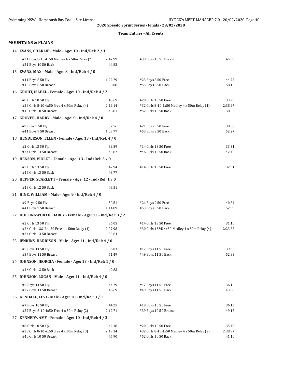#### **Team Entries - All Events**

#### **MOUNTAINS & PLAINS**

| 14 EVANS, CHARLIE - Male - Age: 10 - Ind/Rel: 2 / 1 |  |  |
|-----------------------------------------------------|--|--|
|-----------------------------------------------------|--|--|

|    | #31 Boys 8-10 4x50 Medley 4 x 50m Relay (2)<br>#51 Boys 10 50 Back                         | 2:42.99<br>44.83          | #39 Boys 10 50 Breast                                                                        | 45.89                     |
|----|--------------------------------------------------------------------------------------------|---------------------------|----------------------------------------------------------------------------------------------|---------------------------|
|    | 15 EVANS, MAX - Male - Age: 8 - Ind/Rel: 4 / 0                                             |                           |                                                                                              |                           |
|    | #11 Boys 8 50 Fly<br>#43 Boys 8 50 Breast                                                  | 1:22.79<br>58.08          | #23 Boys 8 50 Free<br>#55 Boys 8 50 Back                                                     | 44.77<br>58.15            |
|    | 16 GROUT, ISABEL - Female - Age: 10 - Ind/Rel: 4 / 2                                       |                           |                                                                                              |                           |
|    | #8 Girls 10 50 Fly<br>#28 Girls 8-10 4x50 Free 4 x 50m Relay (4)<br>#40 Girls 10 50 Breast | 40.69<br>2:19.14<br>46.81 | #20 Girls 10 50 Free<br>#32 Girls 8-10 4x50 Medley 4 x 50m Relay (1)<br>#52 Girls 10 50 Back | 33.28<br>2:38.97<br>38.03 |
|    | 17 GROVER, HARRY - Male - Age: 9 - Ind/Rel: 4 / 0                                          |                           |                                                                                              |                           |
|    | #9 Boys 9 50 Fly<br>#41 Boys 9 50 Breast                                                   | 52.56<br>1:03.77          | #21 Boys 9 50 Free<br>#53 Boys 9 50 Back                                                     | 38.86<br>52.27            |
|    | 18 HENDERSON, ELLEN - Female - Age: 13 - Ind/Rel: 4 / 0                                    |                           |                                                                                              |                           |
|    | #2 Girls 13 50 Fly<br>#34 Girls 13 50 Breast                                               | 39.89<br>43.82            | #14 Girls 13 50 Free<br>#46 Girls 13 50 Back                                                 | 33.31<br>42.46            |
|    | 19 HENSON, VIOLET - Female - Age: 13 - Ind/Rel: 3 / 0                                      |                           |                                                                                              |                           |
|    | #2 Girls 13 50 Fly<br>#46 Girls 13 50 Back                                                 | 47.94<br>43.77            | #14 Girls 13 50 Free                                                                         | 32.91                     |
|    | 20 HEPPER, SCARLETT - Female - Age: 12 - Ind/Rel: 1 / 0                                    |                           |                                                                                              |                           |
|    | #48 Girls 12 50 Back                                                                       | 48.51                     |                                                                                              |                           |
|    | 21 HINE, WILLIAM - Male - Age: 9 - Ind/Rel: 4 / 0                                          |                           |                                                                                              |                           |
|    | #9 Boys 9 50 Fly<br>#41 Boys 9 50 Breast                                                   | 50.51<br>1:14.89          | #21 Boys 9 50 Free<br>#53 Boys 9 50 Back                                                     | 40.84<br>52.99            |
|    | 22 HOLLINGWORTH, DARCY - Female - Age: 13 - Ind/Rel: 3 / 2                                 |                           |                                                                                              |                           |
|    | #2 Girls 13 50 Fly<br>#26 Girls 13&U 4x50 Free 4 x 50m Relay (4)<br>#34 Girls 13 50 Breast | 36.05<br>2:07.98<br>39.64 | #14 Girls 13 50 Free<br>#30 Girls 13&U 4x50 Medley 4 x 50m Relay (4)                         | 31.10<br>2:23.87          |
|    | 23 JENKINS, HARRISON - Male - Age: 11 - Ind/Rel: 4 / 0                                     |                           |                                                                                              |                           |
|    | #5 Boys 11 50 Fly<br>#37 Boys 11 50 Breast                                                 | 56.03<br>51.49            | #17 Boys 11 50 Free<br>#49 Boys 11 50 Back                                                   | 39.90<br>52.93            |
|    | 24 JOHNSON, JEORGIA - Female - Age: 13 - Ind/Rel: 1 / 0                                    |                           |                                                                                              |                           |
|    | #46 Girls 13 50 Back                                                                       | 49.83                     |                                                                                              |                           |
|    | 25 JOHNSON, LOGAN - Male - Age: 11 - Ind/Rel: 4 / 0                                        |                           |                                                                                              |                           |
|    | #5 Boys 11 50 Fly<br>#37 Boys 11 50 Breast                                                 | 44.79<br>46.69            | #17 Boys 11 50 Free<br>#49 Boys 11 50 Back                                                   | 36.10<br>43.88            |
|    | 26 KENDALL, LEVI - Male - Age: 10 - Ind/Rel: 3 / 1                                         |                           |                                                                                              |                           |
|    | #7 Boys 10 50 Fly<br>#27 Boys 8-10 4x50 Free 4 x 50m Relay (2)                             | 44.25<br>2:19.71          | #19 Boys 10 50 Free<br>#39 Boys 10 50 Breast                                                 | 36.15<br>49.18            |
| 27 | KENNEDY, AMY - Female - Age: 10 - Ind/Rel: 4 / 2                                           |                           |                                                                                              |                           |
|    | #8 Girls 10 50 Fly<br>#28 Girls 8-10 4x50 Free 4 x 50m Relay (3)<br>#40 Girls 10 50 Breast | 42.18<br>2:19.14<br>45.90 | #20 Girls 10 50 Free<br>#32 Girls 8-10 4x50 Medley 4 x 50m Relay (2)<br>#52 Girls 10 50 Back | 35.48<br>2:38.97<br>41.10 |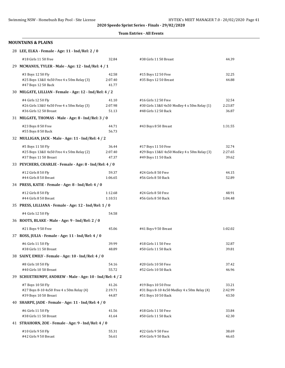#### **Team Entries - All Events**

#### **MOUNTAINS & PLAINS**

| 28 LEE, ELKA - Female - Age: 11 - Ind/Rel: 2 / 0                                           |                           |                                                                                              |                           |
|--------------------------------------------------------------------------------------------|---------------------------|----------------------------------------------------------------------------------------------|---------------------------|
| #18 Girls 11 50 Free                                                                       | 32.84                     | #38 Girls 11 50 Breast                                                                       | 44.39                     |
| 29 MCMANUS, TYLER - Male - Age: 12 - Ind/Rel: 4 / 1                                        |                           |                                                                                              |                           |
| #3 Boys 12 50 Fly<br>#25 Boys 13&U 4x50 Free 4 x 50m Relay (3)<br>#47 Boys 12 50 Back      | 42.58<br>2:07.40<br>41.77 | #15 Boys 12 50 Free<br>#35 Boys 12 50 Breast                                                 | 32.25<br>44.88            |
| 30 MILGATE, LILLIAN - Female - Age: 12 - Ind/Rel: 4 / 2                                    |                           |                                                                                              |                           |
| #4 Girls 12 50 Fly<br>#26 Girls 13&U 4x50 Free 4 x 50m Relay (3)<br>#36 Girls 12 50 Breast | 41.10<br>2:07.98<br>51.13 | #16 Girls 12 50 Free<br>#30 Girls 13&U 4x50 Medley 4 x 50m Relay (1)<br>#48 Girls 12 50 Back | 32.54<br>2:23.87<br>36.87 |
| 31 MILGATE, THOMAS - Male - Age: 8 - Ind/Rel: 3 / 0                                        |                           |                                                                                              |                           |
| #23 Boys 8 50 Free<br>#55 Boys 8 50 Back                                                   | 44.71<br>56.73            | #43 Boys 8 50 Breast                                                                         | 1:31.55                   |
| 32 MULLIGAN, JACK - Male - Age: 11 - Ind/Rel: 4 / 2                                        |                           |                                                                                              |                           |
| #5 Boys 11 50 Fly<br>#25 Boys 13&U 4x50 Free 4 x 50m Relay (2)<br>#37 Boys 11 50 Breast    | 36.44<br>2:07.40<br>47.37 | #17 Boys 11 50 Free<br>#29 Boys 13&U 4x50 Medley 4 x 50m Relay (3)<br>#49 Boys 11 50 Back    | 32.74<br>2:27.65<br>39.62 |
| 33 PEYCHERS, CHARLIE - Female - Age: 8 - Ind/Rel: 4 / 0                                    |                           |                                                                                              |                           |
| #12 Girls 8 50 Fly<br>#44 Girls 8 50 Breast                                                | 59.37<br>1:06.65          | #24 Girls 8 50 Free<br>#56 Girls 8 50 Back                                                   | 44.15<br>52.89            |
| 34 PRESS, KATIE - Female - Age: 8 - Ind/Rel: 4 / 0                                         |                           |                                                                                              |                           |
| #12 Girls 8 50 Fly<br>#44 Girls 8 50 Breast                                                | 1:12.68<br>1:10.51        | #24 Girls 8 50 Free<br>#56 Girls 8 50 Back                                                   | 48.91<br>1:04.48          |
| 35 PRESS, LILLIANA - Female - Age: 12 - Ind/Rel: 1 / 0                                     |                           |                                                                                              |                           |
| #4 Girls 12 50 Fly                                                                         | 54.58                     |                                                                                              |                           |
| 36 ROOTS, BLAKE - Male - Age: 9 - Ind/Rel: 2 / 0                                           |                           |                                                                                              |                           |
| #21 Boys 9 50 Free                                                                         | 45.06                     | #41 Boys 9 50 Breast                                                                         | 1:02.02                   |
| 37 ROSS, JULIA - Female - Age: 11 - Ind/Rel: 4 / 0                                         |                           |                                                                                              |                           |
| #6 Girls 11 50 Fly<br>#38 Girls 11 50 Breast                                               | 39.99<br>48.89            | #18 Girls 11 50 Free<br>#50 Girls 11 50 Back                                                 | 32.87<br>39.81            |
| 38 SAINT, EMILY - Female - Age: 10 - Ind/Rel: 4 / 0                                        |                           |                                                                                              |                           |
| #8 Girls 10 50 Fly<br>#40 Girls 10 50 Breast                                               | 54.16<br>55.72            | #20 Girls 10 50 Free<br>#52 Girls 10 50 Back                                                 | 37.42<br>46.96            |
| 39 SCHUETRUMPF, ANDREW - Male - Age: 10 - Ind/Rel: 4 / 2                                   |                           |                                                                                              |                           |
| #7 Boys 10 50 Fly<br>#27 Boys 8-10 4x50 Free 4 x 50m Relay (4)<br>#39 Boys 10 50 Breast    | 41.26<br>2:19.71<br>44.87 | #19 Boys 10 50 Free<br>#31 Boys 8-10 4x50 Medley 4 x 50m Relay (4)<br>#51 Boys 10 50 Back    | 33.21<br>2:42.99<br>43.50 |
| 40 SHARPE, JADE - Female - Age: 11 - Ind/Rel: 4 / 0                                        |                           |                                                                                              |                           |
| #6 Girls 11 50 Fly<br>#38 Girls 11 50 Breast                                               | 41.56<br>41.64            | #18 Girls 11 50 Free<br>#50 Girls 11 50 Back                                                 | 33.84<br>42.30            |
| 41 STRAHORN, ZOE - Female - Age: 9 - Ind/Rel: 4 / 0                                        |                           |                                                                                              |                           |
| #10 Girls 9 50 Fly<br>#42 Girls 9 50 Breast                                                | 55.31<br>56.61            | #22 Girls 9 50 Free<br>#54 Girls 9 50 Back                                                   | 38.69<br>46.65            |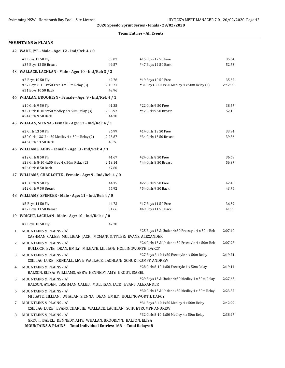#### **Team Entries - All Events**

#### **MOUNTAINS & PLAINS**

|  | 42 WADE, JYE - Male - Age: 12 - Ind/Rel: 4 / 0 |  |  |  |  |  |  |  |  |
|--|------------------------------------------------|--|--|--|--|--|--|--|--|
|--|------------------------------------------------|--|--|--|--|--|--|--|--|

|   | #3 Boys 12 50 Fly<br>#35 Boys 12 50 Breast                                                                                         | 59.07            | #15 Boys 12 50 Free                              | 35.64   |
|---|------------------------------------------------------------------------------------------------------------------------------------|------------------|--------------------------------------------------|---------|
|   | 43 WALLACE, LACHLAN - Male - Age: 10 - Ind/Rel: 3 / 2                                                                              | 49.57            | #47 Boys 12 50 Back                              | 52.73   |
|   |                                                                                                                                    |                  |                                                  |         |
|   | #7 Boys 10 50 Fly                                                                                                                  | 42.76            | #19 Boys 10 50 Free                              | 35.32   |
|   | #27 Boys 8-10 4x50 Free 4 x 50m Relay (3)<br>#51 Boys 10 50 Back                                                                   | 2:19.71<br>43.96 | #31 Boys 8-10 4x50 Medley 4 x 50m Relay (3)      | 2:42.99 |
|   | 44 WHALAN, BROOKLYN - Female - Age: 9 - Ind/Rel: 4 / 1                                                                             |                  |                                                  |         |
|   | #10 Girls 9 50 Fly                                                                                                                 | 41.35            | #22 Girls 9 50 Free                              | 38.57   |
|   | #32 Girls 8-10 4x50 Medley 4 x 50m Relay (3)                                                                                       | 2:38.97          | #42 Girls 9 50 Breast                            | 52.15   |
|   | #54 Girls 9 50 Back                                                                                                                | 44.78            |                                                  |         |
|   | 45 WHALAN, SIENNA - Female - Age: 13 - Ind/Rel: 4 / 1                                                                              |                  |                                                  |         |
|   | #2 Girls 13 50 Fly                                                                                                                 | 36.99            | #14 Girls 13 50 Free                             | 33.94   |
|   | #30 Girls 13&U 4x50 Medley 4 x 50m Relay (2)                                                                                       | 2:23.87          | #34 Girls 13 50 Breast                           | 39.86   |
|   | #46 Girls 13 50 Back                                                                                                               | 40.26            |                                                  |         |
|   | 46 WILLIAMS, ABBY - Female - Age: 8 - Ind/Rel: 4 / 1                                                                               |                  |                                                  |         |
|   | #12 Girls 8 50 Fly                                                                                                                 | 41.67            | #24 Girls 8 50 Free                              | 36.69   |
|   | #28 Girls 8-10 4x50 Free 4 x 50m Relay (2)                                                                                         | 2:19.14          | #44 Girls 8 50 Breast                            | 56.37   |
|   | #56 Girls 8 50 Back                                                                                                                | 47.60            |                                                  |         |
|   | 47 WILLIAMS, CHARLOTTE - Female - Age: 9 - Ind/Rel: 4 / 0                                                                          |                  |                                                  |         |
|   | #10 Girls 9 50 Fly                                                                                                                 | 44.15            | #22 Girls 9 50 Free                              | 42.45   |
|   | #42 Girls 9 50 Breast                                                                                                              | 56.92            | #54 Girls 9 50 Back                              | 43.76   |
|   | 48 WILLIAMS, SPENCER - Male - Age: 11 - Ind/Rel: 4 / 0                                                                             |                  |                                                  |         |
|   | #5 Boys 11 50 Fly                                                                                                                  | 44.73            | #17 Boys 11 50 Free                              | 36.39   |
|   | #37 Boys 11 50 Breast                                                                                                              | 51.66            | #49 Boys 11 50 Back                              | 41.99   |
|   | 49 WRIGHT, LACHLAN - Male - Age: 10 - Ind/Rel: 1 / 0                                                                               |                  |                                                  |         |
|   | #7 Boys 10 50 Fly                                                                                                                  | 47.78            |                                                  |         |
| 1 | MOUNTAINS & PLAINS - 'A'<br>CASHMAN, CALEB; MULLIGAN, JACK; MCMANUS, TYLER; EVANS, ALEXANDER                                       |                  | #25 Boys 13 & Under 4x50 Freestyle 4 x 50m Rela  | 2:07.40 |
| 2 | <b>MOUNTAINS &amp; PLAINS - 'A'</b><br>BULLOCK, EVIE; DEAN, EMILY; MILGATE, LILLIAN; HOLLINGWORTH, DARCY                           |                  | #26 Girls 13 & Under 4x50 Freestyle 4 x 50m Rela | 2:07.98 |
| 3 | <b>MOUNTAINS &amp; PLAINS - 'A'</b>                                                                                                |                  | #27 Boys 8-10 4x50 Freestyle 4 x 50m Relay       | 2:19.71 |
|   | CSILLAG, LUKE; KENDALL, LEVI; WALLACE, LACHLAN; SCHUETRUMPF, ANDREW                                                                |                  |                                                  |         |
| 4 | MOUNTAINS & PLAINS - 'A'<br>BALSON, ELIZA; WILLIAMS, ABBY; KENNEDY, AMY; GROUT, ISABEL                                             |                  | #28 Girls 8-10 4x50 Freestyle 4 x 50m Relay      | 2:19.14 |
| 5 | <b>MOUNTAINS &amp; PLAINS - 'A'</b><br>BALSON, AYDEN; CASHMAN, CALEB; MULLIGAN, JACK; EVANS, ALEXANDER                             |                  | #29 Boys 13 & Under 4x50 Medley 4 x 50m Relay    | 2:27.65 |
| 6 | <b>MOUNTAINS &amp; PLAINS - 'A'</b>                                                                                                |                  | #30 Girls 13 & Under 4x50 Medley 4 x 50m Relay   | 2:23.87 |
|   | MILGATE, LILLIAN; WHALAN, SIENNA; DEAN, EMILY; HOLLINGWORTH, DARCY                                                                 |                  |                                                  |         |
| 7 | <b>MOUNTAINS &amp; PLAINS - 'A'</b><br>CSILLAG, LUKE; EVANS, CHARLIE; WALLACE, LACHLAN; SCHUETRUMPF, ANDREW                        |                  | #31 Boys 8-10 4x50 Medley 4 x 50m Relay          | 2:42.99 |
| 8 | MOUNTAINS & PLAINS - 'A'                                                                                                           |                  | #32 Girls 8-10 4x50 Medley 4 x 50m Relay         | 2:38.97 |
|   | GROUT, ISABEL, KENNEDY, AMY; WHALAN, BROOKLYN; BALSON, ELIZA<br>MOUNTAINS & PLAINS Total Individual Entries: 168 - Total Relays: 8 |                  |                                                  |         |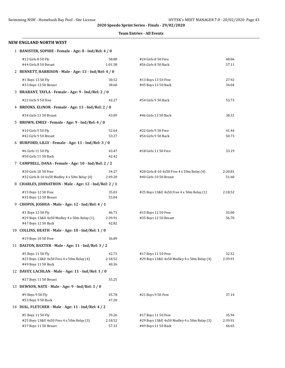#### **Team Entries - All Events**

| <b>NEW ENGLAND NORTH WEST</b>                                              |                  |                                                                      |                  |
|----------------------------------------------------------------------------|------------------|----------------------------------------------------------------------|------------------|
| 1 BANISTER, SOPHIE - Female - Age: 8 - Ind/Rel: 4 / 0                      |                  |                                                                      |                  |
| #12 Girls 8 50 Fly                                                         | 58.80            | #24 Girls 8 50 Free                                                  | 48.06            |
| #44 Girls 8 50 Breast                                                      | 1:01.58          | #56 Girls 8 50 Back                                                  | 57.11            |
| 2 BENNETT, HARRISON - Male - Age: 13 - Ind/Rel: 4 / 0                      |                  |                                                                      |                  |
| #1 Boys 13 50 Fly                                                          | 30.52            | #13 Boys 13 50 Free                                                  | 27.92            |
| #33 Boys 13 50 Breast                                                      | 38.60            | #45 Boys 13 50 Back                                                  | 34.04            |
| 3 BRABANT, TAYLA - Female - Age: 9 - Ind/Rel: 2 / 0                        |                  |                                                                      |                  |
| #22 Girls 9 50 Free                                                        | 42.27            | #54 Girls 9 50 Back                                                  | 53.73            |
| 4 BROOKS, ELINOR - Female - Age: 13 - Ind/Rel: 2 / 0                       |                  |                                                                      |                  |
| #34 Girls 13 50 Breast                                                     | 43.09            | #46 Girls 13 50 Back                                                 | 38.31            |
| 5 BROWN, EMILY - Female - Age: 9 - Ind/Rel: 4 / 0                          |                  |                                                                      |                  |
| #10 Girls 9 50 Fly                                                         | 52.64            | #22 Girls 9 50 Free                                                  | 41.44            |
| #42 Girls 9 50 Breast                                                      | 53.27            | #54 Girls 9 50 Back                                                  | 50.73            |
| 6 BURFORD, LILLY - Female - Age: 11 - Ind/Rel: 3 / 0                       |                  |                                                                      |                  |
| #6 Girls 11 50 Fly                                                         | 43.47            | #18 Girls 11 50 Free                                                 | 33.19            |
| #50 Girls 11 50 Back                                                       | 42.42            |                                                                      |                  |
| 7 CAMPBELL, DANA - Female - Age: 10 - Ind/Rel: 2 / 2                       |                  |                                                                      |                  |
| #20 Girls 10 50 Free<br>#32 Girls 8-10 4x50 Medley 4 x 50m Relay (4)       | 34.27<br>2:49.20 | #28 Girls 8-10 4x50 Free 4 x 50m Relay (4)<br>#40 Girls 10 50 Breast | 2:20.81<br>51.60 |
| 8 CHARLES, JOHNATHON - Male - Age: 12 - Ind/Rel: 2 / 1                     |                  |                                                                      |                  |
| #15 Boys 12 50 Free                                                        | 35.03            | #25 Boys 13&U 4x50 Free 4 x 50m Relay (1)                            | 2:18.52          |
| #35 Boys 12 50 Breast                                                      | 53.04            |                                                                      |                  |
| 9 CHOPIN, JOSHUA - Male - Age: 12 - Ind/Rel: 4 / 1                         |                  |                                                                      |                  |
| #3 Boys 12 50 Fly                                                          | 46.73            | #15 Boys 12 50 Free                                                  | 35.00            |
| #29 Boys 13&U 4x50 Medley 4 x 50m Relay (1)                                | 2:39.91          | #35 Boys 12 50 Breast                                                | 56.70            |
| #47 Boys 12 50 Back                                                        | 42.82            |                                                                      |                  |
| 10 COLLINS, HEATH - Male - Age: 10 - Ind/Rel: 1 / 0                        |                  |                                                                      |                  |
| #19 Boys 10 50 Free                                                        | 36.89            |                                                                      |                  |
| 11 DALTON, BAXTER - Male - Age: 11 - Ind/Rel: 3 / 2                        |                  |                                                                      |                  |
| #5 Boys 11 50 Fly                                                          | 42.73            | #17 Boys 11 50 Free                                                  | 32.52            |
| #25 Boys 13&U 4x50 Free 4 x 50m Relay (4)                                  | 2:18.52          | #29 Boys 13&U 4x50 Medley 4 x 50m Relay (4)                          | 2:39.91          |
| #49 Boys 11 50 Back<br>12 DAVEY, LACHLAN - Male - Age: 11 - Ind/Rel: 1 / 0 | 40.36            |                                                                      |                  |
| #37 Boys 11 50 Breast                                                      | 55.25            |                                                                      |                  |
| 13 DEWSON, NATE - Male - Age: 9 - Ind/Rel: 3 / 0                           |                  |                                                                      |                  |
|                                                                            |                  |                                                                      |                  |
| #9 Boys 9 50 Fly<br>#53 Boys 9 50 Back                                     | 45.78<br>47.20   | #21 Boys 9 50 Free                                                   | 37.14            |
| 14 DIAL, FLETCHER - Male - Age: 11 - Ind/Rel: 4 / 2                        |                  |                                                                      |                  |
| #5 Boys 11 50 Fly                                                          | 39.26            |                                                                      | 35.94            |
| #25 Boys 13&U 4x50 Free 4 x 50m Relay (3)                                  | 2:18.52          | #17 Boys 11 50 Free<br>#29 Boys 13&U 4x50 Medley 4 x 50m Relay (3)   | 2:39.91          |
| #37 Boys 11 50 Breast                                                      | 57.33            | #49 Boys 11 50 Back                                                  | 46.65            |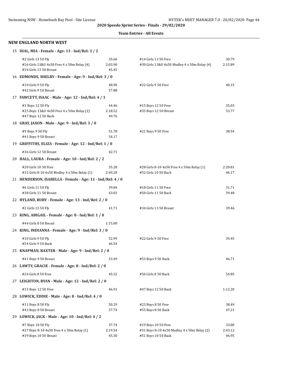#### **Team Entries - All Events**

#### **NEW ENGLAND NORTH WEST**

|  |  | 15 DIAL, MIA - Female - Age: 13 - Ind/Rel: 3 / 2 |
|--|--|--------------------------------------------------|
|  |  |                                                  |

| #2 Girls 13 50 Fly<br>#26 Girls 13&U 4x50 Free 4 x 50m Relay (4)<br>#34 Girls 13 50 Breast | 35.66<br>2:03.90<br>45.45 | #14 Girls 13 50 Free<br>#30 Girls 13&U 4x50 Medley 4 x 50m Relay (4)                      | 30.79<br>2:15.89          |
|--------------------------------------------------------------------------------------------|---------------------------|-------------------------------------------------------------------------------------------|---------------------------|
| 16 EDMONDS, SHELBY - Female - Age: 9 - Ind/Rel: 3 / 0                                      |                           |                                                                                           |                           |
| #10 Girls 9 50 Fly<br>#42 Girls 9 50 Breast                                                | 48.90<br>57.88            | #22 Girls 9 50 Free                                                                       | 40.15                     |
| 17 FAWCETT, ISAAC - Male - Age: 12 - Ind/Rel: 4 / 1                                        |                           |                                                                                           |                           |
| #3 Boys 12 50 Fly<br>#25 Boys 13&U 4x50 Free 4 x 50m Relay (2)<br>#47 Boys 12 50 Back      | 44.46<br>2:18.52<br>49.76 | #15 Boys 12 50 Free<br>#35 Boys 12 50 Breast                                              | 35.03<br>53.77            |
| 18 GRAY, JAXON - Male - Age: 9 - Ind/Rel: 3 / 0                                            |                           |                                                                                           |                           |
| #9 Boys 9 50 Fly<br>#41 Boys 9 50 Breast                                                   | 51.78<br>54.17            | #21 Boys 9 50 Free                                                                        | 38.94                     |
| 19 GRIFFITHS, ELIZA - Female - Age: 12 - Ind/Rel: 1 / 0                                    |                           |                                                                                           |                           |
| #36 Girls 12 50 Breast                                                                     | 42.71                     |                                                                                           |                           |
| 20 HALL, LAURA - Female - Age: 10 - Ind/Rel: 2 / 2                                         |                           |                                                                                           |                           |
| #20 Girls 10 50 Free<br>#32 Girls 8-10 4x50 Medley 4 x 50m Relay (1)                       | 35.28<br>2:49.20          | #28 Girls 8-10 4x50 Free 4 x 50m Relay (1)<br>#52 Girls 10 50 Back                        | 2:20.81<br>46.17          |
| 21 HENDERSON, ISABELLA - Female - Age: 11 - Ind/Rel: 4 / 0                                 |                           |                                                                                           |                           |
| #6 Girls 11 50 Fly<br>#38 Girls 11 50 Breast                                               | 39.84<br>43.03            | #18 Girls 11 50 Free<br>#50 Girls 11 50 Back                                              | 31.71<br>39.48            |
| 22 HYLAND, RUBY - Female - Age: 13 - Ind/Rel: 2 / 0                                        |                           |                                                                                           |                           |
| #2 Girls 13 50 Fly                                                                         | 41.71                     | #34 Girls 13 50 Breast                                                                    | 39.46                     |
| 23 KING, ABIGAIL - Female - Age: 8 - Ind/Rel: 1 / 0                                        |                           |                                                                                           |                           |
| #44 Girls 8 50 Breast                                                                      | 1:15.00                   |                                                                                           |                           |
| 24 KING, INDIANNA - Female - Age: 9 - Ind/Rel: 3 / 0                                       |                           |                                                                                           |                           |
| #10 Girls 9 50 Fly<br>#54 Girls 9 50 Back                                                  | 52.99<br>46.54            | #22 Girls 9 50 Free                                                                       | 39.45                     |
| 25 KNAPMAN, BAXTER - Male - Age: 9 - Ind/Rel: 2 / 0                                        |                           |                                                                                           |                           |
| #41 Boys 9 50 Breast<br>26 LAWTY, GRACIE - Female - Age: 8 - Ind/Rel: 2 / 0                | 53.49                     | #53 Boys 9 50 Back                                                                        | 46.71                     |
| #24 Girls 8 50 Free                                                                        | 45.32                     | #56 Girls 8 50 Back                                                                       | 54.85                     |
| 27 LEIGHTON, RYAN - Male - Age: 12 - Ind/Rel: 2 / 0                                        |                           |                                                                                           |                           |
| #15 Boys 12 50 Free                                                                        | 46.91                     | #47 Boys 12 50 Back                                                                       | 1:12.20                   |
| 28 LOWICK, EDDIE - Male - Age: 8 - Ind/Rel: 4 / 0                                          |                           |                                                                                           |                           |
| #11 Boys 8 50 Fly<br>#43 Boys 8 50 Breast                                                  | 50.29<br>57.74            | #23 Boys 8 50 Free<br>#55 Boys 8 50 Back                                                  | 38.49<br>47.21            |
| 29 LOWICK, JACK - Male - Age: 10 - Ind/Rel: 4 / 2                                          |                           |                                                                                           |                           |
| #7 Boys 10 50 Fly<br>#27 Boys 8-10 4x50 Free 4 x 50m Relay (1)<br>#39 Boys 10 50 Breast    | 37.74<br>2:19.54<br>45.30 | #19 Boys 10 50 Free<br>#31 Boys 8-10 4x50 Medley 4 x 50m Relay (2)<br>#51 Boys 10 50 Back | 33.80<br>2:43.12<br>46.95 |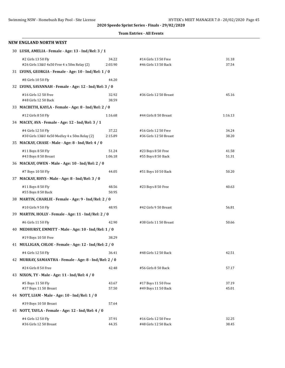#### **Team Entries - All Events**

| NEW ENGLAND NORTH WEST                                             |                  |                                                |                |
|--------------------------------------------------------------------|------------------|------------------------------------------------|----------------|
| 30 LUSH, AMELIA - Female - Age: 13 - Ind/Rel: 3 / 1                |                  |                                                |                |
| #2 Girls 13 50 Fly<br>#26 Girls 13&U 4x50 Free 4 x 50m Relay (2)   | 34.22<br>2:03.90 | #14 Girls 13 50 Free<br>#46 Girls 13 50 Back   | 31.18<br>37.54 |
| 31 LYONS, GEORGIA - Female - Age: 10 - Ind/Rel: 1 / 0              |                  |                                                |                |
| #8 Girls 10 50 Fly                                                 | 44.20            |                                                |                |
| 32 LYONS, SAVANNAH - Female - Age: 12 - Ind/Rel: 3 / 0             |                  |                                                |                |
| #16 Girls 12 50 Free<br>#48 Girls 12 50 Back                       | 32.92<br>38.59   | #36 Girls 12 50 Breast                         | 45.16          |
| 33 MACBETH, KAYLA - Female - Age: 8 - Ind/Rel: 2 / 0               |                  |                                                |                |
| #12 Girls 8 50 Fly                                                 | 1:16.68          | #44 Girls 8 50 Breast                          | 1:16.13        |
| 34 MACEY, AVA - Female - Age: 12 - Ind/Rel: 3 / 1                  |                  |                                                |                |
| #4 Girls 12 50 Fly<br>#30 Girls 13&U 4x50 Medley 4 x 50m Relay (2) | 37.22<br>2:15.89 | #16 Girls 12 50 Free<br>#36 Girls 12 50 Breast | 34.24<br>38.20 |
| 35 MACKAY, CHASE - Male - Age: 8 - Ind/Rel: 4 / 0                  |                  |                                                |                |
| #11 Boys 8 50 Fly                                                  | 51.24            | #23 Boys 8 50 Free                             | 41.58          |
| #43 Boys 8 50 Breast                                               | 1:06.18          | #55 Boys 8 50 Back                             | 51.31          |
| 36 MACKAY, OWEN - Male - Age: 10 - Ind/Rel: 2 / 0                  |                  |                                                |                |
| #7 Boys 10 50 Fly                                                  | 44.05            | #51 Boys 10 50 Back                            | 50.20          |
| 37 MACKAY, RHYS - Male - Age: 8 - Ind/Rel: 3 / 0                   |                  |                                                |                |
| #11 Boys 8 50 Fly<br>#55 Boys 8 50 Back                            | 48.56<br>50.95   | #23 Boys 8 50 Free                             | 40.63          |
| 38 MARTIN, CHARLIE - Female - Age: 9 - Ind/Rel: 2 / 0              |                  |                                                |                |
| #10 Girls 9 50 Fly                                                 | 48.95            | #42 Girls 9 50 Breast                          | 56.81          |
| 39 MARTIN, HOLLY - Female - Age: 11 - Ind/Rel: 2 / 0               |                  |                                                |                |
| #6 Girls 11 50 Fly                                                 | 42.90            | #38 Girls 11 50 Breast                         | 50.66          |
| 40 MEDHURST, EMMITT - Male - Age: 10 - Ind/Rel: 1 / 0              |                  |                                                |                |
| #19 Boys 10 50 Free                                                | 38.29            |                                                |                |
| 41 MULLIGAN, CHLOE - Female - Age: 12 - Ind/Rel: 2 / 0             |                  |                                                |                |
| #4 Girls 12 50 Fly                                                 | 36.41            | #48 Girls 12 50 Back                           | 42.51          |
| 42 MURRAY, SAMANTHA - Female - Age: 8 - Ind/Rel: 2 / 0             |                  |                                                |                |
| #24 Girls 8 50 Free                                                | 42.48            | #56 Girls 8 50 Back                            | 57.17          |
| 43 NIXON, TY - Male - Age: 11 - Ind/Rel: 4 / 0                     |                  |                                                |                |
| #5 Boys 11 50 Fly<br>#37 Boys 11 50 Breast                         | 43.67<br>57.50   | #17 Boys 11 50 Free<br>#49 Boys 11 50 Back     | 37.19<br>45.01 |
| 44 NOTT, LIAM - Male - Age: 10 - Ind/Rel: 1 / 0                    |                  |                                                |                |
| #39 Boys 10 50 Breast                                              | 57.64            |                                                |                |
| 45 NOTT, TAYLA - Female - Age: 12 - Ind/Rel: 4 / 0                 |                  |                                                |                |
| #4 Girls 12 50 Fly<br>#36 Girls 12 50 Breast                       | 37.91<br>44.35   | #16 Girls 12 50 Free<br>#48 Girls 12 50 Back   | 32.25<br>38.45 |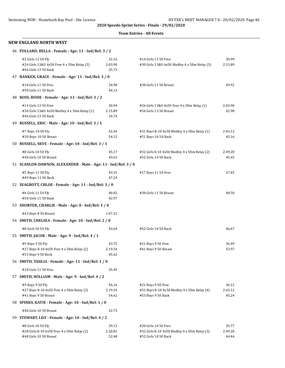#### **Team Entries - All Events**

#### **NEW ENGLAND NORTH WEST**

| 46 POLLARD, BELLA - Female - Age: 13 - Ind/Rel: 3 / 2 |  |  |  |  |  |  |  |  |  |
|-------------------------------------------------------|--|--|--|--|--|--|--|--|--|
|-------------------------------------------------------|--|--|--|--|--|--|--|--|--|

| #2 Girls 13 50 Fly<br>#26 Girls 13&U 4x50 Free 4 x 50m Relay (3)<br>#46 Girls 13 50 Back     | 32.16<br>2:03.90<br>35.73 | #14 Girls 13 50 Free<br>#30 Girls 13&U 4x50 Medley 4 x 50m Relay (3)                         | 30.99<br>2:15.89          |
|----------------------------------------------------------------------------------------------|---------------------------|----------------------------------------------------------------------------------------------|---------------------------|
| 47 RANKEN, GRACE - Female - Age: 11 - Ind/Rel: 3 / 0                                         |                           |                                                                                              |                           |
| #18 Girls 11 50 Free<br>#50 Girls 11 50 Back                                                 | 34.98<br>44.13            | #38 Girls 11 50 Breast                                                                       | 49.92                     |
| 48 ROSS, ROSIE - Female - Age: 13 - Ind/Rel: 3 / 2                                           |                           |                                                                                              |                           |
| #14 Girls 13 50 Free<br>#30 Girls 13&U 4x50 Medley 4 x 50m Relay (1)<br>#46 Girls 13 50 Back | 30.94<br>2:15.89<br>34.74 | #26 Girls 13&U 4x50 Free 4 x 50m Relay (1)<br>#34 Girls 13 50 Breast                         | 2:03.90<br>42.98          |
| 49 RUSSELL, ERIC - Male - Age: 10 - Ind/Rel: 3 / 1                                           |                           |                                                                                              |                           |
| #7 Boys 10 50 Fly<br>#39 Boys 10 50 Breast                                                   | 42.44<br>54.15            | #31 Boys 8-10 4x50 Medley 4 x 50m Relay (1)<br>#51 Boys 10 50 Back                           | 2:43.12<br>45.16          |
| 50 RUSSELL, SKYE - Female - Age: 10 - Ind/Rel: 3 / 1                                         |                           |                                                                                              |                           |
| #8 Girls 10 50 Fly<br>#40 Girls 10 50 Breast                                                 | 45.17<br>49.63            | #32 Girls 8-10 4x50 Medley 4 x 50m Relay (2)<br>#52 Girls 10 50 Back                         | 2:49.20<br>45.45          |
| 51 SCANLON-DAWSON, ALEXANDER - Male - Age: 11 - Ind/Rel: 3 / 0                               |                           |                                                                                              |                           |
| #5 Boys 11 50 Fly<br>#49 Boys 11 50 Back                                                     | 43.31<br>47.24            | #17 Boys 11 50 Free                                                                          | 37.45                     |
| 52 SEAGROTT, CHLOE - Female - Age: 11 - Ind/Rel: 3 / 0                                       |                           |                                                                                              |                           |
| #6 Girls 11 50 Fly<br>#50 Girls 11 50 Back                                                   | 40.02<br>42.97            | #38 Girls 11 50 Breast                                                                       | 48.50                     |
| 53 SHORTER, CHARLIE - Male - Age: 8 - Ind/Rel: 1 / 0                                         |                           |                                                                                              |                           |
| #43 Boys 8 50 Breast                                                                         | 1:07.21                   |                                                                                              |                           |
| 54 SMITH, CHELSEA - Female - Age: 10 - Ind/Rel: 2 / 0                                        |                           |                                                                                              |                           |
| #8 Girls 10 50 Fly                                                                           | 43.64                     | #52 Girls 10 50 Back                                                                         | 46.67                     |
| 55 SMITH, JACOB - Male - Age: 9 - Ind/Rel: 4 / 1                                             |                           |                                                                                              |                           |
| #9 Boys 9 50 Fly<br>#27 Boys 8-10 4x50 Free 4 x 50m Relay (2)<br>#53 Boys 9 50 Back          | 43.75<br>2:19.54<br>45.62 | #21 Boys 9 50 Free<br>#41 Boys 9 50 Breast                                                   | 36.49<br>53.97            |
| 56 SMITH, TAHLIA - Female - Age: 11 - Ind/Rel: 1 / 0                                         |                           |                                                                                              |                           |
| #18 Girls 11 50 Free                                                                         | 35.49                     |                                                                                              |                           |
| 57 SMITH, WILLIAM - Male - Age: 9 - Ind/Rel: 4 / 2                                           |                           |                                                                                              |                           |
| #9 Boys 9 50 Fly<br>#27 Boys 8-10 4x50 Free 4 x 50m Relay (3)<br>#41 Boys 9 50 Breast        | 44.16<br>2:19.54<br>54.62 | #21 Boys 9 50 Free<br>#31 Boys 8-10 4x50 Medley 4 x 50m Relay (4)<br>#53 Boys 9 50 Back      | 36.12<br>2:43.12<br>45.24 |
| 58 SPINKS, KATIE - Female - Age: 10 - Ind/Rel: 1 / 0                                         |                           |                                                                                              |                           |
| #40 Girls 10 50 Breast                                                                       | 52.73                     |                                                                                              |                           |
| 59 STEWART, LILY - Female - Age: 10 - Ind/Rel: 4 / 2                                         |                           |                                                                                              |                           |
| #8 Girls 10 50 Fly<br>#28 Girls 8-10 4x50 Free 4 x 50m Relay (2)<br>#40 Girls 10 50 Breast   | 39.13<br>2:20.81<br>52.48 | #20 Girls 10 50 Free<br>#32 Girls 8-10 4x50 Medley 4 x 50m Relay (3)<br>#52 Girls 10 50 Back | 35.77<br>2:49.20<br>44.44 |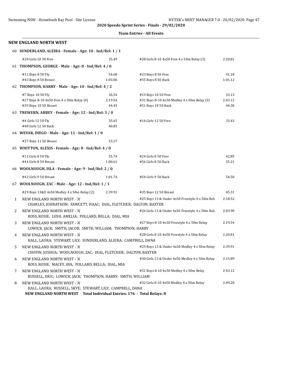#### **Team Entries - All Events**

|    | <b>NEW ENGLAND NORTH WEST</b>                                                                                                                                       |                           |                                                                                           |                           |
|----|---------------------------------------------------------------------------------------------------------------------------------------------------------------------|---------------------------|-------------------------------------------------------------------------------------------|---------------------------|
|    | 60 SUNDERLAND, ALEIRA - Female - Age: 10 - Ind/Rel: 1 / 1                                                                                                           |                           |                                                                                           |                           |
|    | #20 Girls 10 50 Free                                                                                                                                                | 35.49                     | #28 Girls 8-10 4x50 Free 4 x 50m Relay (3)                                                | 2:20.81                   |
|    | 61 THOMPSON, GEORGE - Male - Age: 8 - Ind/Rel: 4 / 0                                                                                                                |                           |                                                                                           |                           |
|    | #11 Boys 8 50 Fly<br>#43 Boys 8 50 Breast                                                                                                                           | 54.68<br>1:03.06          | #23 Boys 8 50 Free<br>#55 Boys 8 50 Back                                                  | 41.18<br>1:01.12          |
|    | 62 THOMPSON, HARRY - Male - Age: 10 - Ind/Rel: 4 / 2                                                                                                                |                           |                                                                                           |                           |
|    | #7 Boys 10 50 Fly<br>#27 Boys 8-10 4x50 Free 4 x 50m Relay (4)<br>#39 Boys 10 50 Breast                                                                             | 36.54<br>2:19.54<br>44.45 | #19 Boys 10 50 Free<br>#31 Boys 8-10 4x50 Medley 4 x 50m Relay (3)<br>#51 Boys 10 50 Back | 33.13<br>2:43.12<br>44.30 |
|    | 63 TREWERN, ABBEY - Female - Age: 12 - Ind/Rel: 3 / 0                                                                                                               |                           |                                                                                           |                           |
|    | #4 Girls 12 50 Fly<br>#48 Girls 12 50 Back                                                                                                                          | 35.65<br>40.85            | #16 Girls 12 50 Free                                                                      | 33.43                     |
|    | 64 WEVAR, DIEGO - Male - Age: 11 - Ind/Rel: 1 / 0                                                                                                                   |                           |                                                                                           |                           |
|    | #37 Boys 11 50 Breast                                                                                                                                               | 53.27                     |                                                                                           |                           |
|    | 65 WHITTON, ALEXIS - Female - Age: 8 - Ind/Rel: 4 / 0                                                                                                               |                           |                                                                                           |                           |
|    | #12 Girls 8 50 Fly<br>#44 Girls 8 50 Breast                                                                                                                         | 55.74<br>1:00.61          | #24 Girls 8 50 Free<br>#56 Girls 8 50 Back                                                | 42.85<br>55.21            |
|    | 66 WOOLNOUGH, ISLA - Female - Age: 9 - Ind/Rel: 2 / 0                                                                                                               |                           |                                                                                           |                           |
|    | #42 Girls 9 50 Breast                                                                                                                                               | 1:01.74                   | #54 Girls 9 50 Back                                                                       | 54.50                     |
|    | 67 WOOLNOUGH, ZAC - Male - Age: 12 - Ind/Rel: 1 / 1                                                                                                                 |                           |                                                                                           |                           |
|    | #29 Boys 13&U 4x50 Medley 4 x 50m Relay (2)                                                                                                                         | 2:39.91                   | #35 Boys 12 50 Breast                                                                     | 45.31                     |
| 1  | NEW ENGLAND NORTH WEST - 'A'<br>CHARLES, JOHNATHON; FAWCETT, ISAAC; DIAL, FLETCHER; DALTON, BAXTER                                                                  |                           | #25 Boys 13 & Under 4x50 Freestyle 4 x 50m Rela                                           | 2:18.52                   |
| 2  | NEW ENGLAND NORTH WEST - 'A'<br>ROSS, ROSIE; LUSH, AMELIA; POLLARD, BELLA; DIAL, MIA                                                                                |                           | #26 Girls 13 & Under 4x50 Freestyle 4 x 50m Rela                                          | 2:03.90                   |
| 3  | NEW ENGLAND NORTH WEST - 'A'<br>LOWICK, JACK; SMITH, JACOB; SMITH, WILLIAM; THOMPSON, HARRY                                                                         |                           | #27 Boys 8-10 4x50 Freestyle 4 x 50m Relay                                                | 2:19.54                   |
| 4  | NEW ENGLAND NORTH WEST - 'A'<br>HALL, LAURA; STEWART, LILY; SUNDERLAND, ALEIRA; CAMPBELL, DANA                                                                      |                           | #28 Girls 8-10 4x50 Freestyle 4 x 50m Relay                                               | 2:20.81                   |
| 5. | NEW ENGLAND NORTH WEST - 'A'<br>CHOPIN, JOSHUA; WOOLNOUGH, ZAC; DIAL, FLETCHER; DALTON, BAXTER                                                                      |                           | #29 Boys 13 & Under 4x50 Medley 4 x 50m Relay                                             | 2:39.91                   |
| 6  | NEW ENGLAND NORTH WEST - 'A'<br>ROSS, ROSIE; MACEY, AVA; POLLARD, BELLA; DIAL, MIA                                                                                  |                           | #30 Girls 13 & Under 4x50 Medley 4 x 50m Relay                                            | 2:15.89                   |
| 7  | NEW ENGLAND NORTH WEST - 'A'<br>RUSSELL, ERIC; LOWICK, JACK; THOMPSON, HARRY; SMITH, WILLIAM                                                                        |                           | #31 Boys 8-10 4x50 Medley 4 x 50m Relay                                                   | 2:43.12                   |
| 8  | NEW ENGLAND NORTH WEST - 'A'<br>HALL, LAURA; RUSSELL, SKYE; STEWART, LILY; CAMPBELL, DANA<br>NEW ENGLAND NORTH WEST Total Individual Entries: 176 - Total Relays: 8 |                           | #32 Girls 8-10 4x50 Medley 4 x 50m Relay                                                  | 2:49.20                   |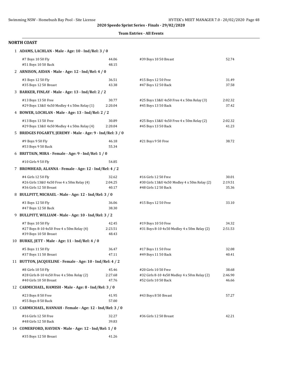#### **Team Entries - All Events**

| 1 ADAMS, LACHLAN - Male - Age: 10 - Ind/Rel: 3 / 0                                         |                           |                                                                                              |                           |
|--------------------------------------------------------------------------------------------|---------------------------|----------------------------------------------------------------------------------------------|---------------------------|
| #7 Boys 10 50 Fly<br>#51 Boys 10 50 Back                                                   | 44.06<br>48.15            | #39 Boys 10 50 Breast                                                                        | 52.74                     |
| 2 ARNISON, AIDAN - Male - Age: 12 - Ind/Rel: 4 / 0                                         |                           |                                                                                              |                           |
| #3 Boys 12 50 Fly<br>#35 Boys 12 50 Breast                                                 | 36.51<br>43.38            | #15 Boys 12 50 Free<br>#47 Boys 12 50 Back                                                   | 31.49<br>37.58            |
| 3 BARKER, FINLAY - Male - Age: 13 - Ind/Rel: 2 / 2                                         |                           |                                                                                              |                           |
| #13 Boys 13 50 Free<br>#29 Boys 13&U 4x50 Medley 4 x 50m Relay (1)                         | 30.77<br>2:20.04          | #25 Boys 13&U 4x50 Free 4 x 50m Relay (3)<br>#45 Boys 13 50 Back                             | 2:02.32<br>37.42          |
| 4 BOWER, LOCHLAN - Male - Age: 13 - Ind/Rel: 2 / 2                                         |                           |                                                                                              |                           |
| #13 Boys 13 50 Free<br>#29 Boys 13&U 4x50 Medley 4 x 50m Relay (4)                         | 30.89<br>2:20.04          | #25 Boys 13&U 4x50 Free 4 x 50m Relay (2)<br>#45 Boys 13 50 Back                             | 2:02.32<br>41.23          |
| 5 BRIDGES FOGARTY, JEREMY - Male - Age: 9 - Ind/Rel: 3 / 0                                 |                           |                                                                                              |                           |
| #9 Boys 9 50 Fly<br>#53 Boys 9 50 Back                                                     | 46.18<br>55.34            | #21 Boys 9 50 Free                                                                           | 38.72                     |
| 6 BRITTAIN, MIRA - Female - Age: 9 - Ind/Rel: 1 / 0                                        |                           |                                                                                              |                           |
| #10 Girls 9 50 Fly                                                                         | 54.85                     |                                                                                              |                           |
| 7 BROMHEAD, ALANNA - Female - Age: 12 - Ind/Rel: 4 / 2                                     |                           |                                                                                              |                           |
| #4 Girls 12 50 Fly<br>#26 Girls 13&U 4x50 Free 4 x 50m Relay (4)<br>#36 Girls 12 50 Breast | 32.62<br>2:04.25<br>40.17 | #16 Girls 12 50 Free<br>#30 Girls 13&U 4x50 Medley 4 x 50m Relay (2)<br>#48 Girls 12 50 Back | 30.01<br>2:19.51<br>35.36 |
| 8 BULLPITT, MICHAEL - Male - Age: 12 - Ind/Rel: 3 / 0                                      |                           |                                                                                              |                           |
| #3 Boys 12 50 Fly<br>#47 Boys 12 50 Back                                                   | 36.06<br>38.30            | #15 Boys 12 50 Free                                                                          | 33.10                     |
| 9 BULLPITT, WILLIAM - Male - Age: 10 - Ind/Rel: 3 / 2                                      |                           |                                                                                              |                           |
| #7 Boys 10 50 Fly<br>#27 Boys 8-10 4x50 Free 4 x 50m Relay (4)<br>#39 Boys 10 50 Breast    | 42.45<br>2:23.51<br>48.43 | #19 Boys 10 50 Free<br>#31 Boys 8-10 4x50 Medley 4 x 50m Relay (2)                           | 34.32<br>2:51.53          |
| 10 BURKE, JETT - Male - Age: 11 - Ind/Rel: 4 / 0                                           |                           |                                                                                              |                           |
| #5 Boys 11 50 Fly<br>#37 Boys 11 50 Breast                                                 | 36.47<br>47.11            | #17 Boys 11 50 Free<br>#49 Boys 11 50 Back                                                   | 32.08<br>40.41            |
| 11 BUTTON, JACQUELINE - Female - Age: 10 - Ind/Rel: 4 / 2                                  |                           |                                                                                              |                           |
| #8 Girls 10 50 Fly<br>#28 Girls 8-10 4x50 Free 4 x 50m Relay (2)<br>#40 Girls 10 50 Breast | 45.46<br>2:27.68<br>47.76 | #20 Girls 10 50 Free<br>#32 Girls 8-10 4x50 Medley 4 x 50m Relay (2)<br>#52 Girls 10 50 Back | 38.68<br>2:46.90<br>46.66 |
| 12 CARMICHAEL, HAMISH - Male - Age: 8 - Ind/Rel: 3 / 0                                     |                           |                                                                                              |                           |
| #23 Boys 8 50 Free<br>#55 Boys 8 50 Back                                                   | 41.95<br>57.00            | #43 Boys 8 50 Breast                                                                         | 57.27                     |
| 13 CARMICHAEL, HANNAH - Female - Age: 12 - Ind/Rel: 3 / 0                                  |                           |                                                                                              |                           |
| #16 Girls 12 50 Free<br>#48 Girls 12 50 Back                                               | 32.27<br>39.83            | #36 Girls 12 50 Breast                                                                       | 42.21                     |
| 14 COMERFORD, HAYDEN - Male - Age: 12 - Ind/Rel: 1 / 0                                     |                           |                                                                                              |                           |
| #35 Boys 12 50 Breast                                                                      | 41.26                     |                                                                                              |                           |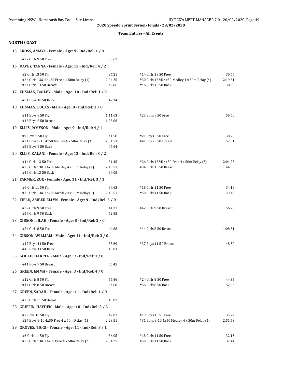#### **Team Entries - All Events**

| 15 CROSS, AMAYA - Female - Age: 9 - Ind/Rel: 1 / 0                                           |                           |                                                                                              |                           |
|----------------------------------------------------------------------------------------------|---------------------------|----------------------------------------------------------------------------------------------|---------------------------|
| #22 Girls 9 50 Free                                                                          | 39.67                     |                                                                                              |                           |
| 16 DAVEY, TANNA - Female - Age: 13 - Ind/Rel: 4 / 2                                          |                           |                                                                                              |                           |
| #2 Girls 13 50 Fly<br>#26 Girls 13&U 4x50 Free 4 x 50m Relay (1)<br>#34 Girls 13 50 Breast   | 36.21<br>2:04.25<br>42.86 | #14 Girls 13 50 Free<br>#30 Girls 13&U 4x50 Medley 4 x 50m Relay (4)<br>#46 Girls 13 50 Back | 30.66<br>2:19.51<br>38.90 |
| 17 EHSMAN, BAILEY - Male - Age: 10 - Ind/Rel: 1 / 0                                          |                           |                                                                                              |                           |
| #51 Boys 10 50 Back                                                                          | 47.14                     |                                                                                              |                           |
| 18 EHSMAN, LUCAS - Male - Age: 8 - Ind/Rel: 3 / 0                                            |                           |                                                                                              |                           |
| #11 Boys 8 50 Fly<br>#43 Boys 8 50 Breast                                                    | 1:11.63<br>1:25.06        | #23 Boys 8 50 Free                                                                           | 56.60                     |
| 19 ELLIS, JAMYSON - Male - Age: 9 - Ind/Rel: 4 / 1                                           |                           |                                                                                              |                           |
| #9 Boys 9 50 Fly<br>#31 Boys 8-10 4x50 Medley 4 x 50m Relay (3)<br>#53 Boys 9 50 Back        | 41.58<br>2:51.53<br>47.64 | #21 Boys 9 50 Free<br>#41 Boys 9 50 Breast                                                   | 38.73<br>57.01            |
| 20 ELLIS, KALANI - Female - Age: 13 - Ind/Rel: 3 / 2                                         |                           |                                                                                              |                           |
| #14 Girls 13 50 Free<br>#30 Girls 13&U 4x50 Medley 4 x 50m Relay (1)<br>#46 Girls 13 50 Back | 31.45<br>2:19.51<br>34.05 | #26 Girls 13&U 4x50 Free 4 x 50m Relay (3)<br>#34 Girls 13 50 Breast                         | 2:04.25<br>44.36          |
| 21 FARMER, ZOE - Female - Age: 11 - Ind/Rel: 3 / 1                                           |                           |                                                                                              |                           |
| #6 Girls 11 50 Fly<br>#30 Girls 13&U 4x50 Medley 4 x 50m Relay (3)                           | 34.63<br>2:19.51          | #18 Girls 11 50 Free<br>#50 Girls 11 50 Back                                                 | 34.18<br>39.48            |
| 22 FIELD, AMBER ELLYN - Female - Age: 9 - Ind/Rel: 3 / 0                                     |                           |                                                                                              |                           |
| #22 Girls 9 50 Free<br>#54 Girls 9 50 Back                                                   | 41.71<br>52.85            | #42 Girls 9 50 Breast                                                                        | 56.78                     |
| 23 GIBSON, LILAH - Female - Age: 8 - Ind/Rel: 2 / 0                                          |                           |                                                                                              |                           |
| #24 Girls 8 50 Free<br>24 GIBSON, WILLIAM - Male - Age: 11 - Ind/Rel: 3 / 0                  | 44.88                     | #44 Girls 8 50 Breast                                                                        | 1:08.31                   |
| #17 Boys 11 50 Free<br>#49 Boys 11 50 Back                                                   | 33.69<br>45.03            | #37 Boys 11 50 Breast                                                                        | 48.30                     |
| 25 GOULD, HARPER - Male - Age: 9 - Ind/Rel: 1 / 0                                            |                           |                                                                                              |                           |
| #41 Boys 9 50 Breast                                                                         | 55.45                     |                                                                                              |                           |
| 26 GREEN, EMMA - Female - Age: 8 - Ind/Rel: 4 / 0                                            |                           |                                                                                              |                           |
| #12 Girls 8 50 Fly<br>#44 Girls 8 50 Breast                                                  | 56.86<br>54.60            | #24 Girls 8 50 Free<br>#56 Girls 8 50 Back                                                   | 44.35<br>52.23            |
| 27 GREEN, SARAH - Female - Age: 11 - Ind/Rel: 1 / 0                                          |                           |                                                                                              |                           |
| #38 Girls 11 50 Breast                                                                       | 45.07                     |                                                                                              |                           |
| 28 GRIFFIN, HAYDEN - Male - Age: 10 - Ind/Rel: 2 / 2                                         |                           |                                                                                              |                           |
| #7 Boys 10 50 Fly<br>#27 Boys 8-10 4x50 Free 4 x 50m Relay (1)                               | 42.07<br>2:23.51          | #19 Boys 10 50 Free<br>#31 Boys 8-10 4x50 Medley 4 x 50m Relay (4)                           | 35.77<br>2:51.53          |
| 29 GROVES, TIGGI - Female - Age: 11 - Ind/Rel: 3 / 1                                         |                           |                                                                                              |                           |
| #6 Girls 11 50 Fly<br>#26 Girls 13&U 4x50 Free 4 x 50m Relay (2)                             | 36.05<br>2:04.25          | #18 Girls 11 50 Free<br>#50 Girls 11 50 Back                                                 | 32.13<br>37.44            |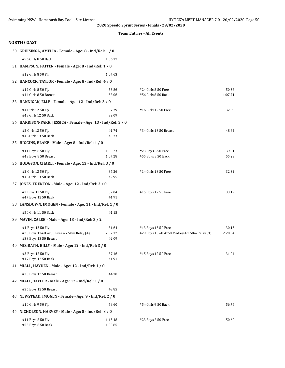|  | <b>Team Entries - All Events</b> |  |  |
|--|----------------------------------|--|--|
|--|----------------------------------|--|--|

| NORTH COAST                                                                             |                           |                                                                    |                  |
|-----------------------------------------------------------------------------------------|---------------------------|--------------------------------------------------------------------|------------------|
| 30 GRUISINGA, AMELIA - Female - Age: 8 - Ind/Rel: 1 / 0                                 |                           |                                                                    |                  |
| #56 Girls 8 50 Back                                                                     | 1:06.37                   |                                                                    |                  |
| 31 HAMPSON, PAITEN - Female - Age: 8 - Ind/Rel: 1 / 0                                   |                           |                                                                    |                  |
| #12 Girls 8 50 Fly                                                                      | 1:07.63                   |                                                                    |                  |
| 32 HANCOCK, TAYLOR - Female - Age: 8 - Ind/Rel: 4 / 0                                   |                           |                                                                    |                  |
| #12 Girls 8 50 Fly                                                                      | 53.86                     | #24 Girls 8 50 Free                                                | 50.38            |
| #44 Girls 8 50 Breast                                                                   | 58.06                     | #56 Girls 8 50 Back                                                | 1:07.71          |
| 33 HANNIGAN, ELLE - Female - Age: 12 - Ind/Rel: 3 / 0                                   |                           |                                                                    |                  |
| #4 Girls 12 50 Fly<br>#48 Girls 12 50 Back                                              | 37.79<br>39.09            | #16 Girls 12 50 Free                                               | 32.59            |
| 34 HARRISON-PARK, JESSICA - Female - Age: 13 - Ind/Rel: 3 / 0                           |                           |                                                                    |                  |
| #2 Girls 13 50 Fly<br>#46 Girls 13 50 Back                                              | 41.74<br>40.73            | #34 Girls 13 50 Breast                                             | 48.82            |
| 35 HIGGINS, BLAKE - Male - Age: 8 - Ind/Rel: 4 / 0                                      |                           |                                                                    |                  |
| #11 Boys 8 50 Fly                                                                       | 1:05.23                   | #23 Boys 8 50 Free                                                 | 39.51            |
| #43 Boys 8 50 Breast                                                                    | 1:07.28                   | #55 Boys 8 50 Back                                                 | 55.23            |
| 36 HODGSON, CHARLI - Female - Age: 13 - Ind/Rel: 3 / 0                                  |                           |                                                                    |                  |
| #2 Girls 13 50 Fly<br>#46 Girls 13 50 Back                                              | 37.26<br>42.95            | #14 Girls 13 50 Free                                               | 32.32            |
| 37 JONES, TRENTON - Male - Age: 12 - Ind/Rel: 3 / 0                                     |                           |                                                                    |                  |
| #3 Boys 12 50 Fly<br>#47 Boys 12 50 Back                                                | 37.04<br>41.91            | #15 Boys 12 50 Free                                                | 33.12            |
| 38 LANSDOWN, IMOGEN - Female - Age: 11 - Ind/Rel: 1 / 0                                 |                           |                                                                    |                  |
| #50 Girls 11 50 Back                                                                    | 41.15                     |                                                                    |                  |
| 39 MAVIN, CALEB - Male - Age: 13 - Ind/Rel: 3 / 2                                       |                           |                                                                    |                  |
| #1 Boys 13 50 Fly<br>#25 Boys 13&U 4x50 Free 4 x 50m Relay (4)<br>#33 Boys 13 50 Breast | 31.64<br>2:02.32<br>42.09 | #13 Boys 13 50 Free<br>#29 Boys 13&U 4x50 Medley 4 x 50m Relay (3) | 30.13<br>2:20.04 |
| 40 MCGRATH, BILLY - Male - Age: 12 - Ind/Rel: 3 / 0                                     |                           |                                                                    |                  |
| #3 Boys 12 50 Fly<br>#47 Boys 12 50 Back                                                | 37.16<br>41.91            | #15 Boys 12 50 Free                                                | 31.04            |
| 41 MIALL, HAYDEN - Male - Age: 12 - Ind/Rel: 1 / 0                                      |                           |                                                                    |                  |
| #35 Boys 12 50 Breast                                                                   | 44.70                     |                                                                    |                  |
| 42 MIALL, TAYLER - Male - Age: 12 - Ind/Rel: 1 / 0                                      |                           |                                                                    |                  |
| #35 Boys 12 50 Breast                                                                   | 43.85                     |                                                                    |                  |
| 43 NEWSTEAD, IMOGEN - Female - Age: 9 - Ind/Rel: 2 / 0                                  |                           |                                                                    |                  |
| #10 Girls 9 50 Fly                                                                      | 58.60                     | #54 Girls 9 50 Back                                                | 56.76            |
| 44 NICHOLSON, HARVEY - Male - Age: 8 - Ind/Rel: 3 / 0                                   |                           |                                                                    |                  |
| #11 Boys 8 50 Fly<br>#55 Boys 8 50 Back                                                 | 1:15.48<br>1:00.85        | #23 Boys 8 50 Free                                                 | 50.60            |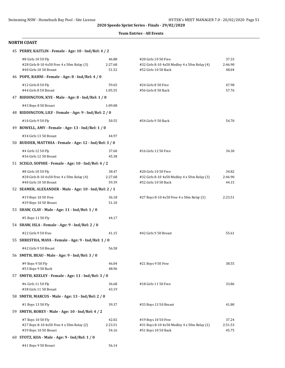#### **Team Entries - All Events**

| 45 PERRY, KAITLIN - Female - Age: 10 - Ind/Rel: 4 / 2                                      |                           |                                                                                              |                           |
|--------------------------------------------------------------------------------------------|---------------------------|----------------------------------------------------------------------------------------------|---------------------------|
| #8 Girls 10 50 Fly<br>#28 Girls 8-10 4x50 Free 4 x 50m Relay (3)<br>#40 Girls 10 50 Breast | 46.88<br>2:27.68<br>51.52 | #20 Girls 10 50 Free<br>#32 Girls 8-10 4x50 Medley 4 x 50m Relay (4)<br>#52 Girls 10 50 Back | 37.33<br>2:46.90<br>48.04 |
| 46 POPE, RAHNI - Female - Age: 8 - Ind/Rel: 4 / 0                                          |                           |                                                                                              |                           |
| #12 Girls 8 50 Fly<br>#44 Girls 8 50 Breast                                                | 59.65<br>1:05.55          | #24 Girls 8 50 Free<br>#56 Girls 8 50 Back                                                   | 47.98<br>57.76            |
| 47 RIDDINGTON, KYE - Male - Age: 8 - Ind/Rel: 1 / 0                                        |                           |                                                                                              |                           |
| #43 Boys 8 50 Breast                                                                       | 1:09.08                   |                                                                                              |                           |
| 48 RIDDINGTON, LILY - Female - Age: 9 - Ind/Rel: 2 / 0                                     |                           |                                                                                              |                           |
| #10 Girls 9 50 Fly                                                                         | 50.55                     | #54 Girls 9 50 Back                                                                          | 54.70                     |
| 49 ROWELL, AMY - Female - Age: 13 - Ind/Rel: 1 / 0                                         |                           |                                                                                              |                           |
| #34 Girls 13 50 Breast                                                                     | 44.97                     |                                                                                              |                           |
| 50 RUDDER, MATTHIA - Female - Age: 12 - Ind/Rel: 3 / 0                                     |                           |                                                                                              |                           |
| #4 Girls 12 50 Fly<br>#36 Girls 12 50 Breast                                               | 37.60<br>45.38            | #16 Girls 12 50 Free                                                                         | 34.30                     |
| 51 SCISLO, SOPHIE - Female - Age: 10 - Ind/Rel: 4 / 2                                      |                           |                                                                                              |                           |
| #8 Girls 10 50 Fly<br>#28 Girls 8-10 4x50 Free 4 x 50m Relay (4)<br>#40 Girls 10 50 Breast | 38.47<br>2:27.68<br>59.39 | #20 Girls 10 50 Free<br>#32 Girls 8-10 4x50 Medley 4 x 50m Relay (3)<br>#52 Girls 10 50 Back | 34.82<br>2:46.90<br>44.15 |
| 52 SEAMER, ALEXANDER - Male - Age: 10 - Ind/Rel: 2 / 1                                     |                           |                                                                                              |                           |
| #19 Boys 10 50 Free<br>#39 Boys 10 50 Breast                                               | 36.18<br>51.10            | #27 Boys 8-10 4x50 Free 4 x 50m Relay (3)                                                    | 2:23.51                   |
| 53 SHAW, CLAY - Male - Age: 11 - Ind/Rel: 1 / 0                                            |                           |                                                                                              |                           |
| #5 Boys 11 50 Fly                                                                          | 44.17                     |                                                                                              |                           |
| 54 SHAW, ISLA - Female - Age: 9 - Ind/Rel: 2 / 0                                           |                           |                                                                                              |                           |
| #22 Girls 9 50 Free                                                                        | 41.15                     | #42 Girls 9 50 Breast                                                                        | 55.61                     |
| 55 SHRESTHA, MAYA - Female - Age: 9 - Ind/Rel: 1 / 0                                       |                           |                                                                                              |                           |
| #42 Girls 9 50 Breast                                                                      | 56.58                     |                                                                                              |                           |
| 56 SMITH, BEAU - Male - Age: 9 - Ind/Rel: 3 / 0                                            |                           |                                                                                              |                           |
| #9 Boys 9 50 Fly<br>#53 Boys 9 50 Back                                                     | 46.04<br>48.96            | #21 Boys 9 50 Free                                                                           | 38.55                     |
| 57 SMITH, KEELEY - Female - Age: 11 - Ind/Rel: 3 / 0                                       |                           |                                                                                              |                           |
| #6 Girls 11 50 Fly<br>#38 Girls 11 50 Breast                                               | 36.68<br>43.19            | #18 Girls 11 50 Free                                                                         | 33.86                     |
| 58 SMITH, MARCUS - Male - Age: 13 - Ind/Rel: 2 / 0                                         |                           |                                                                                              |                           |
| #1 Boys 13 50 Fly                                                                          | 39.37                     | #33 Boys 13 50 Breast                                                                        | 41.80                     |
| 59 SMITH, ROREY - Male - Age: 10 - Ind/Rel: 4 / 2                                          |                           |                                                                                              |                           |
| #7 Boys 10 50 Fly<br>#27 Boys 8-10 4x50 Free 4 x 50m Relay (2)<br>#39 Boys 10 50 Breast    | 42.02<br>2:23.51<br>54.16 | #19 Boys 10 50 Free<br>#31 Boys 8-10 4x50 Medley 4 x 50m Relay (1)<br>#51 Boys 10 50 Back    | 37.24<br>2:51.53<br>45.75 |
| 60 STOTZ, KOA - Male - Age: 9 - Ind/Rel: 1 / 0                                             |                           |                                                                                              |                           |
| #41 Boys 9 50 Breast                                                                       | 56.14                     |                                                                                              |                           |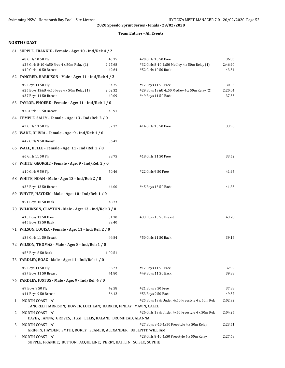#### **Team Entries - All Events**

|   | 61 SUPPLE, FRANKIE - Female - Age: 10 - Ind/Rel: 4 / 2                                     |                           |                                                                                              |                           |
|---|--------------------------------------------------------------------------------------------|---------------------------|----------------------------------------------------------------------------------------------|---------------------------|
|   | #8 Girls 10 50 Fly<br>#28 Girls 8-10 4x50 Free 4 x 50m Relay (1)<br>#40 Girls 10 50 Breast | 45.15<br>2:27.68<br>49.64 | #20 Girls 10 50 Free<br>#32 Girls 8-10 4x50 Medley 4 x 50m Relay (1)<br>#52 Girls 10 50 Back | 36.85<br>2:46.90<br>43.34 |
|   | 62 TANCRED, HARRISON - Male - Age: 11 - Ind/Rel: 4 / 2                                     |                           |                                                                                              |                           |
|   | #5 Boys 11 50 Fly<br>#25 Boys 13&U 4x50 Free 4 x 50m Relay (1)<br>#37 Boys 11 50 Breast    | 34.75<br>2:02.32<br>40.09 | #17 Boys 11 50 Free<br>#29 Boys 13&U 4x50 Medley 4 x 50m Relay (2)<br>#49 Boys 11 50 Back    | 30.53<br>2:20.04<br>37.53 |
|   | 63 TAYLOR, PHOEBE - Female - Age: 11 - Ind/Rel: 1 / 0                                      |                           |                                                                                              |                           |
|   | #38 Girls 11 50 Breast                                                                     | 45.91                     |                                                                                              |                           |
|   | 64 TEMPLE, SALLY - Female - Age: 13 - Ind/Rel: 2 / 0                                       |                           |                                                                                              |                           |
|   | #2 Girls 13 50 Fly                                                                         | 37.32                     | #14 Girls 13 50 Free                                                                         | 33.90                     |
|   | 65 WADE, OLIVIA - Female - Age: 9 - Ind/Rel: 1 / 0                                         |                           |                                                                                              |                           |
|   | #42 Girls 9 50 Breast                                                                      | 56.41                     |                                                                                              |                           |
|   | 66 WALL, BELLE - Female - Age: 11 - Ind/Rel: 2 / 0                                         |                           |                                                                                              |                           |
|   | #6 Girls 11 50 Fly                                                                         | 38.75                     | #18 Girls 11 50 Free                                                                         | 33.52                     |
|   | 67 WHITE, GEORGIE - Female - Age: 9 - Ind/Rel: 2 / 0                                       |                           |                                                                                              |                           |
|   | #10 Girls 9 50 Fly                                                                         | 50.46                     | #22 Girls 9 50 Free                                                                          | 41.95                     |
|   | 68 WHITE, NOAH - Male - Age: 13 - Ind/Rel: 2 / 0                                           |                           |                                                                                              |                           |
|   | #33 Boys 13 50 Breast                                                                      | 44.00                     | #45 Boys 13 50 Back                                                                          | 41.83                     |
|   | 69 WHYTE, HAYDEN - Male - Age: 10 - Ind/Rel: 1 / 0                                         |                           |                                                                                              |                           |
|   | #51 Boys 10 50 Back                                                                        | 48.73                     |                                                                                              |                           |
|   | 70 WILKINSON, CLAYTON - Male - Age: 13 - Ind/Rel: 3 / 0                                    |                           |                                                                                              |                           |
|   | #13 Boys 13 50 Free                                                                        | 31.10                     | #33 Boys 13 50 Breast                                                                        | 43.78                     |
|   | #45 Boys 13 50 Back                                                                        | 39.40                     |                                                                                              |                           |
|   | 71 WILSON, LOUISA - Female - Age: 11 - Ind/Rel: 2 / 0                                      |                           |                                                                                              |                           |
|   | #38 Girls 11 50 Breast                                                                     | 44.84                     | #50 Girls 11 50 Back                                                                         | 39.16                     |
|   | 72 WILSON, THOMAS - Male - Age: 8 - Ind/Rel: 1 / 0                                         |                           |                                                                                              |                           |
|   | #55 Boys 8 50 Back                                                                         | 1:09.51                   |                                                                                              |                           |
|   | 73 YARDLEY, BOAZ - Male - Age: 11 - Ind/Rel: 4 / 0                                         |                           |                                                                                              |                           |
|   | #5 Boys 11 50 Fly<br>#37 Boys 11 50 Breast                                                 | 36.23<br>41.80            | #17 Boys 11 50 Free<br>#49 Boys 11 50 Back                                                   | 32.92<br>39.88            |
|   | 74 YARDLEY, JUSTUS - Male - Age: 9 - Ind/Rel: 4 / 0                                        |                           |                                                                                              |                           |
|   | #9 Boys 9 50 Fly                                                                           | 42.58                     | #21 Boys 9 50 Free                                                                           | 37.88                     |
|   | #41 Boys 9 50 Breast                                                                       | 56.12                     | #53 Boys 9 50 Back                                                                           | 49.52                     |
| 1 | NORTH COAST - 'A'<br>TANCRED, HARRISON; BOWER, LOCHLAN; BARKER, FINLAY; MAVIN, CALEB       |                           | #25 Boys 13 & Under 4x50 Freestyle 4 x 50m Rela                                              | 2:02.32                   |
| 2 | NORTH COAST - 'A'<br>DAVEY, TANNA; GROVES, TIGGI; ELLIS, KALANI; BROMHEAD, ALANNA          |                           | #26 Girls 13 & Under 4x50 Freestyle 4 x 50m Rela                                             | 2:04.25                   |
| 3 | NORTH COAST - 'A'<br>GRIFFIN, HAYDEN; SMITH, ROREY; SEAMER, ALEXANDER; BULLPITT, WILLIAM   |                           | #27 Boys 8-10 4x50 Freestyle 4 x 50m Relay                                                   | 2:23.51                   |
| 4 | NORTH COAST - 'A'<br>SUPPLE, FRANKIE; BUTTON, JACQUELINE; PERRY, KAITLIN; SCISLO, SOPHIE   |                           | #28 Girls 8-10 4x50 Freestyle 4 x 50m Relay                                                  | 2:27.68                   |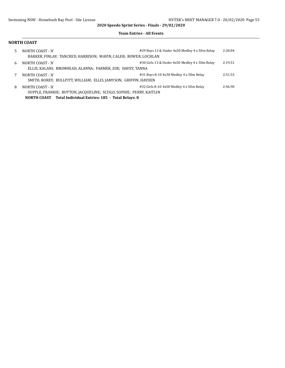#### **Team Entries - All Events**

| 5. | NORTH COAST - 'A'<br>BARKER, FINLAY: TANCRED, HARRISON; MAVIN, CALEB; BOWER, LOCHLAN | #29 Boys 13 & Under 4x50 Medley 4 x 50m Relay  | 2:20.04 |
|----|--------------------------------------------------------------------------------------|------------------------------------------------|---------|
| 6  | NORTH COAST - 'A'                                                                    | #30 Girls 13 & Under 4x50 Medley 4 x 50m Relay | 2:19.51 |
|    | ELLIS, KALANI; BROMHEAD, ALANNA; FARMER, ZOE; DAVEY, TANNA                           |                                                |         |
| 7  | NORTH COAST - 'A'                                                                    | #31 Boys 8-10 4x50 Medley 4 x 50m Relay        | 2:51.53 |
|    | SMITH, ROREY; BULLPITT, WILLIAM; ELLIS, JAMYSON; GRIFFIN, HAYDEN                     |                                                |         |
| 8  | NORTH COAST - 'A'                                                                    | #32 Girls 8-10 4x50 Medley 4 x 50m Relay       | 2:46.90 |
|    | SUPPLE, FRANKIE; BUTTON, JACQUELINE; SCISLO, SOPHIE; PERRY, KAITLIN                  |                                                |         |
|    | NORTH COAST Total Individual Entries: 185 - Total Relays: 8                          |                                                |         |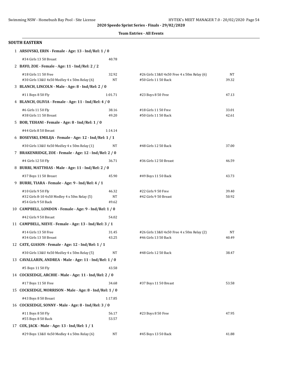|  | <b>Team Entries - All Events</b> |  |  |
|--|----------------------------------|--|--|
|--|----------------------------------|--|--|

| <b>SOUTH EASTERN</b>                                                                      |                      |                                                                    |                |
|-------------------------------------------------------------------------------------------|----------------------|--------------------------------------------------------------------|----------------|
| 1 ARSOVSKI, ERIN - Female - Age: 13 - Ind/Rel: 1 / 0                                      |                      |                                                                    |                |
| #34 Girls 13 50 Breast                                                                    | 40.78                |                                                                    |                |
| 2 BAYO, ZOE - Female - Age: 11 - Ind/Rel: 2 / 2                                           |                      |                                                                    |                |
| #18 Girls 11 50 Free<br>#30 Girls 13&U 4x50 Medley 4 x 50m Relay (6)                      | 32.92<br>NT          | #26 Girls 13&U 4x50 Free 4 x 50m Relay (6)<br>#50 Girls 11 50 Back | NT<br>39.32    |
| 3 BLANCH, LINCOLN - Male - Age: 8 - Ind/Rel: 2 / 0                                        |                      |                                                                    |                |
| #11 Boys 8 50 Fly                                                                         | 1:01.71              | #23 Boys 8 50 Free                                                 | 47.13          |
| 4 BLANCH, OLIVIA - Female - Age: 11 - Ind/Rel: 4 / 0                                      |                      |                                                                    |                |
| #6 Girls 11 50 Fly<br>#38 Girls 11 50 Breast                                              | 38.16<br>49.20       | #18 Girls 11 50 Free<br>#50 Girls 11 50 Back                       | 33.01<br>42.61 |
| 5 BOB, TEHANI - Female - Age: 8 - Ind/Rel: 1 / 0                                          |                      |                                                                    |                |
| #44 Girls 8 50 Breast                                                                     | 1:14.14              |                                                                    |                |
| 6 BOSEVSKI, EMILIJA - Female - Age: 12 - Ind/Rel: 1 / 1                                   |                      |                                                                    |                |
| #30 Girls 13&U 4x50 Medley 4 x 50m Relay (1)                                              | NT                   | #48 Girls 12 50 Back                                               | 37.00          |
| 7 BRAKENRIDGE, ZOE - Female - Age: 12 - Ind/Rel: 2 / 0                                    |                      |                                                                    |                |
| #4 Girls 12 50 Fly                                                                        | 36.71                | #36 Girls 12 50 Breast                                             | 46.59          |
| 8 BURRI, MATTHIAS - Male - Age: 11 - Ind/Rel: 2 / 0                                       |                      |                                                                    |                |
| #37 Boys 11 50 Breast                                                                     | 45.90                | #49 Boys 11 50 Back                                                | 43.73          |
| 9 BURRI, TIARA - Female - Age: 9 - Ind/Rel: 4 / 1                                         |                      |                                                                    |                |
| #10 Girls 9 50 Fly<br>#32 Girls 8-10 4x50 Medley 4 x 50m Relay (5)<br>#54 Girls 9 50 Back | 46.32<br>NT<br>49.62 | #22 Girls 9 50 Free<br>#42 Girls 9 50 Breast                       | 39.40<br>50.92 |
| 10 CAMPBELL, LONDON - Female - Age: 9 - Ind/Rel: 1 / 0                                    |                      |                                                                    |                |
| #42 Girls 9 50 Breast                                                                     | 54.02                |                                                                    |                |
| 11 CAMPBELL, NIEVE - Female - Age: 13 - Ind/Rel: 3 / 1                                    |                      |                                                                    |                |
| #14 Girls 13 50 Free<br>#34 Girls 13 50 Breast                                            | 31.45<br>43.25       | #26 Girls 13&U 4x50 Free 4 x 50m Relay (2)<br>#46 Girls 13 50 Back | NT<br>40.49    |
| 12 CATE, GIASON - Female - Age: 12 - Ind/Rel: 1 / 1                                       |                      |                                                                    |                |
| #30 Girls 13&U 4x50 Medley 4 x 50m Relay (5)                                              | NT                   | #48 Girls 12 50 Back                                               | 38.47          |
| 13 CAVALLARIN, ANDREA - Male - Age: 11 - Ind/Rel: 1 / 0                                   |                      |                                                                    |                |
| #5 Boys 11 50 Fly                                                                         | 43.58                |                                                                    |                |
| 14 COCKSEDGE, ARCHIE - Male - Age: 11 - Ind/Rel: 2 / 0                                    |                      |                                                                    |                |
| #17 Boys 11 50 Free                                                                       | 34.68                | #37 Boys 11 50 Breast                                              | 53.58          |
| 15 COCKSEDGE, MORRISON - Male - Age: 8 - Ind/Rel: 1 / 0                                   |                      |                                                                    |                |
| #43 Boys 8 50 Breast                                                                      | 1:17.85              |                                                                    |                |
| 16 COCKSEDGE, SONNY - Male - Age: 8 - Ind/Rel: 3 / 0                                      |                      |                                                                    |                |
| #11 Boys 8 50 Fly<br>#55 Boys 8 50 Back                                                   | 56.17<br>53.57       | #23 Boys 8 50 Free                                                 | 47.95          |
| 17 COX, JACK - Male - Age: 13 - Ind/Rel: 1 / 1                                            |                      |                                                                    |                |
| #29 Boys 13&U 4x50 Medley 4 x 50m Relay (6)                                               | NT                   | #45 Boys 13 50 Back                                                | 41.88          |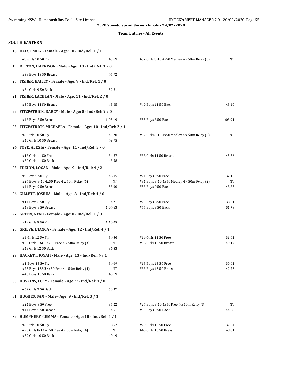|  | <b>Team Entries - All Events</b> |  |  |
|--|----------------------------------|--|--|
|--|----------------------------------|--|--|

| #8 Girls 10 50 Fly                         | 43.69                                                                                                                                                                                                                                                                                                                                                                         | #32 Girls 8-10 4x50 Medley 4 x 50m Relay (3)                                                                                                                                                                                                                                                                                                                                                                                                                                                                                                                                                                                                                                                                                                                                                                                                                                                                                                         | NT                                                                                                                                                                                                                                                             |
|--------------------------------------------|-------------------------------------------------------------------------------------------------------------------------------------------------------------------------------------------------------------------------------------------------------------------------------------------------------------------------------------------------------------------------------|------------------------------------------------------------------------------------------------------------------------------------------------------------------------------------------------------------------------------------------------------------------------------------------------------------------------------------------------------------------------------------------------------------------------------------------------------------------------------------------------------------------------------------------------------------------------------------------------------------------------------------------------------------------------------------------------------------------------------------------------------------------------------------------------------------------------------------------------------------------------------------------------------------------------------------------------------|----------------------------------------------------------------------------------------------------------------------------------------------------------------------------------------------------------------------------------------------------------------|
|                                            |                                                                                                                                                                                                                                                                                                                                                                               |                                                                                                                                                                                                                                                                                                                                                                                                                                                                                                                                                                                                                                                                                                                                                                                                                                                                                                                                                      |                                                                                                                                                                                                                                                                |
|                                            | 45.72                                                                                                                                                                                                                                                                                                                                                                         |                                                                                                                                                                                                                                                                                                                                                                                                                                                                                                                                                                                                                                                                                                                                                                                                                                                                                                                                                      |                                                                                                                                                                                                                                                                |
|                                            |                                                                                                                                                                                                                                                                                                                                                                               |                                                                                                                                                                                                                                                                                                                                                                                                                                                                                                                                                                                                                                                                                                                                                                                                                                                                                                                                                      |                                                                                                                                                                                                                                                                |
|                                            | 52.61                                                                                                                                                                                                                                                                                                                                                                         |                                                                                                                                                                                                                                                                                                                                                                                                                                                                                                                                                                                                                                                                                                                                                                                                                                                                                                                                                      |                                                                                                                                                                                                                                                                |
|                                            |                                                                                                                                                                                                                                                                                                                                                                               |                                                                                                                                                                                                                                                                                                                                                                                                                                                                                                                                                                                                                                                                                                                                                                                                                                                                                                                                                      |                                                                                                                                                                                                                                                                |
|                                            |                                                                                                                                                                                                                                                                                                                                                                               |                                                                                                                                                                                                                                                                                                                                                                                                                                                                                                                                                                                                                                                                                                                                                                                                                                                                                                                                                      | 43.40                                                                                                                                                                                                                                                          |
|                                            |                                                                                                                                                                                                                                                                                                                                                                               |                                                                                                                                                                                                                                                                                                                                                                                                                                                                                                                                                                                                                                                                                                                                                                                                                                                                                                                                                      |                                                                                                                                                                                                                                                                |
|                                            |                                                                                                                                                                                                                                                                                                                                                                               |                                                                                                                                                                                                                                                                                                                                                                                                                                                                                                                                                                                                                                                                                                                                                                                                                                                                                                                                                      | 1:03.91                                                                                                                                                                                                                                                        |
|                                            |                                                                                                                                                                                                                                                                                                                                                                               |                                                                                                                                                                                                                                                                                                                                                                                                                                                                                                                                                                                                                                                                                                                                                                                                                                                                                                                                                      |                                                                                                                                                                                                                                                                |
|                                            |                                                                                                                                                                                                                                                                                                                                                                               |                                                                                                                                                                                                                                                                                                                                                                                                                                                                                                                                                                                                                                                                                                                                                                                                                                                                                                                                                      | NT                                                                                                                                                                                                                                                             |
| #40 Girls 10 50 Breast                     | 49.75                                                                                                                                                                                                                                                                                                                                                                         |                                                                                                                                                                                                                                                                                                                                                                                                                                                                                                                                                                                                                                                                                                                                                                                                                                                                                                                                                      |                                                                                                                                                                                                                                                                |
|                                            |                                                                                                                                                                                                                                                                                                                                                                               |                                                                                                                                                                                                                                                                                                                                                                                                                                                                                                                                                                                                                                                                                                                                                                                                                                                                                                                                                      |                                                                                                                                                                                                                                                                |
| #18 Girls 11 50 Free                       | 34.67                                                                                                                                                                                                                                                                                                                                                                         | #38 Girls 11 50 Breast                                                                                                                                                                                                                                                                                                                                                                                                                                                                                                                                                                                                                                                                                                                                                                                                                                                                                                                               | 45.56                                                                                                                                                                                                                                                          |
| #50 Girls 11 50 Back                       | 43.58                                                                                                                                                                                                                                                                                                                                                                         |                                                                                                                                                                                                                                                                                                                                                                                                                                                                                                                                                                                                                                                                                                                                                                                                                                                                                                                                                      |                                                                                                                                                                                                                                                                |
|                                            |                                                                                                                                                                                                                                                                                                                                                                               |                                                                                                                                                                                                                                                                                                                                                                                                                                                                                                                                                                                                                                                                                                                                                                                                                                                                                                                                                      |                                                                                                                                                                                                                                                                |
| #9 Boys 9 50 Fly                           | 46.05                                                                                                                                                                                                                                                                                                                                                                         | #21 Boys 9 50 Free                                                                                                                                                                                                                                                                                                                                                                                                                                                                                                                                                                                                                                                                                                                                                                                                                                                                                                                                   | 37.10                                                                                                                                                                                                                                                          |
|                                            |                                                                                                                                                                                                                                                                                                                                                                               |                                                                                                                                                                                                                                                                                                                                                                                                                                                                                                                                                                                                                                                                                                                                                                                                                                                                                                                                                      | NT<br>48.85                                                                                                                                                                                                                                                    |
|                                            |                                                                                                                                                                                                                                                                                                                                                                               |                                                                                                                                                                                                                                                                                                                                                                                                                                                                                                                                                                                                                                                                                                                                                                                                                                                                                                                                                      |                                                                                                                                                                                                                                                                |
|                                            |                                                                                                                                                                                                                                                                                                                                                                               |                                                                                                                                                                                                                                                                                                                                                                                                                                                                                                                                                                                                                                                                                                                                                                                                                                                                                                                                                      | 38.51                                                                                                                                                                                                                                                          |
| #43 Boys 8 50 Breast                       | 1:04.63                                                                                                                                                                                                                                                                                                                                                                       | #55 Boys 8 50 Back                                                                                                                                                                                                                                                                                                                                                                                                                                                                                                                                                                                                                                                                                                                                                                                                                                                                                                                                   | 51.79                                                                                                                                                                                                                                                          |
|                                            |                                                                                                                                                                                                                                                                                                                                                                               |                                                                                                                                                                                                                                                                                                                                                                                                                                                                                                                                                                                                                                                                                                                                                                                                                                                                                                                                                      |                                                                                                                                                                                                                                                                |
| #12 Girls 8 50 Fly                         | 1:10.05                                                                                                                                                                                                                                                                                                                                                                       |                                                                                                                                                                                                                                                                                                                                                                                                                                                                                                                                                                                                                                                                                                                                                                                                                                                                                                                                                      |                                                                                                                                                                                                                                                                |
|                                            |                                                                                                                                                                                                                                                                                                                                                                               |                                                                                                                                                                                                                                                                                                                                                                                                                                                                                                                                                                                                                                                                                                                                                                                                                                                                                                                                                      |                                                                                                                                                                                                                                                                |
| #4 Girls 12 50 Fly                         | 34.56                                                                                                                                                                                                                                                                                                                                                                         | #16 Girls 12 50 Free                                                                                                                                                                                                                                                                                                                                                                                                                                                                                                                                                                                                                                                                                                                                                                                                                                                                                                                                 | 31.62                                                                                                                                                                                                                                                          |
| #26 Girls 13&U 4x50 Free 4 x 50m Relay (3) | NT                                                                                                                                                                                                                                                                                                                                                                            | #36 Girls 12 50 Breast                                                                                                                                                                                                                                                                                                                                                                                                                                                                                                                                                                                                                                                                                                                                                                                                                                                                                                                               | 40.17                                                                                                                                                                                                                                                          |
|                                            |                                                                                                                                                                                                                                                                                                                                                                               |                                                                                                                                                                                                                                                                                                                                                                                                                                                                                                                                                                                                                                                                                                                                                                                                                                                                                                                                                      |                                                                                                                                                                                                                                                                |
|                                            |                                                                                                                                                                                                                                                                                                                                                                               |                                                                                                                                                                                                                                                                                                                                                                                                                                                                                                                                                                                                                                                                                                                                                                                                                                                                                                                                                      |                                                                                                                                                                                                                                                                |
|                                            |                                                                                                                                                                                                                                                                                                                                                                               |                                                                                                                                                                                                                                                                                                                                                                                                                                                                                                                                                                                                                                                                                                                                                                                                                                                                                                                                                      | 30.62<br>42.23                                                                                                                                                                                                                                                 |
| #45 Boys 13 50 Back                        | 40.19                                                                                                                                                                                                                                                                                                                                                                         |                                                                                                                                                                                                                                                                                                                                                                                                                                                                                                                                                                                                                                                                                                                                                                                                                                                                                                                                                      |                                                                                                                                                                                                                                                                |
|                                            |                                                                                                                                                                                                                                                                                                                                                                               |                                                                                                                                                                                                                                                                                                                                                                                                                                                                                                                                                                                                                                                                                                                                                                                                                                                                                                                                                      |                                                                                                                                                                                                                                                                |
| #54 Girls 9 50 Back                        | 50.37                                                                                                                                                                                                                                                                                                                                                                         |                                                                                                                                                                                                                                                                                                                                                                                                                                                                                                                                                                                                                                                                                                                                                                                                                                                                                                                                                      |                                                                                                                                                                                                                                                                |
|                                            |                                                                                                                                                                                                                                                                                                                                                                               |                                                                                                                                                                                                                                                                                                                                                                                                                                                                                                                                                                                                                                                                                                                                                                                                                                                                                                                                                      |                                                                                                                                                                                                                                                                |
| #21 Boys 9 50 Free                         | 35.22                                                                                                                                                                                                                                                                                                                                                                         | #27 Boys 8-10 4x50 Free 4 x 50m Relay (3)                                                                                                                                                                                                                                                                                                                                                                                                                                                                                                                                                                                                                                                                                                                                                                                                                                                                                                            | NT                                                                                                                                                                                                                                                             |
| #41 Boys 9 50 Breast                       | 54.51                                                                                                                                                                                                                                                                                                                                                                         | #53 Boys 9 50 Back                                                                                                                                                                                                                                                                                                                                                                                                                                                                                                                                                                                                                                                                                                                                                                                                                                                                                                                                   | 44.58                                                                                                                                                                                                                                                          |
|                                            |                                                                                                                                                                                                                                                                                                                                                                               |                                                                                                                                                                                                                                                                                                                                                                                                                                                                                                                                                                                                                                                                                                                                                                                                                                                                                                                                                      |                                                                                                                                                                                                                                                                |
| #8 Girls 10 50 Fly                         | 38.52                                                                                                                                                                                                                                                                                                                                                                         | #20 Girls 10 50 Free                                                                                                                                                                                                                                                                                                                                                                                                                                                                                                                                                                                                                                                                                                                                                                                                                                                                                                                                 | 32.24                                                                                                                                                                                                                                                          |
| #52 Girls 10 50 Back                       | 40.19                                                                                                                                                                                                                                                                                                                                                                         |                                                                                                                                                                                                                                                                                                                                                                                                                                                                                                                                                                                                                                                                                                                                                                                                                                                                                                                                                      | 48.61                                                                                                                                                                                                                                                          |
|                                            | <b>SOUTH EASTERN</b><br>#33 Boys 13 50 Breast<br>#54 Girls 9 50 Back<br>#37 Boys 11 50 Breast<br>#43 Boys 8 50 Breast<br>#8 Girls 10 50 Fly<br>#27 Boys 8-10 4x50 Free 4 x 50m Relay (6)<br>#41 Boys 9 50 Breast<br>#11 Boys 8 50 Fly<br>#48 Girls 12 50 Back<br>#1 Boys 13 50 Fly<br>#25 Boys 13&U 4x50 Free 4 x 50m Relay (1)<br>#28 Girls 8-10 4x50 Free 4 x 50m Relay (4) | 18 DALY, EMILY - Female - Age: 10 - Ind/Rel: 1 / 1<br>19 DITTON, HARRISON - Male - Age: 13 - Ind/Rel: 1 / 0<br>20 FISHER, BAILEY - Female - Age: 9 - Ind/Rel: 1 / 0<br>21 FISHER, LACHLAN - Male - Age: 11 - Ind/Rel: 2 / 0<br>48.35<br>22 FITZPATRICK, DARCY - Male - Age: 8 - Ind/Rel: 2 / 0<br>1:05.19<br>23 FITZPATRICK, MICHAELA - Female - Age: 10 - Ind/Rel: 2 / 1<br>45.70<br>24 FOYE, ALEXIA - Female - Age: 11 - Ind/Rel: 3 / 0<br>25 FULTON, LOGAN - Male - Age: 9 - Ind/Rel: 4 / 2<br>NT<br>53.00<br>26 GILLETT, JOSHUA - Male - Age: 8 - Ind/Rel: 4 / 0<br>54.71<br>27 GREEN, NYAH - Female - Age: 8 - Ind/Rel: 1 / 0<br>28 GRIEVE, BIANCA - Female - Age: 12 - Ind/Rel: 4 / 1<br>36.53<br>29 HACKETT, JONAH - Male - Age: 13 - Ind/Rel: 4 / 1<br>34.09<br>NT<br>30 HOSKINS, LUCY - Female - Age: 9 - Ind/Rel: 1 / 0<br>31 HUGHES, SAM - Male - Age: 9 - Ind/Rel: 3 / 1<br>32 HUMPHERY, GEMMA - Female - Age: 10 - Ind/Rel: 4 / 1<br>NT | #49 Boys 11 50 Back<br>#55 Boys 8 50 Back<br>#32 Girls 8-10 4x50 Medley 4 x 50m Relay (2)<br>#31 Boys 8-10 4x50 Medley 4 x 50m Relay (2)<br>#53 Boys 9 50 Back<br>#23 Boys 8 50 Free<br>#13 Boys 13 50 Free<br>#33 Boys 13 50 Breast<br>#40 Girls 10 50 Breast |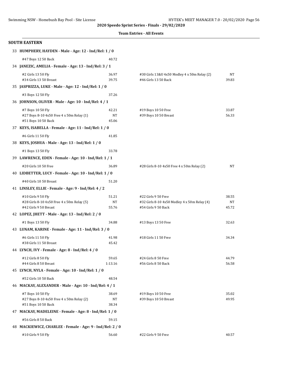|  |  | <b>Team Entries - All Events</b> |
|--|--|----------------------------------|
|--|--|----------------------------------|

| <b>SOUTH EASTERN</b>                                                                      |                      |                                                                                            |                      |
|-------------------------------------------------------------------------------------------|----------------------|--------------------------------------------------------------------------------------------|----------------------|
| 33 HUMPHERY, HAYDEN - Male - Age: 12 - Ind/Rel: 1 / 0                                     |                      |                                                                                            |                      |
| #47 Boys 12 50 Back                                                                       | 40.72                |                                                                                            |                      |
| 34 JANEZIC, AMELIA - Female - Age: 13 - Ind/Rel: 3 / 1                                    |                      |                                                                                            |                      |
| #2 Girls 13 50 Fly<br>#34 Girls 13 50 Breast                                              | 36.97<br>39.75       | #30 Girls 13&U 4x50 Medley 4 x 50m Relay (2)<br>#46 Girls 13 50 Back                       | NT<br>39.83          |
| 35 JASPRIZZA, LUKE - Male - Age: 12 - Ind/Rel: 1 / 0                                      |                      |                                                                                            |                      |
| #3 Boys 12 50 Fly                                                                         | 37.26                |                                                                                            |                      |
| 36 JOHNSON, OLIVER - Male - Age: 10 - Ind/Rel: 4 / 1                                      |                      |                                                                                            |                      |
| #7 Boys 10 50 Fly<br>#27 Boys 8-10 4x50 Free 4 x 50m Relay (1)<br>#51 Boys 10 50 Back     | 42.21<br>NT<br>45.06 | #19 Boys 10 50 Free<br>#39 Boys 10 50 Breast                                               | 33.87<br>56.33       |
| 37 KEYS, ISABELLA - Female - Age: 11 - Ind/Rel: 1 / 0                                     |                      |                                                                                            |                      |
| #6 Girls 11 50 Fly                                                                        | 41.85                |                                                                                            |                      |
| 38 KEYS, JOSHUA - Male - Age: 13 - Ind/Rel: 1 / 0                                         |                      |                                                                                            |                      |
| #1 Boys 13 50 Fly                                                                         | 33.78                |                                                                                            |                      |
| 39 LAWRENCE, EDEN - Female - Age: 10 - Ind/Rel: 1 / 1                                     |                      |                                                                                            |                      |
| #20 Girls 10 50 Free                                                                      | 36.89                | #28 Girls 8-10 4x50 Free 4 x 50m Relay (2)                                                 | NT                   |
| 40 LIDBETTER, LUCY - Female - Age: 10 - Ind/Rel: 1 / 0                                    |                      |                                                                                            |                      |
| #40 Girls 10 50 Breast                                                                    | 51.20                |                                                                                            |                      |
| 41 LINSLEY, ELLIE - Female - Age: 9 - Ind/Rel: 4 / 2                                      |                      |                                                                                            |                      |
| #10 Girls 9 50 Fly<br>#28 Girls 8-10 4x50 Free 4 x 50m Relay (5)<br>#42 Girls 9 50 Breast | 51.21<br>NT<br>55.76 | #22 Girls 9 50 Free<br>#32 Girls 8-10 4x50 Medley 4 x 50m Relay (4)<br>#54 Girls 9 50 Back | 38.55<br>NT<br>45.72 |
| 42 LOPEZ, JHETT - Male - Age: 13 - Ind/Rel: 2 / 0                                         |                      |                                                                                            |                      |
| #1 Boys 13 50 Fly                                                                         | 34.88                | #13 Boys 13 50 Free                                                                        | 32.63                |
| 43 LUNAM, KARINE - Female - Age: 11 - Ind/Rel: 3 / 0                                      |                      |                                                                                            |                      |
| #6 Girls 11 50 Fly<br>#38 Girls 11 50 Breast                                              | 41.98<br>45.42       | #18 Girls 11 50 Free                                                                       | 34.34                |
| 44 LYNCH, IVY - Female - Age: 8 - Ind/Rel: 4 / 0                                          |                      |                                                                                            |                      |
| #12 Girls 8 50 Fly<br>#44 Girls 8 50 Breast                                               | 59.65<br>1:13.16     | #24 Girls 8 50 Free<br>#56 Girls 8 50 Back                                                 | 44.79<br>56.58       |
| 45 LYNCH, NYLA - Female - Age: 10 - Ind/Rel: 1 / 0                                        |                      |                                                                                            |                      |
| #52 Girls 10 50 Back                                                                      | 48.54                |                                                                                            |                      |
| 46 MACKAY, ALEXANDER - Male - Age: 10 - Ind/Rel: 4 / 1                                    |                      |                                                                                            |                      |
| #7 Boys 10 50 Fly<br>#27 Boys 8-10 4x50 Free 4 x 50m Relay (2)<br>#51 Boys 10 50 Back     | 38.69<br>NT<br>38.34 | #19 Boys 10 50 Free<br>#39 Boys 10 50 Breast                                               | 35.02<br>49.95       |
| 47 MACKAY, MADELEINE - Female - Age: 8 - Ind/Rel: 1 / 0                                   |                      |                                                                                            |                      |
| #56 Girls 8 50 Back                                                                       | 59.15                |                                                                                            |                      |
| 48 MACKIEWICZ, CHARLEE - Female - Age: 9 - Ind/Rel: 2 / 0                                 |                      |                                                                                            |                      |
| #10 Girls 9 50 Fly                                                                        | 56.60                | #22 Girls 9 50 Free                                                                        | 40.57                |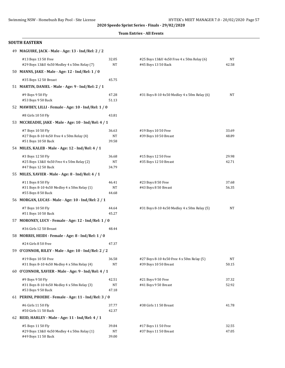#### **Team Entries - All Events**

#### **SOUTH EASTERN**

| 49 MAGUIRE, JACK - Male - Age: 13 - Ind/Rel: 2 / 2                 |             |                                                                  |             |
|--------------------------------------------------------------------|-------------|------------------------------------------------------------------|-------------|
| #13 Boys 13 50 Free<br>#29 Boys 13&U 4x50 Medley 4 x 50m Relay (7) | 32.05<br>NT | #25 Boys 13&U 4x50 Free 4 x 50m Relay (6)<br>#45 Boys 13 50 Back | NT<br>42.58 |
| 50 MANNS, JAKE - Male - Age: 12 - Ind/Rel: 1 / 0                   |             |                                                                  |             |
| #35 Boys 12 50 Breast                                              | 45.75       |                                                                  |             |
| 51 MARTIN, DANIEL - Male - Age: 9 - Ind/Rel: 2 / 1                 |             |                                                                  |             |
| #9 Boys 9 50 Fly                                                   | 47.28       | #31 Boys 8-10 4x50 Medley 4 x 50m Relay (6)                      | NT          |
| #53 Boys 9 50 Back                                                 | 51.13       |                                                                  |             |
| 52 MAWBEY, LILLI - Female - Age: 10 - Ind/Rel: 1 / 0               |             |                                                                  |             |
| #8 Girls 10 50 Fly                                                 | 43.81       |                                                                  |             |
| 53 MCCREADIE, JAKE - Male - Age: 10 - Ind/Rel: 4 / 1               |             |                                                                  |             |
| #7 Boys 10 50 Fly                                                  | 36.63       | #19 Boys 10 50 Free                                              | 33.69       |
| #27 Boys 8-10 4x50 Free 4 x 50m Relay (4)                          | NT          | #39 Boys 10 50 Breast                                            | 48.89       |
| #51 Boys 10 50 Back                                                | 39.58       |                                                                  |             |
| 54 MILES, KALEB - Male - Age: 12 - Ind/Rel: 4 / 1                  |             |                                                                  |             |
| #3 Boys 12 50 Fly                                                  | 36.68       | #15 Boys 12 50 Free                                              | 29.98       |
| #25 Boys 13&U 4x50 Free 4 x 50m Relay (2)                          | NT          | #35 Boys 12 50 Breast                                            | 42.71       |
| #47 Boys 12 50 Back                                                | 34.79       |                                                                  |             |
| 55 MILES, XAVIER - Male - Age: 8 - Ind/Rel: 4 / 1                  |             |                                                                  |             |
| #11 Boys 8 50 Fly                                                  | 46.41       | #23 Boys 8 50 Free                                               | 37.68       |
| #31 Boys 8-10 4x50 Medley 4 x 50m Relay (1)                        | NT          | #43 Boys 8 50 Breast                                             | 56.35       |
| #55 Boys 8 50 Back                                                 | 44.68       |                                                                  |             |
| 56 MORGAN, LUCAS - Male - Age: 10 - Ind/Rel: 2 / 1                 |             |                                                                  |             |
| #7 Boys 10 50 Fly                                                  | 44.64       | #31 Boys 8-10 4x50 Medley 4 x 50m Relay (5)                      | NT          |
| #51 Boys 10 50 Back                                                | 45.27       |                                                                  |             |
| 57 MORONEY, LUCY - Female - Age: 12 - Ind/Rel: 1 / 0               |             |                                                                  |             |
| #36 Girls 12 50 Breast                                             | 48.44       |                                                                  |             |
| 58 MORRIS, HEIDI - Female - Age: 8 - Ind/Rel: 1 / 0                |             |                                                                  |             |
| #24 Girls 8 50 Free                                                | 47.37       |                                                                  |             |
| 59 O'CONNOR, RILEY - Male - Age: 10 - Ind/Rel: 2 / 2               |             |                                                                  |             |
| #19 Boys 10 50 Free                                                | 36.58       | #27 Boys 8-10 4x50 Free 4 x 50m Relay (5)                        | NT          |
| #31 Boys 8-10 4x50 Medley 4 x 50m Relay (4)                        | NT          | #39 Boys 10 50 Breast                                            | 50.15       |
| 60 O'CONNOR, XAVIER - Male - Age: 9 - Ind/Rel: 4 / 1               |             |                                                                  |             |
| #9 Boys 9 50 Fly                                                   | 42.51       | #21 Boys 9 50 Free                                               | 37.32       |
| #31 Boys 8-10 4x50 Medley 4 x 50m Relay (3)                        | NT          | #41 Boys 9 50 Breast                                             | 52.92       |
| #53 Boys 9 50 Back                                                 | 47.18       |                                                                  |             |
| 61 PERINI, PHOEBE - Female - Age: 11 - Ind/Rel: 3 / 0              |             |                                                                  |             |
| #6 Girls 11 50 Fly                                                 | 37.77       | #38 Girls 11 50 Breast                                           | 41.78       |
| #50 Girls 11 50 Back                                               | 42.37       |                                                                  |             |
| 62 REID, HARLEY - Male - Age: 11 - Ind/Rel: 4 / 1                  |             |                                                                  |             |
| #5 Boys 11 50 Fly                                                  | 39.84       | #17 Boys 11 50 Free                                              | 32.55       |
| #29 Boys 13&U 4x50 Medley 4 x 50m Relay (1)                        | NΤ          | #37 Boys 11 50 Breast                                            | 47.05       |
| #49 Boys 11 50 Back                                                | 39.00       |                                                                  |             |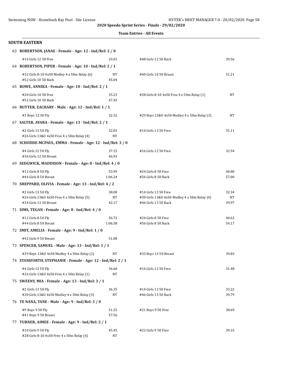#### **Team Entries - All Events**

| <b>SOUTH EASTERN</b>                                                                       |                      |                                                                                              |                      |  |  |  |
|--------------------------------------------------------------------------------------------|----------------------|----------------------------------------------------------------------------------------------|----------------------|--|--|--|
| 63 ROBERTSON, JANAE - Female - Age: 12 - Ind/Rel: 2 / 0                                    |                      |                                                                                              |                      |  |  |  |
| #16 Girls 12 50 Free                                                                       | 33.01                | #48 Girls 12 50 Back                                                                         | 39.56                |  |  |  |
| 64 ROBERTSON, PIPER - Female - Age: 10 - Ind/Rel: 2 / 1                                    |                      |                                                                                              |                      |  |  |  |
| #32 Girls 8-10 4x50 Medley 4 x 50m Relay (6)<br>#52 Girls 10 50 Back                       | NT<br>45.04          | #40 Girls 10 50 Breast                                                                       | 51.21                |  |  |  |
| 65 ROWE, ANNIKA - Female - Age: 10 - Ind/Rel: 2 / 1                                        |                      |                                                                                              |                      |  |  |  |
| #20 Girls 10 50 Free<br>#52 Girls 10 50 Back                                               | 35.23<br>47.45       | #28 Girls 8-10 4x50 Free 4 x 50m Relay (1)                                                   | NT                   |  |  |  |
| 66 RUTTER, ZACHARY - Male - Age: 12 - Ind/Rel: 1 / 1                                       |                      |                                                                                              |                      |  |  |  |
| #3 Boys 12 50 Fly                                                                          | 32.32                | #29 Boys 13&U 4x50 Medley 4 x 50m Relay (3)                                                  | NT                   |  |  |  |
| 67 SALTER, AVARA - Female - Age: 13 - Ind/Rel: 2 / 1                                       |                      |                                                                                              |                      |  |  |  |
| #2 Girls 13 50 Fly<br>#26 Girls 13&U 4x50 Free 4 x 50m Relay (4)                           | 32.03<br>NT          | #14 Girls 13 50 Free                                                                         | 31.11                |  |  |  |
| 68 SCHODDE-MCPAUL, EMMA - Female - Age: 12 - Ind/Rel: 3 / 0                                |                      |                                                                                              |                      |  |  |  |
| #4 Girls 12 50 Fly<br>#36 Girls 12 50 Breast                                               | 37.15<br>46.93       | #16 Girls 12 50 Free                                                                         | 32.94                |  |  |  |
| 69 SEDGWICK, MADDISON - Female - Age: 8 - Ind/Rel: 4 / 0                                   |                      |                                                                                              |                      |  |  |  |
| #12 Girls 8 50 Fly<br>#44 Girls 8 50 Breast                                                | 53.99<br>1:06.24     | #24 Girls 8 50 Free<br>#56 Girls 8 50 Back                                                   | 40.80<br>57.00       |  |  |  |
| 70 SHEPPARD, OLIVIA - Female - Age: 13 - Ind/Rel: 4 / 2                                    |                      |                                                                                              |                      |  |  |  |
| #2 Girls 13 50 Fly<br>#26 Girls 13&U 4x50 Free 4 x 50m Relay (5)<br>#34 Girls 13 50 Breast | 38.00<br>NT<br>42.17 | #14 Girls 13 50 Free<br>#30 Girls 13&U 4x50 Medley 4 x 50m Relay (4)<br>#46 Girls 13 50 Back | 32.34<br>NΤ<br>39.97 |  |  |  |
| 71 SIMS, TEGAN - Female - Age: 8 - Ind/Rel: 4 / 0                                          |                      |                                                                                              |                      |  |  |  |
| #12 Girls 8 50 Fly<br>#44 Girls 8 50 Breast                                                | 56.72<br>1:06.58     | #24 Girls 8 50 Free<br>#56 Girls 8 50 Back                                                   | 40.63<br>54.17       |  |  |  |
| 72 SMIT, AMELIA - Female - Age: 9 - Ind/Rel: 1 / 0                                         |                      |                                                                                              |                      |  |  |  |
| #42 Girls 9 50 Breast                                                                      | 51.08                |                                                                                              |                      |  |  |  |
| 73 SPENCER, SAMUEL - Male - Age: 13 - Ind/Rel: 1 / 1                                       |                      |                                                                                              |                      |  |  |  |
| #29 Boys 13&U 4x50 Medley 4 x 50m Relay (2)                                                | NT                   | #33 Boys 13 50 Breast                                                                        | 39.83                |  |  |  |
| 74 STANIFORTH, STEPHANIE - Female - Age: 12 - Ind/Rel: 2 / 1                               |                      |                                                                                              |                      |  |  |  |
| #4 Girls 12 50 Fly<br>#26 Girls 13&U 4x50 Free 4 x 50m Relay (1)                           | 36.60<br>NT          | #16 Girls 12 50 Free                                                                         | 31.48                |  |  |  |
| 75 SWEENY, MIA - Female - Age: 13 - Ind/Rel: 3 / 1                                         |                      |                                                                                              |                      |  |  |  |
| #2 Girls 13 50 Fly<br>#30 Girls 13&U 4x50 Medley 4 x 50m Relay (3)                         | 36.35<br>NT          | #14 Girls 13 50 Free<br>#46 Girls 13 50 Back                                                 | 33.22<br>39.79       |  |  |  |
| 76 TE NANA, TANE - Male - Age: 9 - Ind/Rel: 3 / 0                                          |                      |                                                                                              |                      |  |  |  |
| #9 Boys 9 50 Fly<br>#41 Boys 9 50 Breast                                                   | 51.25<br>57.56       | #21 Boys 9 50 Free                                                                           | 38.69                |  |  |  |
| 77 TURNER, AIMEE - Female - Age: 9 - Ind/Rel: 2 / 1                                        |                      |                                                                                              |                      |  |  |  |
| #10 Girls 9 50 Fly<br>#28 Girls 8-10 4x50 Free 4 x 50m Relay (6)                           | 45.45<br>NΤ          | #22 Girls 9 50 Free                                                                          | 39.33                |  |  |  |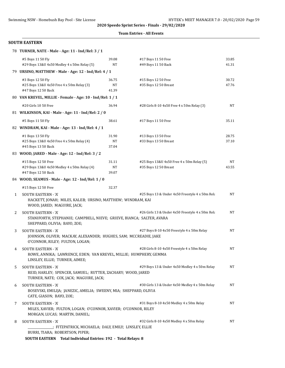#### **Team Entries - All Events**

#### **SOUTH EASTERN**

|              | 78 TURNER, NATE - Male - Age: 11 - Ind/Rel: 3 / 1                                                                                   |       |                                                  |       |
|--------------|-------------------------------------------------------------------------------------------------------------------------------------|-------|--------------------------------------------------|-------|
|              | #5 Boys 11 50 Fly                                                                                                                   | 39.08 | #17 Boys 11 50 Free                              | 33.85 |
|              | #29 Boys 13&U 4x50 Medley 4 x 50m Relay (5)                                                                                         | NT    | #49 Boys 11 50 Back                              | 41.31 |
|              | 79 URSINO, MATTHEW - Male - Age: 12 - Ind/Rel: 4 / 1                                                                                |       |                                                  |       |
|              | #3 Boys 12 50 Fly                                                                                                                   | 36.75 | #15 Boys 12 50 Free                              | 30.72 |
|              | #25 Boys 13&U 4x50 Free 4 x 50m Relay (3)                                                                                           | NT    | #35 Boys 12 50 Breast                            | 47.76 |
|              | #47 Boys 12 50 Back                                                                                                                 | 41.39 |                                                  |       |
|              | 80 VAN KREVEL, MILLIE - Female - Age: 10 - Ind/Rel: 1 / 1                                                                           |       |                                                  |       |
|              | #20 Girls 10 50 Free                                                                                                                | 36.94 | #28 Girls 8-10 4x50 Free 4 x 50m Relay (3)       | NT    |
|              | 81 WILKINSON, KAI - Male - Age: 11 - Ind/Rel: 2 / 0                                                                                 |       |                                                  |       |
|              | #5 Boys 11 50 Fly                                                                                                                   | 38.61 | #17 Boys 11 50 Free                              | 35.11 |
|              | 82 WINDRAM, KAI - Male - Age: 13 - Ind/Rel: 4 / 1                                                                                   |       |                                                  |       |
|              | #1 Boys 13 50 Fly                                                                                                                   | 31.90 | #13 Boys 13 50 Free                              | 28.75 |
|              | #25 Boys 13&U 4x50 Free 4 x 50m Relay (4)                                                                                           | NT    | #33 Boys 13 50 Breast                            | 37.10 |
|              | #45 Boys 13 50 Back                                                                                                                 | 37.04 |                                                  |       |
|              | 83 WOOD, JARED - Male - Age: 12 - Ind/Rel: 3 / 2                                                                                    |       |                                                  |       |
|              | #15 Boys 12 50 Free                                                                                                                 | 31.11 | #25 Boys 13&U 4x50 Free 4 x 50m Relay (5)        | NT    |
|              | #29 Boys 13&U 4x50 Medley 4 x 50m Relay (4)                                                                                         | NT    | #35 Boys 12 50 Breast                            | 43.55 |
|              | #47 Boys 12 50 Back                                                                                                                 | 39.07 |                                                  |       |
|              | 84 WOOD, SEAMUS - Male - Age: 12 - Ind/Rel: 1 / 0                                                                                   |       |                                                  |       |
|              | #15 Boys 12 50 Free                                                                                                                 | 32.37 |                                                  |       |
| $\mathbf{1}$ | <b>SOUTH EASTERN - 'A'</b><br>HACKETT, JONAH; MILES, KALEB; URSINO, MATTHEW; WINDRAM, KAI<br>WOOD, JARED; MAGUIRE, JACK;            |       | #25 Boys 13 & Under 4x50 Freestyle 4 x 50m Rela  | NT    |
| 2            | <b>SOUTH EASTERN - 'A'</b><br>STANIFORTH, STEPHANIE; CAMPBELL, NIEVE; GRIEVE, BIANCA; SALTER, AVARA<br>SHEPPARD, OLIVIA; BAYO, ZOE; |       | #26 Girls 13 & Under 4x50 Freestyle 4 x 50m Rela | NT    |
| 3            | <b>SOUTH EASTERN - 'A'</b>                                                                                                          |       | #27 Boys 8-10 4x50 Freestyle 4 x 50m Relay       | NT    |
|              | JOHNSON, OLIVER; MACKAY, ALEXANDER; HUGHES, SAM; MCCREADIE, JAKE<br>O'CONNOR, RILEY; FULTON, LOGAN;                                 |       |                                                  |       |
| 4            | <b>SOUTH EASTERN - 'A'</b>                                                                                                          |       | #28 Girls 8-10 4x50 Freestyle 4 x 50m Relay      | NT    |
|              | ROWE, ANNIKA; LAWRENCE, EDEN; VAN KREVEL, MILLIE; HUMPHERY, GEMMA<br>LINSLEY, ELLIE; TURNER, AIMEE;                                 |       |                                                  |       |
| 5            | SOUTH EASTERN - 'A'<br>REID, HARLEY; SPENCER, SAMUEL; RUTTER, ZACHARY; WOOD, JARED                                                  |       | #29 Boys 13 & Under 4x50 Medley 4 x 50m Relay    | NT    |
|              | TURNER, NATE; COX, JACK; MAGUIRE, JACK;                                                                                             |       |                                                  |       |
| 6            | <b>SOUTH EASTERN - 'A'</b><br>BOSEVSKI, EMILIJA; JANEZIC, AMELIA; SWEENY, MIA; SHEPPARD, OLIVIA<br>CATE, GIASON; BAYO, ZOE;         |       | #30 Girls 13 & Under 4x50 Medley 4 x 50m Relay   | NT    |
| 7            | SOUTH EASTERN - 'A'                                                                                                                 |       | #31 Boys 8-10 4x50 Medley 4 x 50m Relay          | NT    |
|              | MILES, XAVIER; FULTON, LOGAN; O'CONNOR, XAVIER; O'CONNOR, RILEY<br>MORGAN, LUCAS; MARTIN, DANIEL;                                   |       |                                                  |       |
| 8            | <b>SOUTH EASTERN - 'A'</b>                                                                                                          |       | #32 Girls 8-10 4x50 Medley 4 x 50m Relay         | NT    |
|              | .; FITZPATRICK, MICHAELA; DALY, EMILY; LINSLEY, ELLIE                                                                               |       |                                                  |       |
|              | BURRI, TIARA; ROBERTSON, PIPER;<br>$m \rightarrow m$                                                                                |       |                                                  |       |

**SOUTH EASTERN Total Individual Entries: 192 - Total Relays: 8**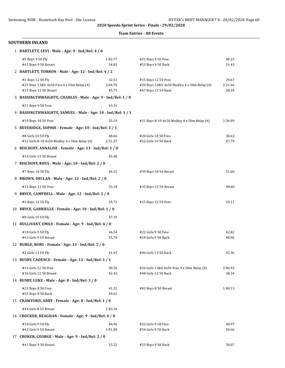#### **Team Entries - All Events**

| 1 BARTLETT, LEVI - Male - Age: 9 - Ind/Rel: 4 / 0            |         |                                             |         |
|--------------------------------------------------------------|---------|---------------------------------------------|---------|
| #9 Boys 9 50 Fly                                             | 1:02.77 | #21 Boys 9 50 Free                          | 40.23   |
| #41 Boys 9 50 Breast                                         | 54.83   | #53 Boys 9 50 Back                          | 51.43   |
| 2 BARTLETT, TORRON - Male - Age: 12 - Ind/Rel: 4 / 2         |         |                                             |         |
| #3 Boys 12 50 Fly                                            | 32.51   | #15 Boys 12 50 Free                         | 29.67   |
| #25 Boys 13&U 4x50 Free 4 x 50m Relay (4)                    | 2:04.70 | #29 Boys 13&U 4x50 Medley 4 x 50m Relay (4) | 2:21.46 |
| #35 Boys 12 50 Breast                                        | 45.75   | #47 Boys 12 50 Back                         | 38.34   |
| 3 BASSINGTHWAIGHTE, CHARLES - Male - Age: 9 - Ind/Rel: 1 / 0 |         |                                             |         |
| #21 Boys 9 50 Free                                           | 43.31   |                                             |         |
| 4 BASSINGTHWAIGHTE, SAMUEL - Male - Age: 10 - Ind/Rel: 1 / 1 |         |                                             |         |
| #19 Boys 10 50 Free                                          | 35.19   | #31 Boys 8-10 4x50 Medley 4 x 50m Relay (4) | 2:36.09 |
| 5 BEVERIDGE, SOPHIE - Female - Age: 10 - Ind/Rel: 3 / 1      |         |                                             |         |
| #8 Girls 10 50 Fly                                           | 48.66   | #20 Girls 10 50 Free                        | 38.63   |
| #32 Girls 8-10 4x50 Medley 4 x 50m Relay (4)                 | 2:51.37 | #52 Girls 10 50 Back                        | 47.79   |
| 6 BISCHOFF, ANNALISE - Female - Age: 13 - Ind/Rel: 1 / 0     |         |                                             |         |
| #34 Girls 13 50 Breast                                       | 45.48   |                                             |         |
| 7 BISCHOFF, RHYS - Male - Age: 10 - Ind/Rel: 2 / 0           |         |                                             |         |
| #7 Boys 10 50 Fly                                            | 46.21   | #39 Boys 10 50 Breast                       | 51.66   |
| 8 BROWN, DECLAN - Male - Age: 12 - Ind/Rel: 2 / 0            |         |                                             |         |
| #15 Boys 12 50 Free                                          | 33.18   | #35 Boys 12 50 Breast                       | 48.60   |
| 9 BRYCE, CAMPBELL - Male - Age: 12 - Ind/Rel: 2 / 0          |         |                                             |         |
| #3 Boys 12 50 Fly                                            | 35.73   | #15 Boys 12 50 Free                         | 33.11   |
| 10 BRYCE, GABRIELLE - Female - Age: 10 - Ind/Rel: 1 / 0      |         |                                             |         |
| #8 Girls 10 50 Fly                                           | 47.35   |                                             |         |
| 11 BULLIVANT, EMILY - Female - Age: 9 - Ind/Rel: 4 / 0       |         |                                             |         |
| #10 Girls 9 50 Fly                                           | 46.54   | #22 Girls 9 50 Free                         | 42.82   |
| #42 Girls 9 50 Breast                                        | 55.78   | #54 Girls 9 50 Back                         | 48.96   |
| 12 BURGE, RORY - Female - Age: 13 - Ind/Rel: 2 / 0           |         |                                             |         |
| #2 Girls 13 50 Fly                                           | 41.47   | #46 Girls 13 50 Back                        | 42.36   |
| 13 BUSBY, CADENCE - Female - Age: 12 - Ind/Rel: 3 / 1        |         |                                             |         |
| #16 Girls 12 50 Free                                         | 30.56   | #26 Girls 13&U 4x50 Free 4 x 50m Relay (4)  | 2:06.92 |
| #36 Girls 12 50 Breast                                       | 42.43   | #48 Girls 12 50 Back                        | 38.34   |
| 14 BUSBY, LUKE - Male - Age: 8 - Ind/Rel: 3 / 0              |         |                                             |         |
| #23 Boys 8 50 Free                                           | 41.22   | #43 Boys 8 50 Breast                        | 1:00.13 |
| #55 Boys 8 50 Back                                           | 49.61   |                                             |         |
| 15 CRAWFORD, ABBY - Female - Age: 8 - Ind/Rel: 1 / 0         |         |                                             |         |
| #44 Girls 8 50 Breast                                        | 1:03.16 |                                             |         |
| 16 CROCKER, REAGHAN - Female - Age: 9 - Ind/Rel: 4 / 0       |         |                                             |         |
| #10 Girls 9 50 Fly                                           | 46.96   | #22 Girls 9 50 Free                         | 40.97   |
| #42 Girls 9 50 Breast                                        | 1:01.09 | #54 Girls 9 50 Back                         | 50.66   |
| 17 CROKER, GEORGE - Male - Age: 9 - Ind/Rel: 2 / 0           |         |                                             |         |
| #41 Boys 9 50 Breast                                         | 53.22   | #53 Boys 9 50 Back                          | 50.07   |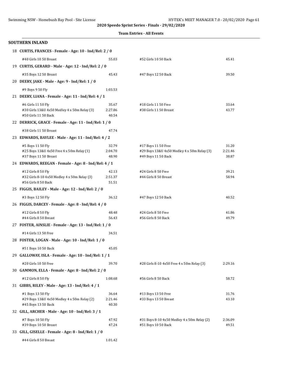|  | <b>Team Entries - All Events</b> |  |  |
|--|----------------------------------|--|--|
|--|----------------------------------|--|--|

| <b>SOUTHERN INLAND</b>                                                                     |                           |                                                                                           |                           |
|--------------------------------------------------------------------------------------------|---------------------------|-------------------------------------------------------------------------------------------|---------------------------|
| 18 CURTIS, FRANCES - Female - Age: 10 - Ind/Rel: 2 / 0                                     |                           |                                                                                           |                           |
| #40 Girls 10 50 Breast                                                                     | 55.03                     | #52 Girls 10 50 Back                                                                      | 45.41                     |
| 19 CURTIS, GERARD - Male - Age: 12 - Ind/Rel: 2 / 0                                        |                           |                                                                                           |                           |
| #35 Boys 12 50 Breast                                                                      | 45.43                     | #47 Boys 12 50 Back                                                                       | 39.50                     |
| 20 DEERY, JAKE - Male - Age: 9 - Ind/Rel: 1 / 0                                            |                           |                                                                                           |                           |
| #9 Boys 9 50 Fly                                                                           | 1:03.53                   |                                                                                           |                           |
| 21 DEERY, LIANA - Female - Age: 11 - Ind/Rel: 4 / 1                                        |                           |                                                                                           |                           |
| #6 Girls 11 50 Fly<br>#30 Girls 13&U 4x50 Medley 4 x 50m Relay (3)<br>#50 Girls 11 50 Back | 35.67<br>2:27.86<br>40.54 | #18 Girls 11 50 Free<br>#38 Girls 11 50 Breast                                            | 33.64<br>43.77            |
| 22 DERRICK, GRACE - Female - Age: 11 - Ind/Rel: 1 / 0                                      |                           |                                                                                           |                           |
| #38 Girls 11 50 Breast                                                                     | 47.74                     |                                                                                           |                           |
| 23 EDWARDS, BAYLEE - Male - Age: 11 - Ind/Rel: 4 / 2                                       |                           |                                                                                           |                           |
| #5 Boys 11 50 Fly<br>#25 Boys 13&U 4x50 Free 4 x 50m Relay (1)<br>#37 Boys 11 50 Breast    | 32.79<br>2:04.70<br>48.90 | #17 Boys 11 50 Free<br>#29 Boys 13&U 4x50 Medley 4 x 50m Relay (3)<br>#49 Boys 11 50 Back | 31.20<br>2:21.46<br>38.87 |
| 24 EDWARDS, REEGAN - Female - Age: 8 - Ind/Rel: 4 / 1                                      |                           |                                                                                           |                           |
| #12 Girls 8 50 Fly<br>#32 Girls 8-10 4x50 Medley 4 x 50m Relay (3)<br>#56 Girls 8 50 Back  | 42.13<br>2:51.37<br>51.51 | #24 Girls 8 50 Free<br>#44 Girls 8 50 Breast                                              | 39.21<br>58.94            |
| 25 FIGGIS, BAILEY - Male - Age: 12 - Ind/Rel: 2 / 0                                        |                           |                                                                                           |                           |
| #3 Boys 12 50 Fly                                                                          | 36.12                     | #47 Boys 12 50 Back                                                                       | 40.52                     |
| 26 FIGGIS, DARCEY - Female - Age: 8 - Ind/Rel: 4 / 0                                       |                           |                                                                                           |                           |
| #12 Girls 8 50 Fly                                                                         | 48.48                     | #24 Girls 8 50 Free                                                                       | 41.86                     |
| #44 Girls 8 50 Breast                                                                      | 56.43                     | #56 Girls 8 50 Back                                                                       | 49.79                     |
| 27 FOSTER, AINSLIE - Female - Age: 13 - Ind/Rel: 1 / 0                                     |                           |                                                                                           |                           |
| #14 Girls 13 50 Free                                                                       | 34.51                     |                                                                                           |                           |
| 28 FOSTER, LOGAN - Male - Age: 10 - Ind/Rel: 1 / 0                                         |                           |                                                                                           |                           |
| #51 Boys 10 50 Back                                                                        | 45.05                     |                                                                                           |                           |
| 29 GALLOWAY, ISLA - Female - Age: 10 - Ind/Rel: 1 / 1                                      |                           |                                                                                           |                           |
| #20 Girls 10 50 Free                                                                       | 39.70                     | #28 Girls 8-10 4x50 Free 4 x 50m Relay (3)                                                | 2:29.16                   |
| 30 GAMMON, ELLA - Female - Age: 8 - Ind/Rel: 2 / 0                                         |                           |                                                                                           |                           |
| #12 Girls 8 50 Fly                                                                         | 1:08.68                   | #56 Girls 8 50 Back                                                                       | 58.72                     |
| 31 GIBBS, RILEY - Male - Age: 13 - Ind/Rel: 4 / 1                                          |                           |                                                                                           |                           |
| #1 Boys 13 50 Fly<br>#29 Boys 13&U 4x50 Medley 4 x 50m Relay (2)<br>#45 Boys 13 50 Back    | 36.64<br>2:21.46<br>40.30 | #13 Boys 13 50 Free<br>#33 Boys 13 50 Breast                                              | 31.76<br>43.10            |
| 32 GILL, ARCHER - Male - Age: 10 - Ind/Rel: 3 / 1                                          |                           |                                                                                           |                           |
| #7 Boys 10 50 Fly<br>#39 Boys 10 50 Breast                                                 | 47.92<br>47.24            | #31 Boys 8-10 4x50 Medley 4 x 50m Relay (2)<br>#51 Boys 10 50 Back                        | 2:36.09<br>49.51          |
| 33 GILL, GISELLE - Female - Age: 8 - Ind/Rel: 1 / 0                                        |                           |                                                                                           |                           |
| #44 Girls 8 50 Breast                                                                      | 1:01.42                   |                                                                                           |                           |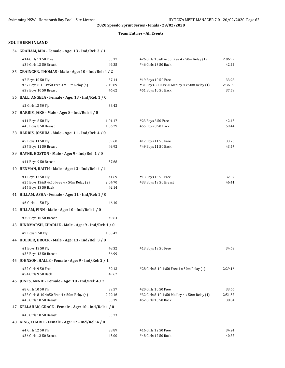#### **Team Entries - All Events**

| 34 GRAHAM, MIA - Female - Age: 13 - Ind/Rel: 3 / 1                                         |                           |                                                                                              |                           |
|--------------------------------------------------------------------------------------------|---------------------------|----------------------------------------------------------------------------------------------|---------------------------|
| #14 Girls 13 50 Free<br>#34 Girls 13 50 Breast                                             | 33.17<br>49.35            | #26 Girls 13&U 4x50 Free 4 x 50m Relay (1)<br>#46 Girls 13 50 Back                           | 2:06.92<br>42.22          |
| 35 GRAINGER, THOMAS - Male - Age: 10 - Ind/Rel: 4 / 2                                      |                           |                                                                                              |                           |
| #7 Boys 10 50 Fly<br>#27 Boys 8-10 4x50 Free 4 x 50m Relay (4)<br>#39 Boys 10 50 Breast    | 37.14<br>2:19.89<br>46.62 | #19 Boys 10 50 Free<br>#31 Boys 8-10 4x50 Medley 4 x 50m Relay (1)<br>#51 Boys 10 50 Back    | 33.98<br>2:36.09<br>37.59 |
| 36 HALL, ANGELA - Female - Age: 13 - Ind/Rel: 1 / 0                                        |                           |                                                                                              |                           |
| #2 Girls 13 50 Fly                                                                         | 38.42                     |                                                                                              |                           |
| 37 HARRIS, JAKE - Male - Age: 8 - Ind/Rel: 4 / 0                                           |                           |                                                                                              |                           |
| #11 Boys 8 50 Fly<br>#43 Boys 8 50 Breast                                                  | 1:01.17<br>1:06.29        | #23 Boys 8 50 Free<br>#55 Boys 8 50 Back                                                     | 42.45<br>59.44            |
| 38 HARRIS, JOSHUA - Male - Age: 11 - Ind/Rel: 4 / 0                                        |                           |                                                                                              |                           |
| #5 Boys 11 50 Fly<br>#37 Boys 11 50 Breast                                                 | 39.60<br>49.92            | #17 Boys 11 50 Free<br>#49 Boys 11 50 Back                                                   | 33.73<br>43.47            |
| 39 HAYNE, BOSTON - Male - Age: 9 - Ind/Rel: 1 / 0                                          |                           |                                                                                              |                           |
| #41 Boys 9 50 Breast<br>40 HENMAN, RAITH - Male - Age: 13 - Ind/Rel: 4 / 1                 | 57.68                     |                                                                                              |                           |
| #1 Boys 13 50 Fly<br>#25 Boys 13&U 4x50 Free 4 x 50m Relay (2)<br>#45 Boys 13 50 Back      | 41.69<br>2:04.70<br>42.14 | #13 Boys 13 50 Free<br>#33 Boys 13 50 Breast                                                 | 32.07<br>46.41            |
| 41 HILLAM, ASHA - Female - Age: 11 - Ind/Rel: 1 / 0                                        |                           |                                                                                              |                           |
| #6 Girls 11 50 Fly                                                                         | 46.10                     |                                                                                              |                           |
| 42 HILLAM, FINN - Male - Age: 10 - Ind/Rel: 1 / 0                                          |                           |                                                                                              |                           |
| #39 Boys 10 50 Breast                                                                      | 49.64                     |                                                                                              |                           |
| 43 HINDMARSH, CHARLIE - Male - Age: 9 - Ind/Rel: 1 / 0                                     |                           |                                                                                              |                           |
| #9 Boys 9 50 Fly                                                                           | 1:00.47                   |                                                                                              |                           |
| 44 HOLDER, BROCK - Male - Age: 13 - Ind/Rel: 3 / 0                                         |                           |                                                                                              |                           |
| #1 Boys 13 50 Fly<br>#33 Boys 13 50 Breast                                                 | 48.32<br>56.99            | #13 Boys 13 50 Free                                                                          | 34.63                     |
| 45 JOHNSON, HALLE - Female - Age: 9 - Ind/Rel: 2 / 1                                       |                           |                                                                                              |                           |
| #22 Girls 9 50 Free<br>#54 Girls 9 50 Back                                                 | 39.13<br>49.62            | #28 Girls 8-10 4x50 Free 4 x 50m Relay (1)                                                   | 2:29.16                   |
| 46 JONES, ANNIE - Female - Age: 10 - Ind/Rel: 4 / 2                                        |                           |                                                                                              |                           |
| #8 Girls 10 50 Fly<br>#28 Girls 8-10 4x50 Free 4 x 50m Relay (4)<br>#40 Girls 10 50 Breast | 39.57<br>2:29.16<br>50.39 | #20 Girls 10 50 Free<br>#32 Girls 8-10 4x50 Medley 4 x 50m Relay (1)<br>#52 Girls 10 50 Back | 33.66<br>2:51.37<br>38.84 |
| 47 KELLAHAN, GRACE - Female - Age: 10 - Ind/Rel: 1 / 0                                     |                           |                                                                                              |                           |
| #40 Girls 10 50 Breast                                                                     | 53.73                     |                                                                                              |                           |
| 48 KING, CHARLI - Female - Age: 12 - Ind/Rel: 4 / 0                                        |                           |                                                                                              |                           |
| #4 Girls 12 50 Fly<br>#36 Girls 12 50 Breast                                               | 38.89<br>45.00            | #16 Girls 12 50 Free<br>#48 Girls 12 50 Back                                                 | 34.24<br>40.87            |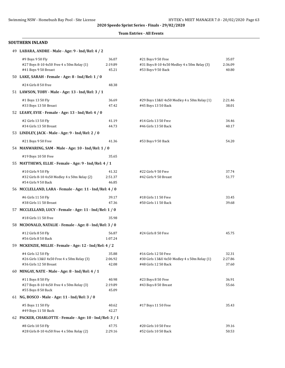#### **Team Entries - All Events**

| 49 LABARA, ANDRE - Male - Age: 9 - Ind/Rel: 4 / 2 |
|---------------------------------------------------|
|---------------------------------------------------|

| #9 Boys 9 50 Fly<br>#27 Boys 8-10 4x50 Free 4 x 50m Relay (1)<br>#41 Boys 9 50 Breast | 36.07<br>2:19.89<br>45.21 | #21 Boys 9 50 Free<br>#31 Boys 8-10 4x50 Medley 4 x 50m Relay (3)<br>#53 Boys 9 50 Back | 35.07<br>2:36.09<br>40.80 |
|---------------------------------------------------------------------------------------|---------------------------|-----------------------------------------------------------------------------------------|---------------------------|
| 50 LAKE, SARAH - Female - Age: 8 - Ind/Rel: 1 / 0                                     |                           |                                                                                         |                           |
| #24 Girls 8 50 Free                                                                   | 48.38                     |                                                                                         |                           |
| 51 LAWSON, TOBY - Male - Age: 13 - Ind/Rel: 3 / 1                                     |                           |                                                                                         |                           |
| #1 Boys 13 50 Fly                                                                     | 36.69                     | #29 Boys 13&U 4x50 Medley 4 x 50m Relay (1)                                             | 2:21.46                   |
| #33 Boys 13 50 Breast                                                                 | 47.42                     | #45 Boys 13 50 Back                                                                     | 38.01                     |
| 52 LEAHY, EVIE - Female - Age: 13 - Ind/Rel: 4 / 0                                    |                           |                                                                                         |                           |
| #2 Girls 13 50 Fly                                                                    | 41.19                     | #14 Girls 13 50 Free                                                                    | 34.46                     |
| #34 Girls 13 50 Breast                                                                | 44.73                     | #46 Girls 13 50 Back                                                                    | 40.17                     |
| 53 LINDLEY, JACK - Male - Age: 9 - Ind/Rel: 2 / 0                                     |                           |                                                                                         |                           |
| #21 Boys 9 50 Free                                                                    | 41.36                     | #53 Boys 9 50 Back                                                                      | 54.20                     |
| 54 MANWARING, SAM - Male - Age: 10 - Ind/Rel: 1 / 0                                   |                           |                                                                                         |                           |
| #19 Boys 10 50 Free                                                                   | 35.65                     |                                                                                         |                           |
| 55 MATTHEWS, ELLIE - Female - Age: 9 - Ind/Rel: 4 / 1                                 |                           |                                                                                         |                           |
| #10 Girls 9 50 Fly                                                                    | 41.32                     | #22 Girls 9 50 Free                                                                     | 37.74                     |
| #32 Girls 8-10 4x50 Medley 4 x 50m Relay (2)                                          | 2:51.37                   | #42 Girls 9 50 Breast                                                                   | 51.77                     |
| #54 Girls 9 50 Back                                                                   | 46.85                     |                                                                                         |                           |
| 56 MCCLELLAND, LARA - Female - Age: 11 - Ind/Rel: 4 / 0                               |                           |                                                                                         |                           |
| #6 Girls 11 50 Fly                                                                    | 39.17                     | #18 Girls 11 50 Free                                                                    | 33.45                     |
| #38 Girls 11 50 Breast                                                                | 47.36                     | #50 Girls 11 50 Back                                                                    | 39.68                     |
| 57 MCCLELLAND, LUCY - Female - Age: 11 - Ind/Rel: 1 / 0                               |                           |                                                                                         |                           |
| #18 Girls 11 50 Free                                                                  | 35.98                     |                                                                                         |                           |
| 58 MCDONALD, NATALIE - Female - Age: 8 - Ind/Rel: 3 / 0                               |                           |                                                                                         |                           |
| #12 Girls 8 50 Fly                                                                    | 56.87                     | #24 Girls 8 50 Free                                                                     | 45.75                     |
| #56 Girls 8 50 Back                                                                   | 1:07.24                   |                                                                                         |                           |
| 59 MCKENZIE, MILLIE - Female - Age: 12 - Ind/Rel: 4 / 2                               |                           |                                                                                         |                           |
| #4 Girls 12 50 Fly                                                                    | 35.88                     | #16 Girls 12 50 Free                                                                    | 32.31                     |
| #26 Girls 13&U 4x50 Free 4 x 50m Relay (3)<br>#36 Girls 12 50 Breast                  | 2:06.92<br>42.08          | #30 Girls 13&U 4x50 Medley 4 x 50m Relay (1)<br>#48 Girls 12 50 Back                    | 2:27.86<br>37.60          |
| 60 MINGAY, NATE - Male - Age: 8 - Ind/Rel: 4 / 1                                      |                           |                                                                                         |                           |
|                                                                                       |                           |                                                                                         |                           |
| #11 Boys 8 50 Fly<br>#27 Boys 8-10 4x50 Free 4 x 50m Relay (3)                        | 40.98<br>2:19.89          | #23 Boys 8 50 Free<br>#43 Boys 8 50 Breast                                              | 36.91<br>55.66            |
| #55 Boys 8 50 Back                                                                    | 45.09                     |                                                                                         |                           |
| 61 NG, BOSCO - Male - Age: 11 - Ind/Rel: 3 / 0                                        |                           |                                                                                         |                           |
| #5 Boys 11 50 Fly                                                                     | 40.62                     | #17 Boys 11 50 Free                                                                     | 35.43                     |
| #49 Boys 11 50 Back                                                                   | 42.27                     |                                                                                         |                           |
| 62 PACKER, CHARLOTTE - Female - Age: 10 - Ind/Rel: 3 / 1                              |                           |                                                                                         |                           |
| #8 Girls 10 50 Fly                                                                    | 47.75                     | #20 Girls 10 50 Free                                                                    | 39.16                     |
| #28 Girls 8-10 4x50 Free 4 x 50m Relay (2)                                            | 2:29.16                   | #52 Girls 10 50 Back                                                                    | 50.53                     |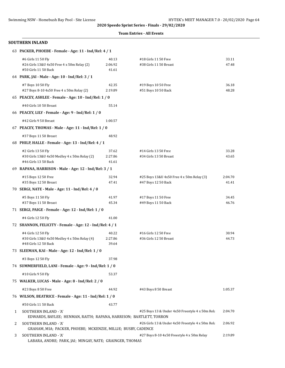#### **Team Entries - All Events**

|   | 63 PACKER, PHOEBE - Female - Age: 11 - Ind/Rel: 4 / 1                                         |                           |                                                                  |                  |
|---|-----------------------------------------------------------------------------------------------|---------------------------|------------------------------------------------------------------|------------------|
|   | #6 Girls 11 50 Fly<br>#26 Girls 13&U 4x50 Free 4 x 50m Relay (2)<br>#50 Girls 11 50 Back      | 40.13<br>2:06.92<br>41.61 | #18 Girls 11 50 Free<br>#38 Girls 11 50 Breast                   | 33.11<br>47.48   |
|   | 64 PARK, JAI - Male - Age: 10 - Ind/Rel: 3 / 1                                                |                           |                                                                  |                  |
|   | #7 Boys 10 50 Fly<br>#27 Boys 8-10 4x50 Free 4 x 50m Relay (2)                                | 42.35<br>2:19.89          | #19 Boys 10 50 Free<br>#51 Boys 10 50 Back                       | 36.18<br>48.28   |
|   | 65 PEACEY, ASHLEE - Female - Age: 10 - Ind/Rel: 1 / 0                                         |                           |                                                                  |                  |
|   | #40 Girls 10 50 Breast                                                                        | 55.14                     |                                                                  |                  |
|   | 66 PEACEY, LILY - Female - Age: 9 - Ind/Rel: 1 / 0                                            |                           |                                                                  |                  |
|   | #42 Girls 9 50 Breast                                                                         | 1:00.57                   |                                                                  |                  |
|   | 67 PEACEY, THOMAS - Male - Age: 11 - Ind/Rel: 1 / 0                                           |                           |                                                                  |                  |
|   | #37 Boys 11 50 Breast                                                                         | 48.92                     |                                                                  |                  |
|   | 68 PHILP, HALLE - Female - Age: 13 - Ind/Rel: 4 / 1                                           |                           |                                                                  |                  |
|   | #2 Girls 13 50 Fly<br>#30 Girls 13&U 4x50 Medley 4 x 50m Relay (2)<br>#46 Girls 13 50 Back    | 37.62<br>2:27.86<br>41.61 | #14 Girls 13 50 Free<br>#34 Girls 13 50 Breast                   | 33.28<br>43.65   |
|   | 69 RAPANA, HARRISON - Male - Age: 12 - Ind/Rel: 3 / 1                                         |                           |                                                                  |                  |
|   | #15 Boys 12 50 Free<br>#35 Boys 12 50 Breast                                                  | 32.94<br>47.41            | #25 Boys 13&U 4x50 Free 4 x 50m Relay (3)<br>#47 Boys 12 50 Back | 2:04.70<br>41.41 |
|   | 70 SERGI, NATE - Male - Age: 11 - Ind/Rel: 4 / 0                                              |                           |                                                                  |                  |
|   | #5 Boys 11 50 Fly<br>#37 Boys 11 50 Breast                                                    | 41.97<br>45.34            | #17 Boys 11 50 Free<br>#49 Boys 11 50 Back                       | 34.45<br>46.76   |
|   | 71 SERGI, PAIGE - Female - Age: 12 - Ind/Rel: 1 / 0                                           |                           |                                                                  |                  |
|   | #4 Girls 12 50 Fly                                                                            | 41.00                     |                                                                  |                  |
|   | 72 SHANNON, FELICITY - Female - Age: 12 - Ind/Rel: 4 / 1                                      |                           |                                                                  |                  |
|   | #4 Girls 12 50 Fly<br>#30 Girls 13&U 4x50 Medley 4 x 50m Relay (4)<br>#48 Girls 12 50 Back    | 40.22<br>2:27.86<br>39.64 | #16 Girls 12 50 Free<br>#36 Girls 12 50 Breast                   | 30.94<br>44.73   |
|   | 73 SLEEMAN, KAI - Male - Age: 12 - Ind/Rel: 1 / 0                                             |                           |                                                                  |                  |
|   | #3 Boys 12 50 Fly                                                                             | 37.98                     |                                                                  |                  |
|   | 74 SUMMERFIELD, LANI - Female - Age: 9 - Ind/Rel: 1 / 0                                       |                           |                                                                  |                  |
|   | #10 Girls 9 50 Fly                                                                            | 53.37                     |                                                                  |                  |
|   | 75 WALKER, LUCAS - Male - Age: 8 - Ind/Rel: 2 / 0                                             |                           |                                                                  |                  |
|   | #23 Boys 8 50 Free                                                                            | 44.92                     | #43 Boys 8 50 Breast                                             | 1:05.37          |
|   | 76 WILSON, BEATRICE - Female - Age: 11 - Ind/Rel: 1 / 0                                       |                           |                                                                  |                  |
|   | #50 Girls 11 50 Back                                                                          | 43.77                     |                                                                  |                  |
| 1 | SOUTHERN INLAND - 'A'<br>EDWARDS, BAYLEE; HENMAN, RAITH; RAPANA, HARRISON; BARTLETT, TORRON   |                           | #25 Boys 13 & Under 4x50 Freestyle 4 x 50m Rela                  | 2:04.70          |
| 2 | <b>SOUTHERN INLAND - 'A'</b><br>GRAHAM, MIA; PACKER, PHOEBE; MCKENZIE, MILLIE; BUSBY, CADENCE |                           | #26 Girls 13 & Under 4x50 Freestyle 4 x 50m Rela                 | 2:06.92          |
| 3 | SOUTHERN INLAND - 'A'<br>LABARA, ANDRE; PARK, JAI; MINGAY, NATE; GRAINGER, THOMAS             |                           | #27 Boys 8-10 4x50 Freestyle 4 x 50m Relay                       | 2:19.89          |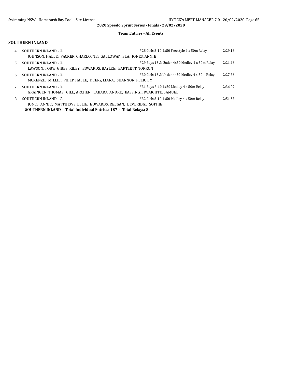#### **Team Entries - All Events**

| 4  | SOUTHERN INLAND - 'A'<br>JOHNSON, HALLE; PACKER, CHARLOTTE; GALLOWAY, ISLA; JONES, ANNIE                                                                             | #28 Girls 8-10 4x50 Freestyle 4 x 50m Relay    | 2:29.16 |
|----|----------------------------------------------------------------------------------------------------------------------------------------------------------------------|------------------------------------------------|---------|
| 5. | SOUTHERN INLAND - 'A'<br>LAWSON, TOBY; GIBBS, RILEY; EDWARDS, BAYLEE; BARTLETT, TORRON                                                                               | #29 Boys 13 & Under 4x50 Medley 4 x 50m Relay  | 2:21.46 |
| 6  | SOUTHERN INLAND - 'A'<br>MCKENZIE, MILLIE; PHILP, HALLE; DEERY, LIANA; SHANNON, FELICITY                                                                             | #30 Girls 13 & Under 4x50 Medley 4 x 50m Relay | 2:27.86 |
|    | SOUTHERN INLAND - 'A'<br>GRAINGER, THOMAS; GILL, ARCHER; LABARA, ANDRE; BASSINGTHWAIGHTE, SAMUEL                                                                     | #31 Boys 8-10 4x50 Medley 4 x 50m Relay        | 2:36.09 |
| 8  | SOUTHERN INLAND - 'A'<br>JONES, ANNIE; MATTHEWS, ELLIE; EDWARDS, REEGAN; BEVERIDGE, SOPHIE<br><b>SOUTHERN INLAND</b> Total Individual Entries: 187 - Total Relays: 8 | #32 Girls 8-10 4x50 Medley 4 x 50m Relay       | 2:51.37 |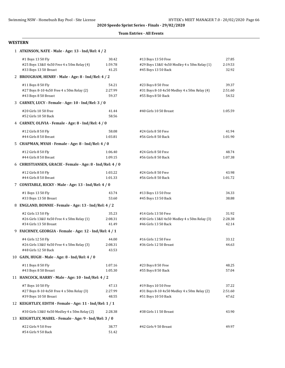#### **Team Entries - All Events**

#### **WESTERN**

| 1 ATKINSON, NATE - Male - Age: 13 - Ind/Rel: 4 / 2        |         |                                              |         |  |
|-----------------------------------------------------------|---------|----------------------------------------------|---------|--|
| #1 Boys 13 50 Fly                                         | 30.42   | #13 Boys 13 50 Free                          | 27.85   |  |
| #25 Boys 13&U 4x50 Free 4 x 50m Relay (4)                 | 1:59.78 | #29 Boys 13&U 4x50 Medley 4 x 50m Relay (1)  | 2:19.53 |  |
| #33 Boys 13 50 Breast                                     | 41.25   | #45 Boys 13 50 Back                          | 32.92   |  |
| 2 BROUGHAM, HENRY - Male - Age: 8 - Ind/Rel: 4 / 2        |         |                                              |         |  |
| #11 Boys 8 50 Fly                                         | 54.21   | #23 Boys 8 50 Free                           | 39.37   |  |
| #27 Boys 8-10 4x50 Free 4 x 50m Relay (2)                 | 2:27.99 | #31 Boys 8-10 4x50 Medley 4 x 50m Relay (4)  | 2:51.60 |  |
| #43 Boys 8 50 Breast                                      | 59.37   | #55 Boys 8 50 Back                           | 54.52   |  |
| 3 CARNEY, LUCY - Female - Age: 10 - Ind/Rel: 3 / 0        |         |                                              |         |  |
| #20 Girls 10 50 Free                                      | 41.44   | #40 Girls 10 50 Breast                       | 1:05.59 |  |
| #52 Girls 10 50 Back                                      | 58.56   |                                              |         |  |
| 4 CARNEY, OLIVIA - Female - Age: 8 - Ind/Rel: 4 / 0       |         |                                              |         |  |
| #12 Girls 8 50 Fly                                        | 58.08   | #24 Girls 8 50 Free                          | 41.94   |  |
| #44 Girls 8 50 Breast                                     | 1:03.81 | #56 Girls 8 50 Back                          | 1:01.90 |  |
| 5 CHAPMAN, MYAH - Female - Age: 8 - Ind/Rel: 4 / 0        |         |                                              |         |  |
| #12 Girls 8 50 Fly                                        | 1:06.40 | #24 Girls 8 50 Free                          | 48.74   |  |
| #44 Girls 8 50 Breast                                     | 1:09.15 | #56 Girls 8 50 Back                          | 1:07.38 |  |
| 6 CHRISTIANSEN, GRACIE - Female - Age: 8 - Ind/Rel: 4 / 0 |         |                                              |         |  |
| #12 Girls 8 50 Fly                                        | 1:03.22 | #24 Girls 8 50 Free                          | 43.98   |  |
| #44 Girls 8 50 Breast                                     | 1:01.33 | #56 Girls 8 50 Back                          | 1:01.72 |  |
| 7 CONSTABLE, RICKY - Male - Age: 13 - Ind/Rel: 4 / 0      |         |                                              |         |  |
| #1 Boys 13 50 Fly                                         | 43.74   | #13 Boys 13 50 Free                          | 34.33   |  |
| #33 Boys 13 50 Breast                                     | 53.60   | #45 Boys 13 50 Back                          | 38.88   |  |
| 8 ENGLAND, BONNIE - Female - Age: 13 - Ind/Rel: 4 / 2     |         |                                              |         |  |
| #2 Girls 13 50 Fly                                        | 35.23   | #14 Girls 13 50 Free                         | 31.92   |  |
| #26 Girls 13&U 4x50 Free 4 x 50m Relay (1)                | 2:08.31 | #30 Girls 13&U 4x50 Medley 4 x 50m Relay (3) | 2:28.38 |  |
| #34 Girls 13 50 Breast                                    | 41.49   | #46 Girls 13 50 Back                         | 42.14   |  |
| 9 FAICHNEY, GEORGIA - Female - Age: 12 - Ind/Rel: 4 / 1   |         |                                              |         |  |
| #4 Girls 12 50 Fly                                        | 44.00   | #16 Girls 12 50 Free                         | 33.12   |  |
| #26 Girls 13&U 4x50 Free 4 x 50m Relay (3)                | 2:08.31 | #36 Girls 12 50 Breast                       | 44.63   |  |
| #48 Girls 12 50 Back                                      | 43.53   |                                              |         |  |
| 10 GAIN, HUGH - Male - Age: 8 - Ind/Rel: 4 / 0            |         |                                              |         |  |
| #11 Boys 8 50 Fly                                         | 1:07.16 | #23 Boys 8 50 Free                           | 48.25   |  |
| #43 Boys 8 50 Breast                                      | 1:05.30 | #55 Boys 8 50 Back                           | 57.04   |  |
| 11 HANCOCK, HARRY - Male - Age: 10 - Ind/Rel: 4 / 2       |         |                                              |         |  |
| #7 Boys 10 50 Fly                                         | 47.13   | #19 Boys 10 50 Free                          | 37.22   |  |
| #27 Boys 8-10 4x50 Free 4 x 50m Relay (3)                 | 2:27.99 | #31 Boys 8-10 4x50 Medley 4 x 50m Relay (2)  | 2:51.60 |  |
| #39 Boys 10 50 Breast                                     | 48.55   | #51 Boys 10 50 Back                          | 47.62   |  |
| 12 KEIGHTLEY, EDITH - Female - Age: 11 - Ind/Rel: 1 / 1   |         |                                              |         |  |
| #30 Girls 13&U 4x50 Medley 4 x 50m Relay (2)              | 2:28.38 | #38 Girls 11 50 Breast                       | 43.90   |  |
| 13 KEIGHTLEY, MABEL - Female - Age: 9 - Ind/Rel: 3 / 0    |         |                                              |         |  |
| #22 Girls 9 50 Free                                       | 38.77   | #42 Girls 9 50 Breast                        | 49.97   |  |
| #54 Girls 9 50 Back                                       | 51.42   |                                              |         |  |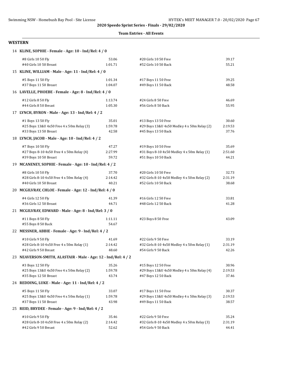#### **Team Entries - All Events**

#### **WESTERN**

|  | 14 KLINE, SOPHIE - Female - Age: 10 - Ind/Rel: 4 / 0           |         |                                              |         |  |
|--|----------------------------------------------------------------|---------|----------------------------------------------|---------|--|
|  | #8 Girls 10 50 Fly                                             | 53.06   | #20 Girls 10 50 Free                         | 39.17   |  |
|  | #40 Girls 10 50 Breast                                         | 1:01.71 | #52 Girls 10 50 Back                         | 55.21   |  |
|  | 15 KLINE, WILLIAM - Male - Age: 11 - Ind/Rel: 4 / 0            |         |                                              |         |  |
|  | #5 Boys 11 50 Fly                                              | 1:01.34 | #17 Boys 11 50 Free                          | 39.25   |  |
|  | #37 Boys 11 50 Breast                                          | 1:04.07 | #49 Boys 11 50 Back                          | 48.58   |  |
|  | 16 LAVELLE, PHOEBE - Female - Age: 8 - Ind/Rel: 4 / 0          |         |                                              |         |  |
|  | #12 Girls 8 50 Fly                                             | 1:13.74 | #24 Girls 8 50 Free                          | 46.69   |  |
|  | #44 Girls 8 50 Breast                                          | 1:05.30 | #56 Girls 8 50 Back                          | 55.95   |  |
|  | 17 LYNCH, BYRON - Male - Age: 13 - Ind/Rel: 4 / 2              |         |                                              |         |  |
|  | #1 Boys 13 50 Fly                                              | 35.01   | #13 Boys 13 50 Free                          | 30.60   |  |
|  | #25 Boys 13&U 4x50 Free 4 x 50m Relay (3)                      | 1:59.78 | #29 Boys 13&U 4x50 Medley 4 x 50m Relay (2)  | 2:19.53 |  |
|  | #33 Boys 13 50 Breast                                          | 42.58   | #45 Boys 13 50 Back                          | 37.76   |  |
|  | 18 LYNCH, JACOB - Male - Age: 10 - Ind/Rel: 4 / 2              |         |                                              |         |  |
|  | #7 Boys 10 50 Fly                                              | 47.27   | #19 Boys 10 50 Free                          | 35.69   |  |
|  | #27 Boys 8-10 4x50 Free 4 x 50m Relay (4)                      | 2:27.99 | #31 Boys 8-10 4x50 Medley 4 x 50m Relay (1)  | 2:51.60 |  |
|  | #39 Boys 10 50 Breast                                          | 59.72   | #51 Boys 10 50 Back                          | 44.21   |  |
|  | 19 MCANENEY, SOPHIE - Female - Age: 10 - Ind/Rel: 4 / 2        |         |                                              |         |  |
|  | #8 Girls 10 50 Fly                                             | 37.70   | #20 Girls 10 50 Free                         | 32.73   |  |
|  | #28 Girls 8-10 4x50 Free 4 x 50m Relay (4)                     | 2:14.42 | #32 Girls 8-10 4x50 Medley 4 x 50m Relay (2) | 2:31.19 |  |
|  | #40 Girls 10 50 Breast                                         | 40.21   | #52 Girls 10 50 Back                         | 38.68   |  |
|  | 20 MCGILVRAY, CHLOE - Female - Age: 12 - Ind/Rel: 4 / 0        |         |                                              |         |  |
|  | #4 Girls 12 50 Fly                                             | 41.39   | #16 Girls 12 50 Free                         | 33.81   |  |
|  | #36 Girls 12 50 Breast                                         | 44.71   | #48 Girls 12 50 Back                         | 41.28   |  |
|  | 21 MCGILVRAY, EDWARD - Male - Age: 8 - Ind/Rel: 3 / 0          |         |                                              |         |  |
|  | #11 Boys 8 50 Fly                                              | 1:11.11 | #23 Boys 8 50 Free                           | 43.09   |  |
|  | #55 Boys 8 50 Back                                             | 54.67   |                                              |         |  |
|  | 22 MESSNER, ABBIE - Female - Age: 9 - Ind/Rel: 4 / 2           |         |                                              |         |  |
|  | #10 Girls 9 50 Fly                                             | 41.69   | #22 Girls 9 50 Free                          | 33.19   |  |
|  | #28 Girls 8-10 4x50 Free 4 x 50m Relay (1)                     | 2:14.42 | #32 Girls 8-10 4x50 Medley 4 x 50m Relay (1) | 2:31.19 |  |
|  | #42 Girls 9 50 Breast                                          | 48.60   | #54 Girls 9 50 Back                          | 42.26   |  |
|  | 23 NEAVERSON-SMITH, ALASTAIR - Male - Age: 12 - Ind/Rel: 4 / 2 |         |                                              |         |  |
|  | #3 Boys 12 50 Fly                                              | 35.26   | #15 Boys 12 50 Free                          | 30.96   |  |
|  | #25 Boys 13&U 4x50 Free 4 x 50m Relay (2)                      | 1:59.78 | #29 Boys 13&U 4x50 Medley 4 x 50m Relay (4)  | 2:19.53 |  |
|  | #35 Boys 12 50 Breast                                          | 43.74   | #47 Boys 12 50 Back                          | 37.46   |  |
|  | 24 REDDING, LUKE - Male - Age: 11 - Ind/Rel: 4 / 2             |         |                                              |         |  |
|  | #5 Boys 11 50 Fly                                              | 33.07   | #17 Boys 11 50 Free                          | 30.37   |  |
|  | #25 Boys 13&U 4x50 Free 4 x 50m Relay (1)                      | 1:59.78 | #29 Boys 13&U 4x50 Medley 4 x 50m Relay (3)  | 2:19.53 |  |
|  | #37 Boys 11 50 Breast                                          | 43.98   | #49 Boys 11 50 Back                          | 38.57   |  |
|  | 25 REID, BRYDEE - Female - Age: 9 - Ind/Rel: 4 / 2             |         |                                              |         |  |
|  | #10 Girls 9 50 Fly                                             | 35.46   | #22 Girls 9 50 Free                          | 35.24   |  |
|  | #28 Girls 8-10 4x50 Free 4 x 50m Relay (2)                     | 2:14.42 | #32 Girls 8-10 4x50 Medley 4 x 50m Relay (3) | 2:31.19 |  |
|  | #42 Girls 9 50 Breast                                          | 52.62   | #54 Girls 9 50 Back                          | 44.41   |  |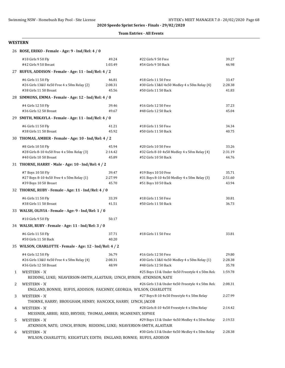#### **Team Entries - All Events**

#### **WESTERN**

|   | 26 ROSE, ERIKO - Female - Age: 9 - Ind/Rel: 4 / 0                                                                                    |                                                       |                                                  |         |  |
|---|--------------------------------------------------------------------------------------------------------------------------------------|-------------------------------------------------------|--------------------------------------------------|---------|--|
|   | #10 Girls 9 50 Fly                                                                                                                   | 49.24                                                 | #22 Girls 9 50 Free                              | 39.27   |  |
|   | #42 Girls 9 50 Breast                                                                                                                | 1:03.49                                               | #54 Girls 9 50 Back                              | 46.98   |  |
|   |                                                                                                                                      | 27 RUFUS, ADDISON - Female - Age: 11 - Ind/Rel: 4 / 2 |                                                  |         |  |
|   | #6 Girls 11 50 Fly                                                                                                                   | 46.81                                                 | #18 Girls 11 50 Free                             | 33.47   |  |
|   | #26 Girls 13&U 4x50 Free 4 x 50m Relay (2)                                                                                           | 2:08.31                                               | #30 Girls 13&U 4x50 Medley 4 x 50m Relay (4)     | 2:28.38 |  |
|   | #38 Girls 11 50 Breast                                                                                                               | 45.56                                                 | #50 Girls 11 50 Back                             | 41.83   |  |
|   | 28 SIMMONS, EMMA - Female - Age: 12 - Ind/Rel: 4 / 0                                                                                 |                                                       |                                                  |         |  |
|   | #4 Girls 12 50 Fly                                                                                                                   | 39.46                                                 | #16 Girls 12 50 Free                             | 37.23   |  |
|   | #36 Girls 12 50 Breast                                                                                                               | 49.67                                                 | #48 Girls 12 50 Back                             | 45.04   |  |
|   | 29 SMITH, MIKAYLA - Female - Age: 11 - Ind/Rel: 4 / 0                                                                                |                                                       |                                                  |         |  |
|   | #6 Girls 11 50 Fly                                                                                                                   | 41.21                                                 | #18 Girls 11 50 Free                             | 34.34   |  |
|   | #38 Girls 11 50 Breast                                                                                                               | 45.92                                                 | #50 Girls 11 50 Back                             | 40.75   |  |
|   | 30 THOMAS, AMBER - Female - Age: 10 - Ind/Rel: 4 / 2                                                                                 |                                                       |                                                  |         |  |
|   | #8 Girls 10 50 Fly                                                                                                                   | 45.94                                                 | #20 Girls 10 50 Free                             | 33.26   |  |
|   | #28 Girls 8-10 4x50 Free 4 x 50m Relay (3)                                                                                           | 2:14.42                                               | #32 Girls 8-10 4x50 Medley 4 x 50m Relay (4)     | 2:31.19 |  |
|   | #40 Girls 10 50 Breast                                                                                                               | 45.89                                                 | #52 Girls 10 50 Back                             | 44.76   |  |
|   | 31 THORNE, HARRY - Male - Age: 10 - Ind/Rel: 4 / 2                                                                                   |                                                       |                                                  |         |  |
|   | #7 Boys 10 50 Fly                                                                                                                    | 39.47                                                 | #19 Boys 10 50 Free                              | 35.71   |  |
|   | #27 Boys 8-10 4x50 Free 4 x 50m Relay (1)                                                                                            | 2:27.99                                               | #31 Boys 8-10 4x50 Medley 4 x 50m Relay (3)      | 2:51.60 |  |
|   | #39 Boys 10 50 Breast                                                                                                                | 45.70                                                 | #51 Boys 10 50 Back                              | 43.94   |  |
|   | 32 THORNE, RUBY - Female - Age: 11 - Ind/Rel: 4 / 0                                                                                  |                                                       |                                                  |         |  |
|   | #6 Girls 11 50 Fly                                                                                                                   | 33.39                                                 | #18 Girls 11 50 Free                             | 30.81   |  |
|   | #38 Girls 11 50 Breast                                                                                                               | 41.51                                                 | #50 Girls 11 50 Back                             | 36.73   |  |
|   | 33 WALSH, OLIVIA - Female - Age: 9 - Ind/Rel: 1 / 0                                                                                  |                                                       |                                                  |         |  |
|   | #10 Girls 9 50 Fly                                                                                                                   | 50.17                                                 |                                                  |         |  |
|   | 34 WALSH, RUBY - Female - Age: 11 - Ind/Rel: 3 / 0                                                                                   |                                                       |                                                  |         |  |
|   | #6 Girls 11 50 Fly                                                                                                                   | 37.71                                                 | #18 Girls 11 50 Free                             | 33.81   |  |
|   | #50 Girls 11 50 Back                                                                                                                 | 40.20                                                 |                                                  |         |  |
|   | 35 WILSON, CHARLOTTE - Female - Age: 12 - Ind/Rel: 4 / 2                                                                             |                                                       |                                                  |         |  |
|   | #4 Girls 12 50 Fly                                                                                                                   | 36.79                                                 | #16 Girls 12 50 Free                             | 29.80   |  |
|   | #26 Girls 13&U 4x50 Free 4 x 50m Relay (4)                                                                                           | 2:08.31                                               | #30 Girls 13&U 4x50 Medley 4 x 50m Relay (1)     | 2:28.38 |  |
|   | #36 Girls 12 50 Breast                                                                                                               | 48.99                                                 | #48 Girls 12 50 Back                             | 35.78   |  |
| 1 | <b>WESTERN - 'A'</b>                                                                                                                 |                                                       | #25 Boys 13 & Under 4x50 Freestyle 4 x 50m Rela  | 1:59.78 |  |
|   | REDDING, LUKE; NEAVERSON-SMITH, ALASTAIR; LYNCH, BYRON; ATKINSON, NATE                                                               |                                                       |                                                  |         |  |
| 2 | <b>WESTERN - 'A'</b>                                                                                                                 |                                                       | #26 Girls 13 & Under 4x50 Freestyle 4 x 50m Rela | 2:08.31 |  |
|   | ENGLAND, BONNIE; RUFUS, ADDISON; FAICHNEY, GEORGIA; WILSON, CHARLOTTE                                                                |                                                       |                                                  |         |  |
| 3 | <b>WESTERN - 'A'</b>                                                                                                                 |                                                       | #27 Boys 8-10 4x50 Freestyle 4 x 50m Relay       | 2:27.99 |  |
|   | THORNE, HARRY; BROUGHAM, HENRY; HANCOCK, HARRY; LYNCH, JACOB                                                                         |                                                       |                                                  |         |  |
| 4 | #28 Girls 8-10 4x50 Freestyle 4 x 50m Relay<br><b>WESTERN - 'A'</b><br>MESSNER, ABBIE; REID, BRYDEE; THOMAS, AMBER; MCANENEY, SOPHIE |                                                       |                                                  | 2:14.42 |  |
| 5 | WESTERN - 'A'<br>ATKINSON, NATE; LYNCH, BYRON; REDDING, LUKE; NEAVERSON-SMITH, ALASTAIR                                              |                                                       | #29 Boys 13 & Under 4x50 Medley 4 x 50m Relay    | 2:19.53 |  |
| 6 | <b>WESTERN - 'A'</b>                                                                                                                 |                                                       | #30 Girls 13 & Under 4x50 Medley 4 x 50m Relay   | 2:28.38 |  |
|   | WILSON, CHARLOTTE; KEIGHTLEY, EDITH; ENGLAND, BONNIE; RUFUS, ADDISON                                                                 |                                                       |                                                  |         |  |